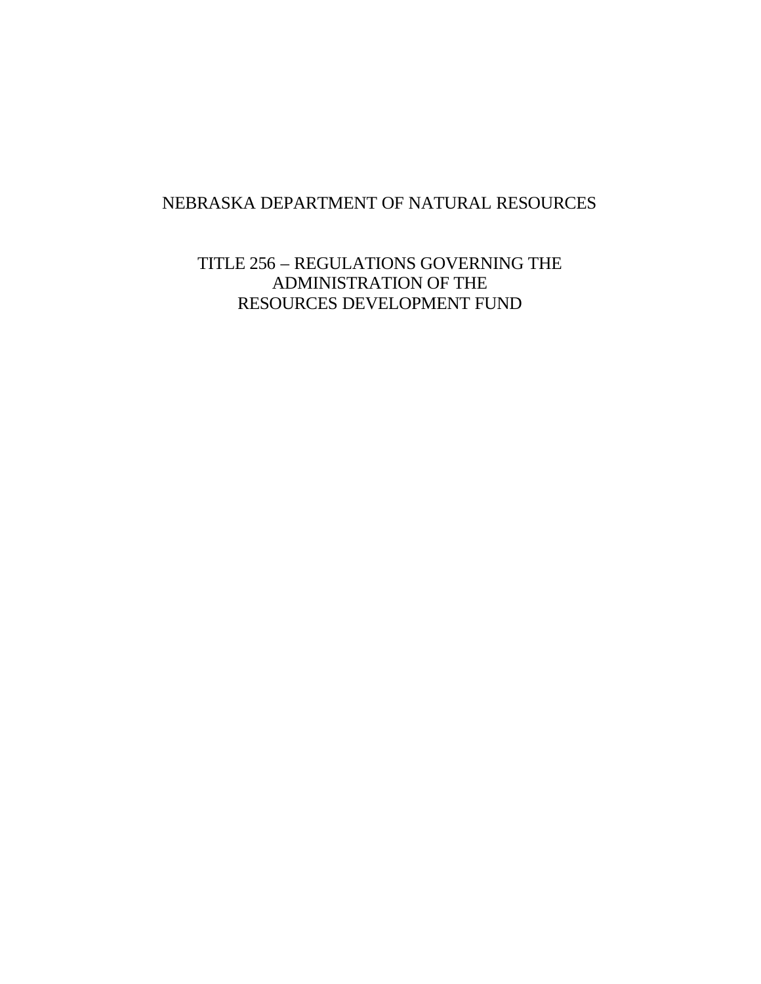# NEBRASKA DEPARTMENT OF NATURAL RESOURCES

TITLE 256 – REGULATIONS GOVERNING THE ADMINISTRATION OF THE RESOURCES DEVELOPMENT FUND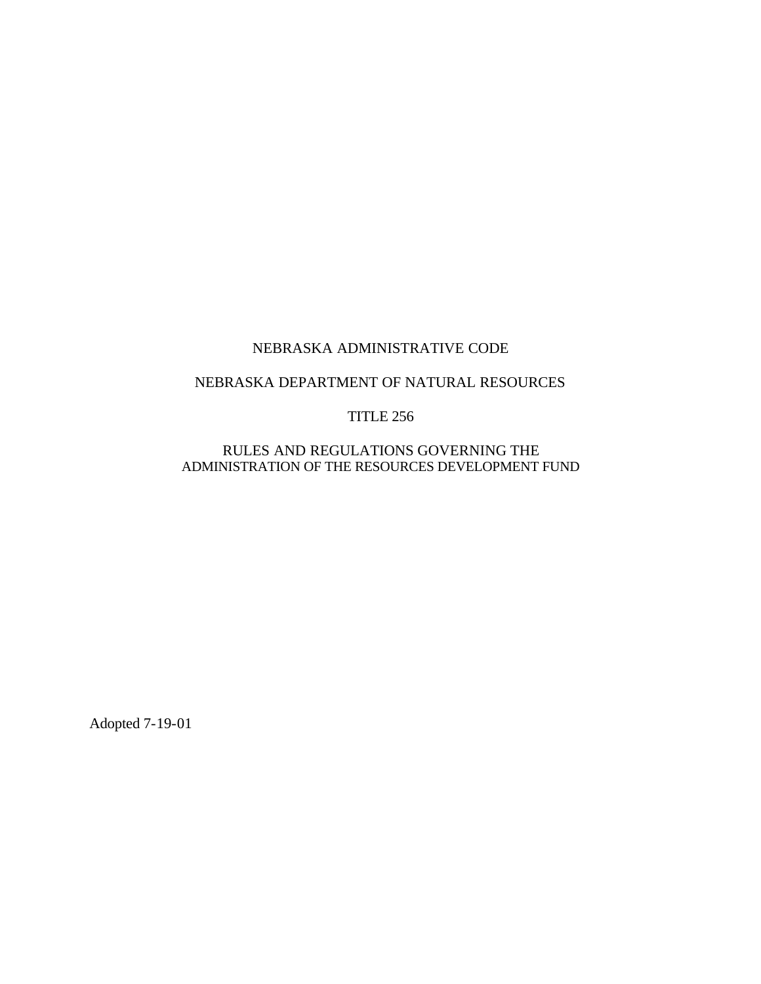# NEBRASKA ADMINISTRATIVE CODE

## NEBRASKA DEPARTMENT OF NATURAL RESOURCES

## TITLE 256

RULES AND REGULATIONS GOVERNING THE ADMINISTRATION OF THE RESOURCES DEVELOPMENT FUND

Adopted 7-19-01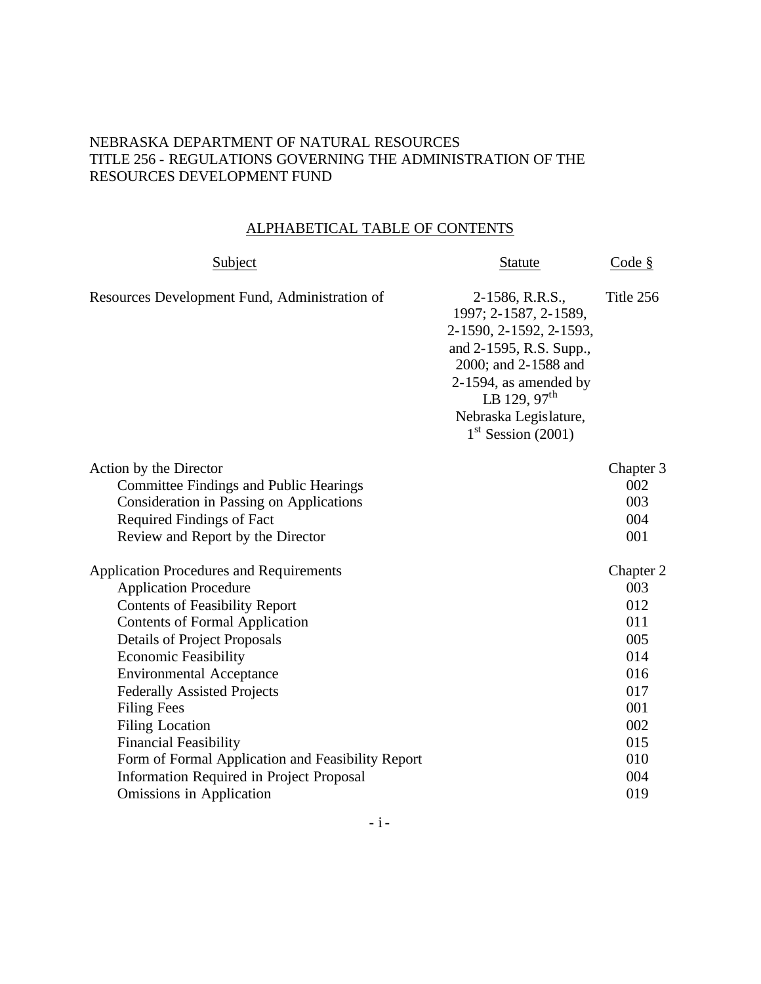## NEBRASKA DEPARTMENT OF NATURAL RESOURCES TITLE 256 - REGULATIONS GOVERNING THE ADMINISTRATION OF THE RESOURCES DEVELOPMENT FUND

## ALPHABETICAL TABLE OF CONTENTS

| <b>Statute</b>                                                                                                                                                                                                                  | Code $\S$                                                                                            |
|---------------------------------------------------------------------------------------------------------------------------------------------------------------------------------------------------------------------------------|------------------------------------------------------------------------------------------------------|
| 2-1586, R.R.S.,<br>1997; 2-1587, 2-1589,<br>2-1590, 2-1592, 2-1593,<br>and 2-1595, R.S. Supp.,<br>2000; and 2-1588 and<br>$2-1594$ , as amended by<br>LB 129, $97^{\text{th}}$<br>Nebraska Legislature,<br>$1st$ Session (2001) | Title 256                                                                                            |
|                                                                                                                                                                                                                                 | Chapter 3<br>002<br>003<br>004<br>001                                                                |
|                                                                                                                                                                                                                                 | Chapter 2<br>003<br>012<br>011<br>005<br>014<br>016<br>017<br>001<br>002<br>015<br>010<br>004<br>019 |
|                                                                                                                                                                                                                                 |                                                                                                      |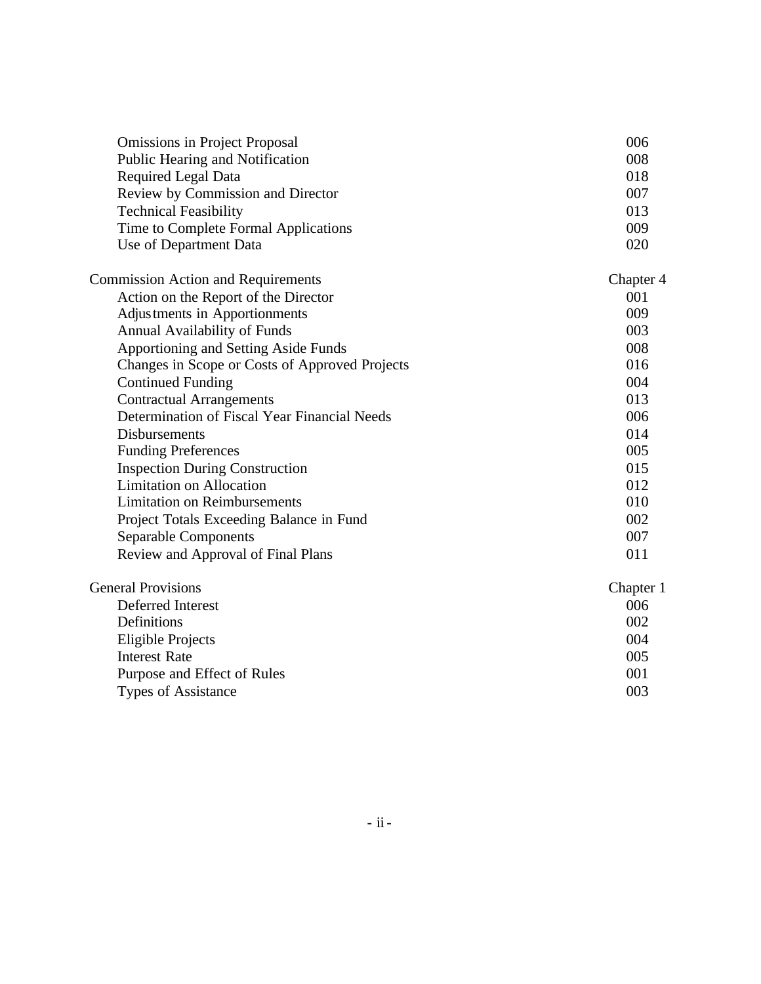| <b>Omissions in Project Proposal</b>           | 006       |
|------------------------------------------------|-----------|
| Public Hearing and Notification                | 008       |
| <b>Required Legal Data</b>                     | 018       |
| Review by Commission and Director              | 007       |
| <b>Technical Feasibility</b>                   | 013       |
| Time to Complete Formal Applications           | 009       |
| Use of Department Data                         | 020       |
| <b>Commission Action and Requirements</b>      | Chapter 4 |
| Action on the Report of the Director           | 001       |
| Adjustments in Apportionments                  | 009       |
| Annual Availability of Funds                   | 003       |
| Apportioning and Setting Aside Funds           | 008       |
| Changes in Scope or Costs of Approved Projects | 016       |
| <b>Continued Funding</b>                       | 004       |
| <b>Contractual Arrangements</b>                | 013       |
| Determination of Fiscal Year Financial Needs   | 006       |
| <b>Disbursements</b>                           | 014       |
| <b>Funding Preferences</b>                     | 005       |
| <b>Inspection During Construction</b>          | 015       |
| <b>Limitation on Allocation</b>                | 012       |
| <b>Limitation on Reimbursements</b>            | 010       |
| Project Totals Exceeding Balance in Fund       | 002       |
| <b>Separable Components</b>                    | 007       |
| Review and Approval of Final Plans             | 011       |
| <b>General Provisions</b>                      | Chapter 1 |
| Deferred Interest                              | 006       |
| Definitions                                    | 002       |
| <b>Eligible Projects</b>                       | 004       |
| <b>Interest Rate</b>                           | 005       |
| Purpose and Effect of Rules                    | 001       |
| <b>Types of Assistance</b>                     | 003       |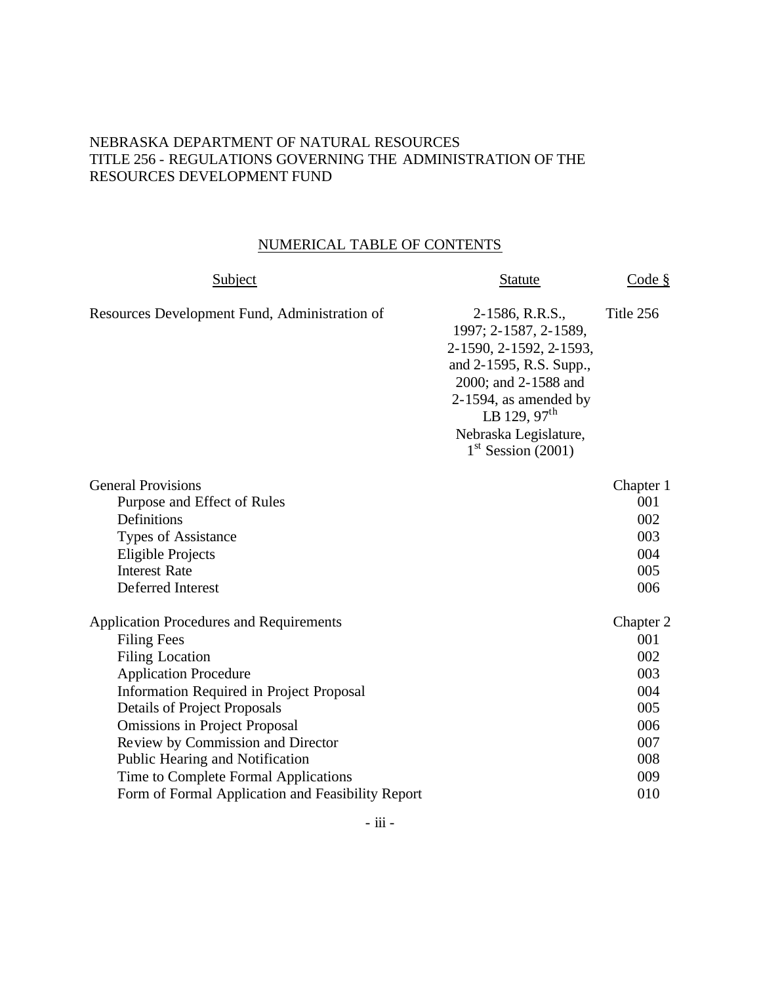## NEBRASKA DEPARTMENT OF NATURAL RESOURCES TITLE 256 - REGULATIONS GOVERNING THE ADMINISTRATION OF THE RESOURCES DEVELOPMENT FUND

## NUMERICAL TABLE OF CONTENTS

| Subject                                                                                                                                                                                                                                                                                                                                                                                                                               | <b>Statute</b>                                                                                                                                                                                                        | Code $\S$                                                                       |
|---------------------------------------------------------------------------------------------------------------------------------------------------------------------------------------------------------------------------------------------------------------------------------------------------------------------------------------------------------------------------------------------------------------------------------------|-----------------------------------------------------------------------------------------------------------------------------------------------------------------------------------------------------------------------|---------------------------------------------------------------------------------|
| Resources Development Fund, Administration of                                                                                                                                                                                                                                                                                                                                                                                         | 2-1586, R.R.S.,<br>1997; 2-1587, 2-1589,<br>2-1590, 2-1592, 2-1593,<br>and 2-1595, R.S. Supp.,<br>2000; and 2-1588 and<br>$2-1594$ , as amended by<br>LB 129, $97th$<br>Nebraska Legislature,<br>$1st$ Session (2001) | Title 256                                                                       |
| <b>General Provisions</b><br>Purpose and Effect of Rules<br>Definitions<br><b>Types of Assistance</b><br><b>Eligible Projects</b><br><b>Interest Rate</b><br>Deferred Interest                                                                                                                                                                                                                                                        |                                                                                                                                                                                                                       | Chapter 1<br>001<br>002<br>003<br>004<br>005<br>006                             |
| <b>Application Procedures and Requirements</b><br><b>Filing Fees</b><br><b>Filing Location</b><br><b>Application Procedure</b><br><b>Information Required in Project Proposal</b><br><b>Details of Project Proposals</b><br><b>Omissions in Project Proposal</b><br>Review by Commission and Director<br>Public Hearing and Notification<br>Time to Complete Formal Applications<br>Form of Formal Application and Feasibility Report |                                                                                                                                                                                                                       | Chapter 2<br>001<br>002<br>003<br>004<br>005<br>006<br>007<br>008<br>009<br>010 |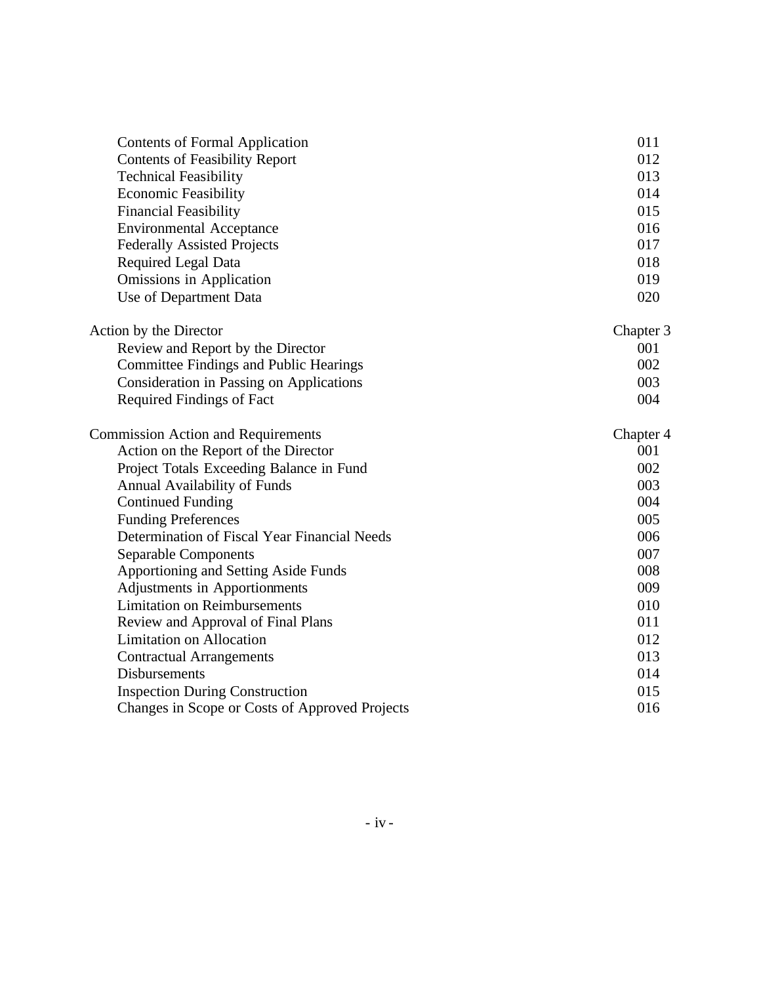| <b>Contents of Formal Application</b>          | 011       |
|------------------------------------------------|-----------|
| <b>Contents of Feasibility Report</b>          | 012       |
| <b>Technical Feasibility</b>                   | 013       |
| <b>Economic Feasibility</b>                    | 014       |
| <b>Financial Feasibility</b>                   | 015       |
| <b>Environmental Acceptance</b>                | 016       |
| <b>Federally Assisted Projects</b>             | 017       |
| Required Legal Data                            | 018       |
| Omissions in Application                       | 019       |
| Use of Department Data                         | 020       |
| Action by the Director                         | Chapter 3 |
| Review and Report by the Director              | 001       |
| Committee Findings and Public Hearings         | 002       |
| Consideration in Passing on Applications       | 003       |
| <b>Required Findings of Fact</b>               | 004       |
| <b>Commission Action and Requirements</b>      | Chapter 4 |
| Action on the Report of the Director           | 001       |
| Project Totals Exceeding Balance in Fund       | 002       |
| <b>Annual Availability of Funds</b>            | 003       |
| <b>Continued Funding</b>                       | 004       |
| <b>Funding Preferences</b>                     | 005       |
| Determination of Fiscal Year Financial Needs   | 006       |
| <b>Separable Components</b>                    | 007       |
| Apportioning and Setting Aside Funds           | 008       |
| Adjustments in Apportionments                  | 009       |
| <b>Limitation on Reimbursements</b>            | 010       |
| Review and Approval of Final Plans             | 011       |
| <b>Limitation on Allocation</b>                | 012       |
| <b>Contractual Arrangements</b>                | 013       |
| <b>Disbursements</b>                           | 014       |
| <b>Inspection During Construction</b>          | 015       |
| Changes in Scope or Costs of Approved Projects | 016       |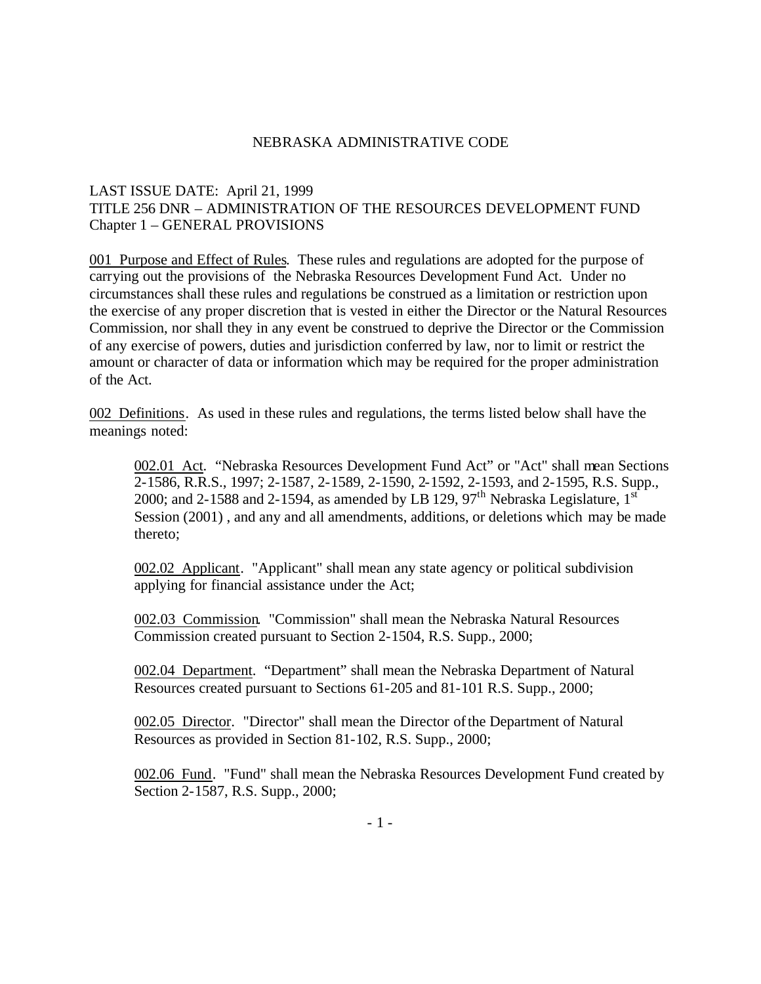### NEBRASKA ADMINISTRATIVE CODE

## LAST ISSUE DATE: April 21, 1999 TITLE 256 DNR – ADMINISTRATION OF THE RESOURCES DEVELOPMENT FUND Chapter 1 – GENERAL PROVISIONS

001 Purpose and Effect of Rules. These rules and regulations are adopted for the purpose of carrying out the provisions of the Nebraska Resources Development Fund Act. Under no circumstances shall these rules and regulations be construed as a limitation or restriction upon the exercise of any proper discretion that is vested in either the Director or the Natural Resources Commission, nor shall they in any event be construed to deprive the Director or the Commission of any exercise of powers, duties and jurisdiction conferred by law, nor to limit or restrict the amount or character of data or information which may be required for the proper administration of the Act.

002 Definitions. As used in these rules and regulations, the terms listed below shall have the meanings noted:

002.01 Act. "Nebraska Resources Development Fund Act" or "Act" shall mean Sections 2-1586, R.R.S., 1997; 2-1587, 2-1589, 2-1590, 2-1592, 2-1593, and 2-1595, R.S. Supp., 2000; and 2-1588 and 2-1594, as amended by LB 129,  $97<sup>th</sup>$  Nebraska Legislature, 1st Session (2001) , and any and all amendments, additions, or deletions which may be made thereto;

002.02 Applicant. "Applicant" shall mean any state agency or political subdivision applying for financial assistance under the Act;

002.03 Commission. "Commission" shall mean the Nebraska Natural Resources Commission created pursuant to Section 2-1504, R.S. Supp., 2000;

002.04 Department. "Department" shall mean the Nebraska Department of Natural Resources created pursuant to Sections 61-205 and 81-101 R.S. Supp., 2000;

002.05 Director. "Director" shall mean the Director of the Department of Natural Resources as provided in Section 81-102, R.S. Supp., 2000;

002.06 Fund. "Fund" shall mean the Nebraska Resources Development Fund created by Section 2-1587, R.S. Supp., 2000;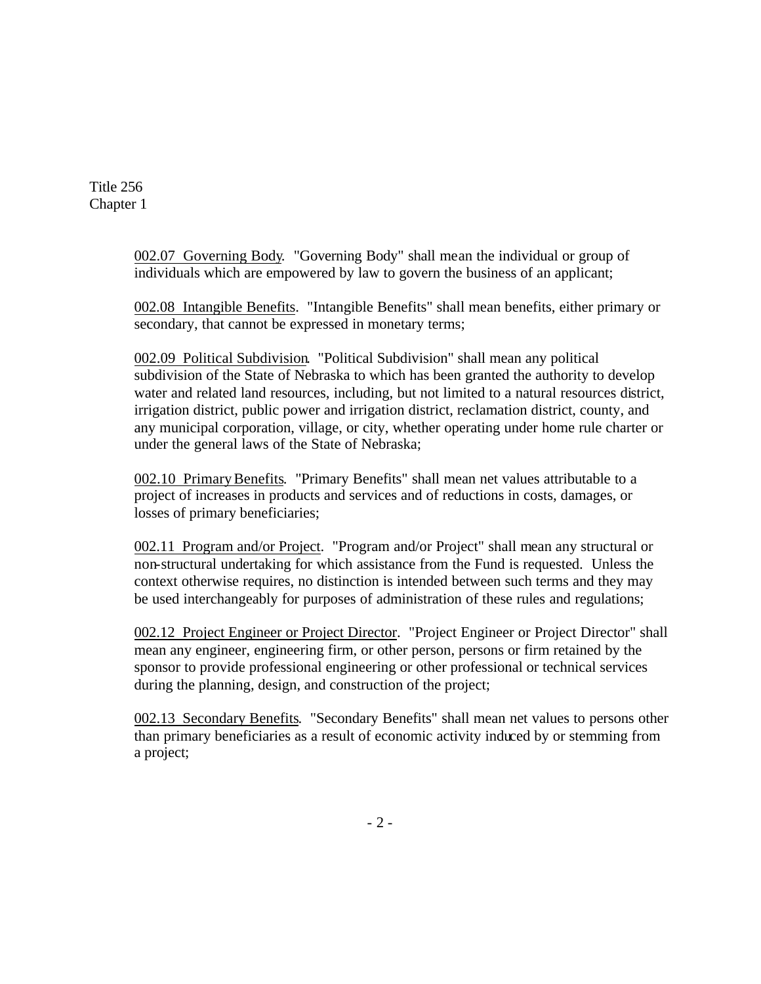> 002.07 Governing Body. "Governing Body" shall mean the individual or group of individuals which are empowered by law to govern the business of an applicant;

002.08 Intangible Benefits. "Intangible Benefits" shall mean benefits, either primary or secondary, that cannot be expressed in monetary terms;

002.09 Political Subdivision. "Political Subdivision" shall mean any political subdivision of the State of Nebraska to which has been granted the authority to develop water and related land resources, including, but not limited to a natural resources district, irrigation district, public power and irrigation district, reclamation district, county, and any municipal corporation, village, or city, whether operating under home rule charter or under the general laws of the State of Nebraska;

002.10 Primary Benefits. "Primary Benefits" shall mean net values attributable to a project of increases in products and services and of reductions in costs, damages, or losses of primary beneficiaries;

002.11 Program and/or Project. "Program and/or Project" shall mean any structural or non-structural undertaking for which assistance from the Fund is requested. Unless the context otherwise requires, no distinction is intended between such terms and they may be used interchangeably for purposes of administration of these rules and regulations;

002.12 Project Engineer or Project Director. "Project Engineer or Project Director" shall mean any engineer, engineering firm, or other person, persons or firm retained by the sponsor to provide professional engineering or other professional or technical services during the planning, design, and construction of the project;

002.13 Secondary Benefits. "Secondary Benefits" shall mean net values to persons other than primary beneficiaries as a result of economic activity induced by or stemming from a project;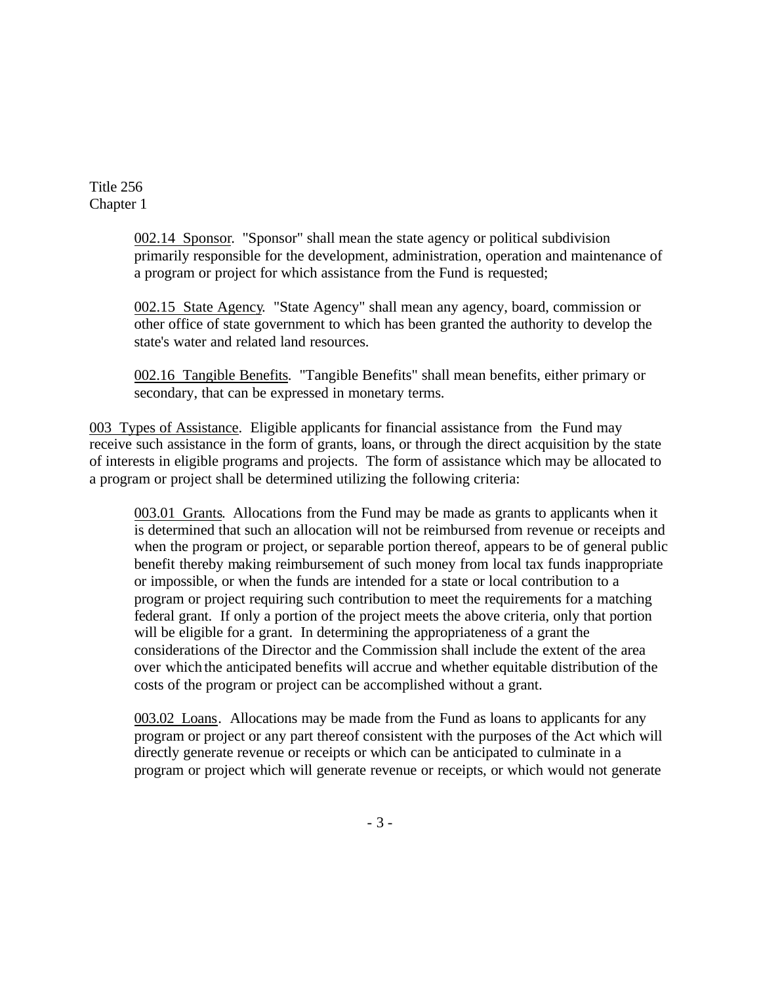> 002.14 Sponsor. "Sponsor" shall mean the state agency or political subdivision primarily responsible for the development, administration, operation and maintenance of a program or project for which assistance from the Fund is requested;

002.15 State Agency. "State Agency" shall mean any agency, board, commission or other office of state government to which has been granted the authority to develop the state's water and related land resources.

002.16 Tangible Benefits. "Tangible Benefits" shall mean benefits, either primary or secondary, that can be expressed in monetary terms.

003 Types of Assistance. Eligible applicants for financial assistance from the Fund may receive such assistance in the form of grants, loans, or through the direct acquisition by the state of interests in eligible programs and projects. The form of assistance which may be allocated to a program or project shall be determined utilizing the following criteria:

003.01 Grants. Allocations from the Fund may be made as grants to applicants when it is determined that such an allocation will not be reimbursed from revenue or receipts and when the program or project, or separable portion thereof, appears to be of general public benefit thereby making reimbursement of such money from local tax funds inappropriate or impossible, or when the funds are intended for a state or local contribution to a program or project requiring such contribution to meet the requirements for a matching federal grant. If only a portion of the project meets the above criteria, only that portion will be eligible for a grant. In determining the appropriateness of a grant the considerations of the Director and the Commission shall include the extent of the area over which the anticipated benefits will accrue and whether equitable distribution of the costs of the program or project can be accomplished without a grant.

003.02 Loans. Allocations may be made from the Fund as loans to applicants for any program or project or any part thereof consistent with the purposes of the Act which will directly generate revenue or receipts or which can be anticipated to culminate in a program or project which will generate revenue or receipts, or which would not generate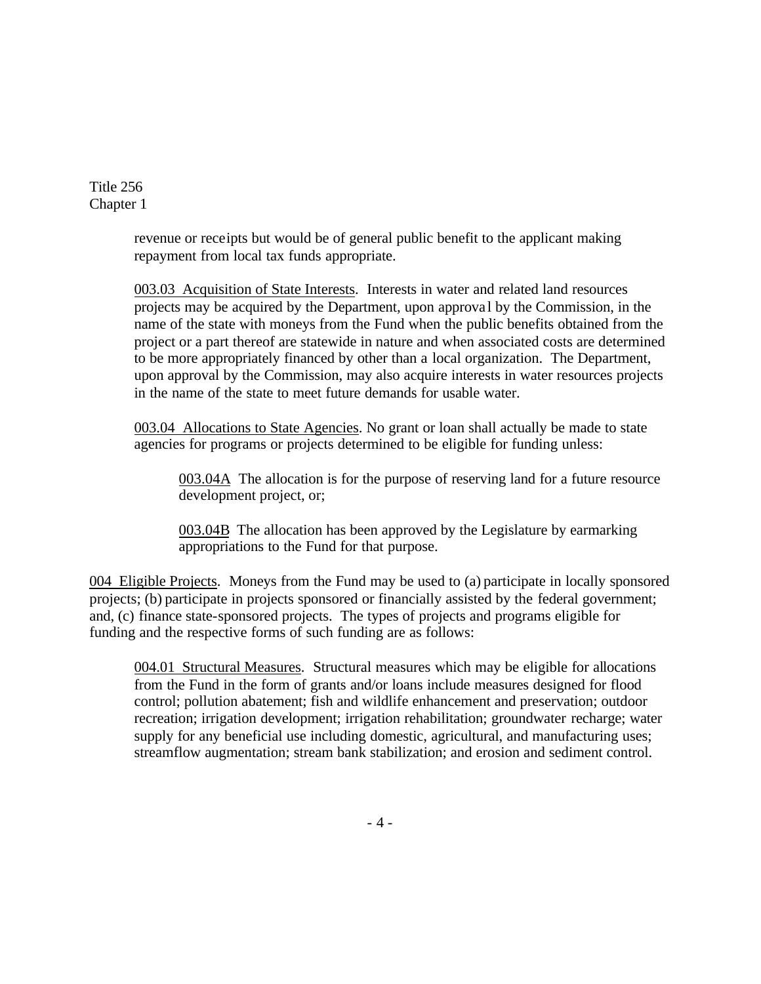> revenue or receipts but would be of general public benefit to the applicant making repayment from local tax funds appropriate.

003.03 Acquisition of State Interests. Interests in water and related land resources projects may be acquired by the Department, upon approva l by the Commission, in the name of the state with moneys from the Fund when the public benefits obtained from the project or a part thereof are statewide in nature and when associated costs are determined to be more appropriately financed by other than a local organization. The Department, upon approval by the Commission, may also acquire interests in water resources projects in the name of the state to meet future demands for usable water.

003.04 Allocations to State Agencies. No grant or loan shall actually be made to state agencies for programs or projects determined to be eligible for funding unless:

003.04A The allocation is for the purpose of reserving land for a future resource development project, or;

003.04B The allocation has been approved by the Legislature by earmarking appropriations to the Fund for that purpose.

004 Eligible Projects. Moneys from the Fund may be used to (a) participate in locally sponsored projects; (b) participate in projects sponsored or financially assisted by the federal government; and, (c) finance state-sponsored projects. The types of projects and programs eligible for funding and the respective forms of such funding are as follows:

004.01 Structural Measures. Structural measures which may be eligible for allocations from the Fund in the form of grants and/or loans include measures designed for flood control; pollution abatement; fish and wildlife enhancement and preservation; outdoor recreation; irrigation development; irrigation rehabilitation; groundwater recharge; water supply for any beneficial use including domestic, agricultural, and manufacturing uses; streamflow augmentation; stream bank stabilization; and erosion and sediment control.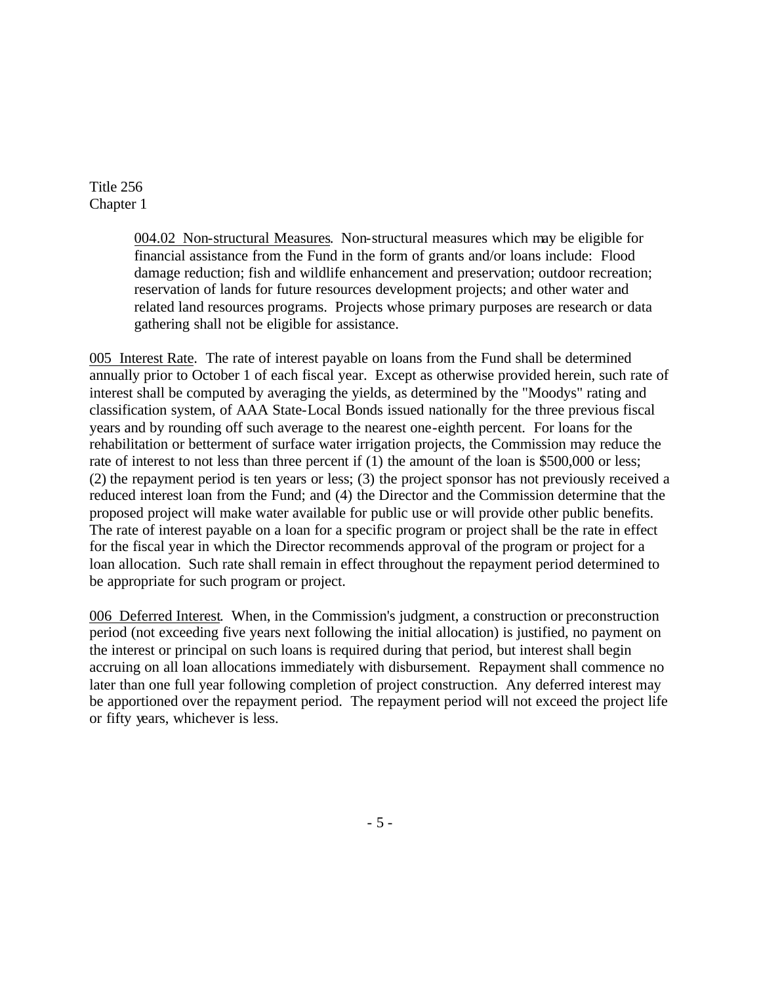> 004.02 Non-structural Measures. Non-structural measures which may be eligible for financial assistance from the Fund in the form of grants and/or loans include: Flood damage reduction; fish and wildlife enhancement and preservation; outdoor recreation; reservation of lands for future resources development projects; and other water and related land resources programs. Projects whose primary purposes are research or data gathering shall not be eligible for assistance.

005 Interest Rate. The rate of interest payable on loans from the Fund shall be determined annually prior to October 1 of each fiscal year. Except as otherwise provided herein, such rate of interest shall be computed by averaging the yields, as determined by the "Moodys" rating and classification system, of AAA State-Local Bonds issued nationally for the three previous fiscal years and by rounding off such average to the nearest one-eighth percent. For loans for the rehabilitation or betterment of surface water irrigation projects, the Commission may reduce the rate of interest to not less than three percent if (1) the amount of the loan is \$500,000 or less; (2) the repayment period is ten years or less; (3) the project sponsor has not previously received a reduced interest loan from the Fund; and (4) the Director and the Commission determine that the proposed project will make water available for public use or will provide other public benefits. The rate of interest payable on a loan for a specific program or project shall be the rate in effect for the fiscal year in which the Director recommends approval of the program or project for a loan allocation. Such rate shall remain in effect throughout the repayment period determined to be appropriate for such program or project.

006 Deferred Interest. When, in the Commission's judgment, a construction or preconstruction period (not exceeding five years next following the initial allocation) is justified, no payment on the interest or principal on such loans is required during that period, but interest shall begin accruing on all loan allocations immediately with disbursement. Repayment shall commence no later than one full year following completion of project construction. Any deferred interest may be apportioned over the repayment period. The repayment period will not exceed the project life or fifty years, whichever is less.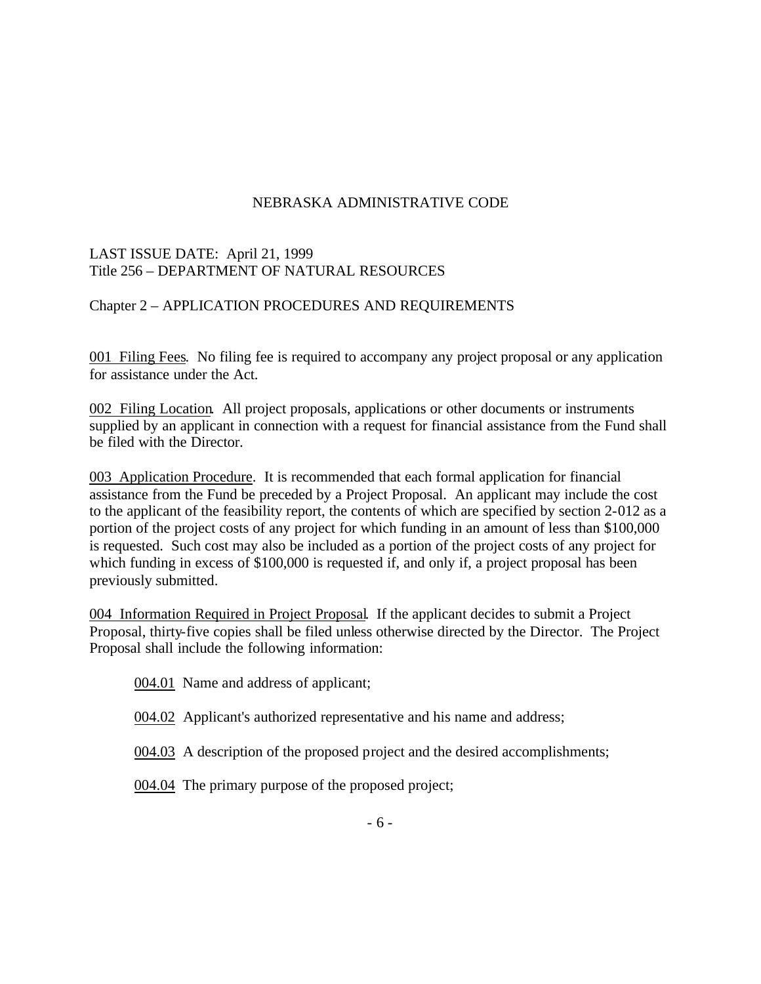## NEBRASKA ADMINISTRATIVE CODE

## LAST ISSUE DATE: April 21, 1999 Title 256 – DEPARTMENT OF NATURAL RESOURCES

## Chapter 2 – APPLICATION PROCEDURES AND REQUIREMENTS

001 Filing Fees. No filing fee is required to accompany any project proposal or any application for assistance under the Act.

002 Filing Location. All project proposals, applications or other documents or instruments supplied by an applicant in connection with a request for financial assistance from the Fund shall be filed with the Director.

003 Application Procedure. It is recommended that each formal application for financial assistance from the Fund be preceded by a Project Proposal. An applicant may include the cost to the applicant of the feasibility report, the contents of which are specified by section 2-012 as a portion of the project costs of any project for which funding in an amount of less than \$100,000 is requested. Such cost may also be included as a portion of the project costs of any project for which funding in excess of \$100,000 is requested if, and only if, a project proposal has been previously submitted.

004 Information Required in Project Proposal. If the applicant decides to submit a Project Proposal, thirty-five copies shall be filed unless otherwise directed by the Director. The Project Proposal shall include the following information:

004.01 Name and address of applicant;

- 004.02 Applicant's authorized representative and his name and address;
- 004.03 A description of the proposed project and the desired accomplishments;

004.04 The primary purpose of the proposed project;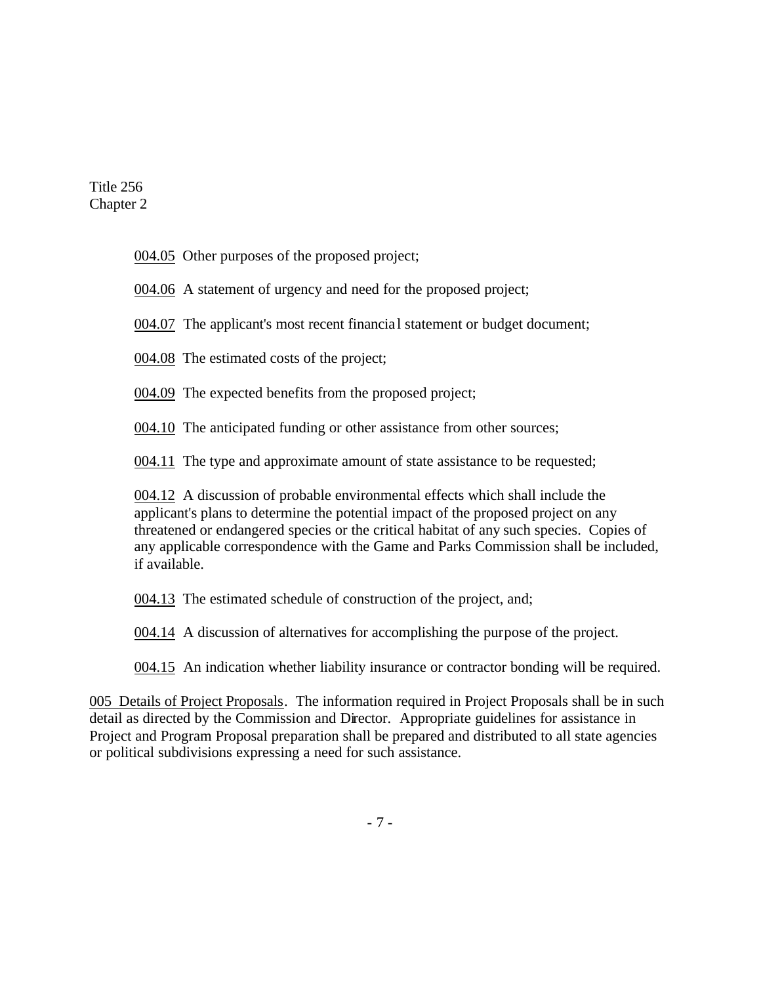004.05 Other purposes of the proposed project;

004.06 A statement of urgency and need for the proposed project;

004.07 The applicant's most recent financia l statement or budget document;

004.08 The estimated costs of the project;

004.09 The expected benefits from the proposed project;

004.10 The anticipated funding or other assistance from other sources;

004.11 The type and approximate amount of state assistance to be requested;

004.12 A discussion of probable environmental effects which shall include the applicant's plans to determine the potential impact of the proposed project on any threatened or endangered species or the critical habitat of any such species. Copies of any applicable correspondence with the Game and Parks Commission shall be included, if available.

004.13 The estimated schedule of construction of the project, and;

004.14 A discussion of alternatives for accomplishing the purpose of the project.

004.15 An indication whether liability insurance or contractor bonding will be required.

005 Details of Project Proposals. The information required in Project Proposals shall be in such detail as directed by the Commission and Director. Appropriate guidelines for assistance in Project and Program Proposal preparation shall be prepared and distributed to all state agencies or political subdivisions expressing a need for such assistance.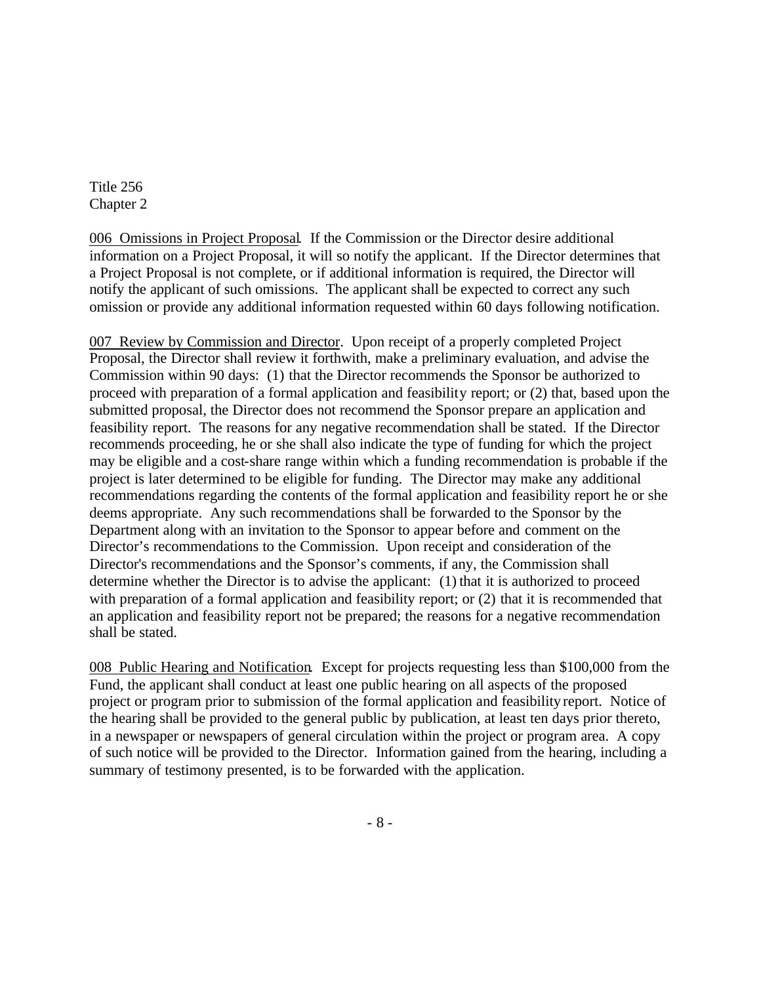006 Omissions in Project Proposal. If the Commission or the Director desire additional information on a Project Proposal, it will so notify the applicant. If the Director determines that a Project Proposal is not complete, or if additional information is required, the Director will notify the applicant of such omissions. The applicant shall be expected to correct any such omission or provide any additional information requested within 60 days following notification.

007 Review by Commission and Director. Upon receipt of a properly completed Project Proposal, the Director shall review it forthwith, make a preliminary evaluation, and advise the Commission within 90 days: (1) that the Director recommends the Sponsor be authorized to proceed with preparation of a formal application and feasibility report; or (2) that, based upon the submitted proposal, the Director does not recommend the Sponsor prepare an application and feasibility report. The reasons for any negative recommendation shall be stated. If the Director recommends proceeding, he or she shall also indicate the type of funding for which the project may be eligible and a cost-share range within which a funding recommendation is probable if the project is later determined to be eligible for funding. The Director may make any additional recommendations regarding the contents of the formal application and feasibility report he or she deems appropriate. Any such recommendations shall be forwarded to the Sponsor by the Department along with an invitation to the Sponsor to appear before and comment on the Director's recommendations to the Commission. Upon receipt and consideration of the Director's recommendations and the Sponsor's comments, if any, the Commission shall determine whether the Director is to advise the applicant: (1) that it is authorized to proceed with preparation of a formal application and feasibility report; or  $(2)$  that it is recommended that an application and feasibility report not be prepared; the reasons for a negative recommendation shall be stated.

008 Public Hearing and Notification. Except for projects requesting less than \$100,000 from the Fund, the applicant shall conduct at least one public hearing on all aspects of the proposed project or program prior to submission of the formal application and feasibility report. Notice of the hearing shall be provided to the general public by publication, at least ten days prior thereto, in a newspaper or newspapers of general circulation within the project or program area. A copy of such notice will be provided to the Director. Information gained from the hearing, including a summary of testimony presented, is to be forwarded with the application.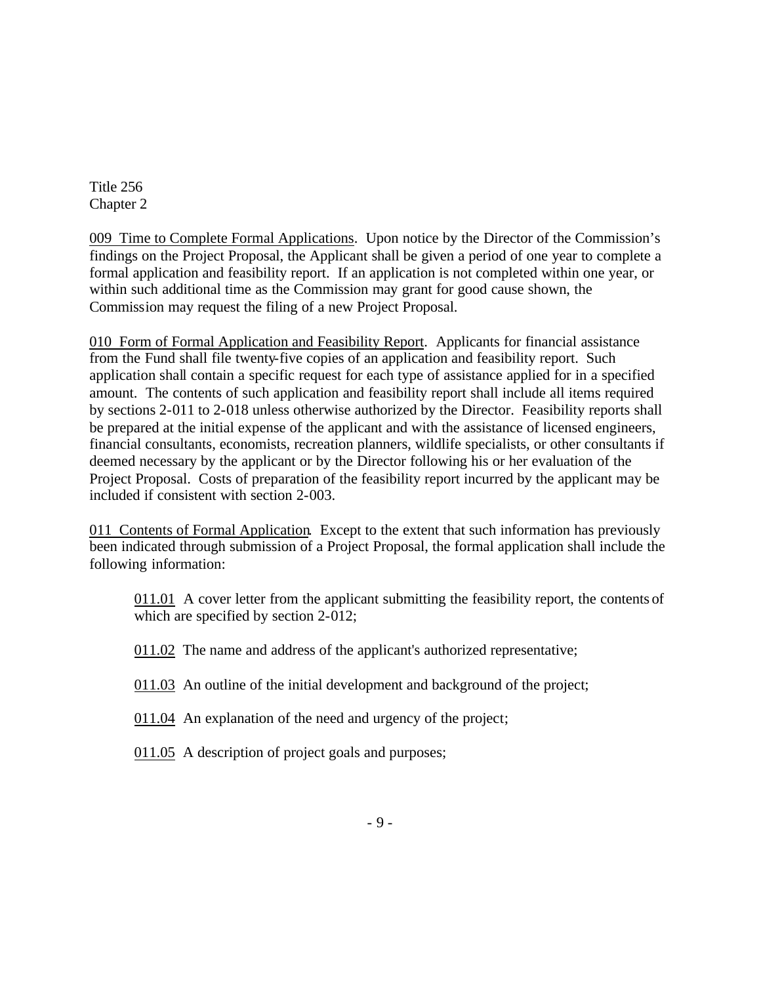009 Time to Complete Formal Applications. Upon notice by the Director of the Commission's findings on the Project Proposal, the Applicant shall be given a period of one year to complete a formal application and feasibility report. If an application is not completed within one year, or within such additional time as the Commission may grant for good cause shown, the Commission may request the filing of a new Project Proposal.

010 Form of Formal Application and Feasibility Report. Applicants for financial assistance from the Fund shall file twenty-five copies of an application and feasibility report. Such application shall contain a specific request for each type of assistance applied for in a specified amount. The contents of such application and feasibility report shall include all items required by sections 2-011 to 2-018 unless otherwise authorized by the Director. Feasibility reports shall be prepared at the initial expense of the applicant and with the assistance of licensed engineers, financial consultants, economists, recreation planners, wildlife specialists, or other consultants if deemed necessary by the applicant or by the Director following his or her evaluation of the Project Proposal. Costs of preparation of the feasibility report incurred by the applicant may be included if consistent with section 2-003.

011 Contents of Formal Application. Except to the extent that such information has previously been indicated through submission of a Project Proposal, the formal application shall include the following information:

011.01 A cover letter from the applicant submitting the feasibility report, the contents of which are specified by section 2-012;

011.02 The name and address of the applicant's authorized representative;

011.03 An outline of the initial development and background of the project;

- 011.04 An explanation of the need and urgency of the project;
- 011.05 A description of project goals and purposes;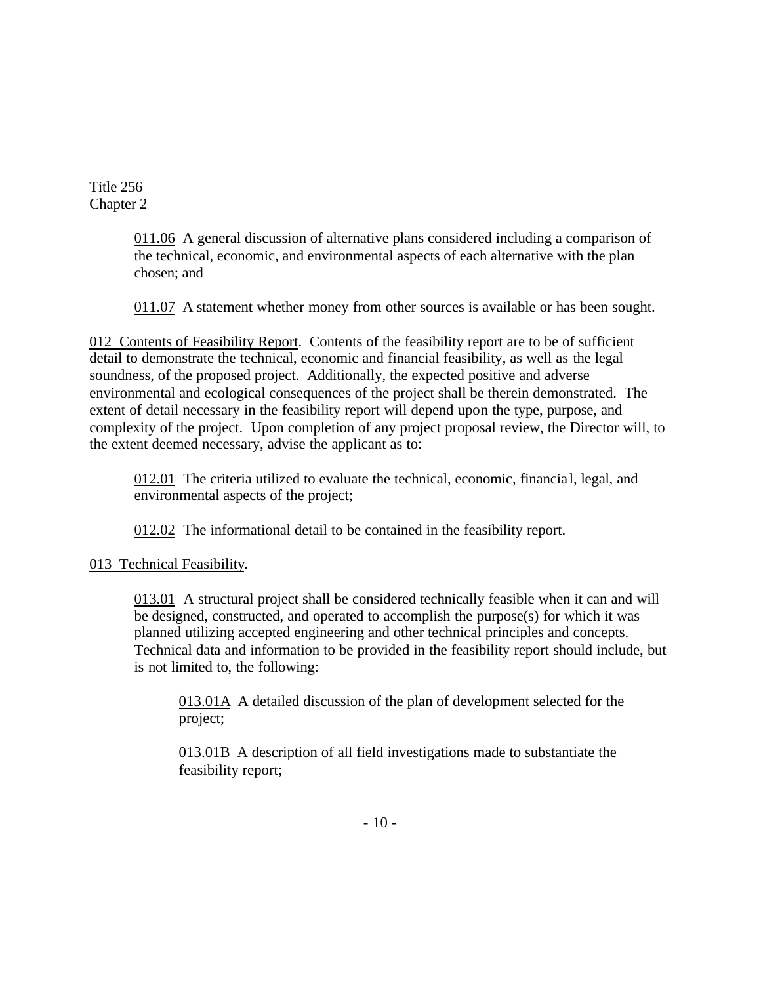> 011.06 A general discussion of alternative plans considered including a comparison of the technical, economic, and environmental aspects of each alternative with the plan chosen; and

> 011.07 A statement whether money from other sources is available or has been sought.

012 Contents of Feasibility Report. Contents of the feasibility report are to be of sufficient detail to demonstrate the technical, economic and financial feasibility, as well as the legal soundness, of the proposed project. Additionally, the expected positive and adverse environmental and ecological consequences of the project shall be therein demonstrated. The extent of detail necessary in the feasibility report will depend upon the type, purpose, and complexity of the project. Upon completion of any project proposal review, the Director will, to the extent deemed necessary, advise the applicant as to:

012.01 The criteria utilized to evaluate the technical, economic, financia l, legal, and environmental aspects of the project;

012.02 The informational detail to be contained in the feasibility report.

013 Technical Feasibility.

013.01 A structural project shall be considered technically feasible when it can and will be designed, constructed, and operated to accomplish the purpose(s) for which it was planned utilizing accepted engineering and other technical principles and concepts. Technical data and information to be provided in the feasibility report should include, but is not limited to, the following:

013.01A A detailed discussion of the plan of development selected for the project;

013.01B A description of all field investigations made to substantiate the feasibility report;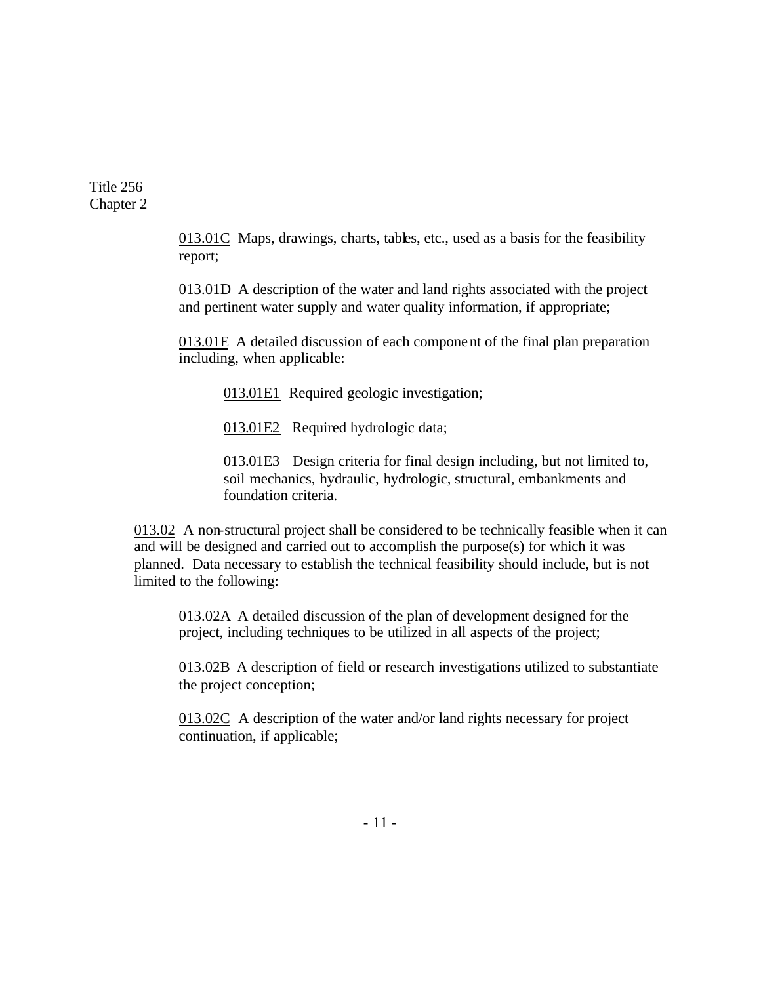> 013.01C Maps, drawings, charts, tables, etc., used as a basis for the feasibility report;

> 013.01D A description of the water and land rights associated with the project and pertinent water supply and water quality information, if appropriate;

> 013.01E A detailed discussion of each component of the final plan preparation including, when applicable:

013.01E1 Required geologic investigation;

013.01E2 Required hydrologic data;

013.01E3 Design criteria for final design including, but not limited to, soil mechanics, hydraulic, hydrologic, structural, embankments and foundation criteria.

013.02 A non-structural project shall be considered to be technically feasible when it can and will be designed and carried out to accomplish the purpose(s) for which it was planned. Data necessary to establish the technical feasibility should include, but is not limited to the following:

013.02A A detailed discussion of the plan of development designed for the project, including techniques to be utilized in all aspects of the project;

013.02B A description of field or research investigations utilized to substantiate the project conception;

013.02C A description of the water and/or land rights necessary for project continuation, if applicable;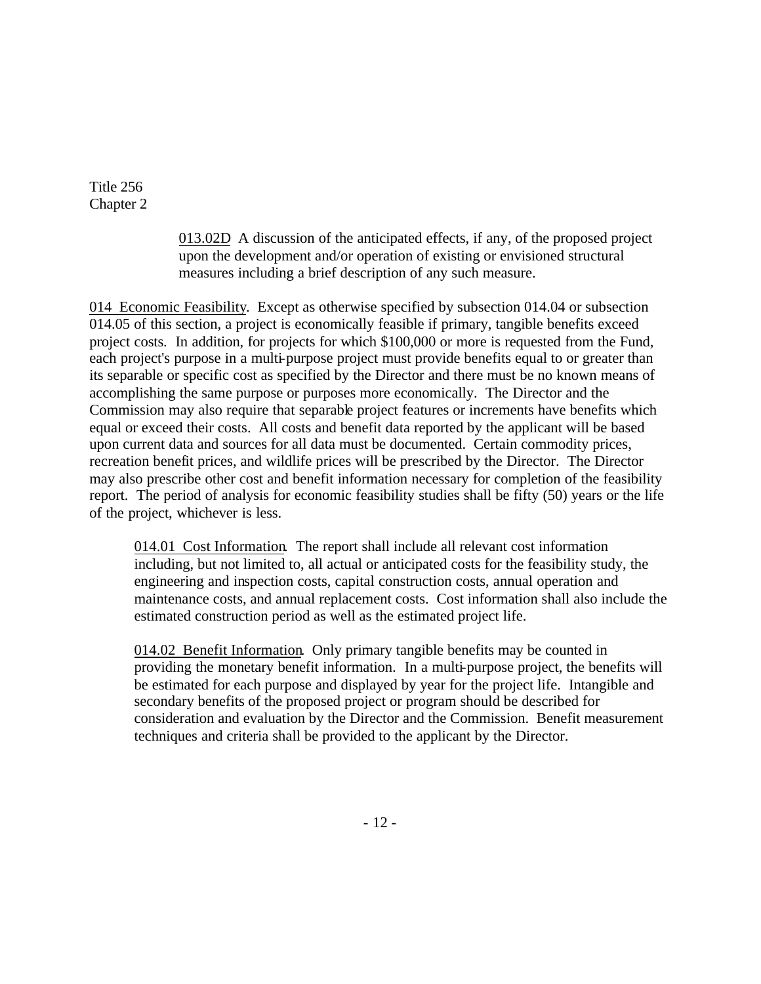> 013.02D A discussion of the anticipated effects, if any, of the proposed project upon the development and/or operation of existing or envisioned structural measures including a brief description of any such measure.

014 Economic Feasibility. Except as otherwise specified by subsection 014.04 or subsection 014.05 of this section, a project is economically feasible if primary, tangible benefits exceed project costs. In addition, for projects for which \$100,000 or more is requested from the Fund, each project's purpose in a multi-purpose project must provide benefits equal to or greater than its separable or specific cost as specified by the Director and there must be no known means of accomplishing the same purpose or purposes more economically. The Director and the Commission may also require that separable project features or increments have benefits which equal or exceed their costs. All costs and benefit data reported by the applicant will be based upon current data and sources for all data must be documented. Certain commodity prices, recreation benefit prices, and wildlife prices will be prescribed by the Director. The Director may also prescribe other cost and benefit information necessary for completion of the feasibility report. The period of analysis for economic feasibility studies shall be fifty (50) years or the life of the project, whichever is less.

014.01 Cost Information. The report shall include all relevant cost information including, but not limited to, all actual or anticipated costs for the feasibility study, the engineering and inspection costs, capital construction costs, annual operation and maintenance costs, and annual replacement costs. Cost information shall also include the estimated construction period as well as the estimated project life.

014.02 Benefit Information. Only primary tangible benefits may be counted in providing the monetary benefit information. In a multi-purpose project, the benefits will be estimated for each purpose and displayed by year for the project life. Intangible and secondary benefits of the proposed project or program should be described for consideration and evaluation by the Director and the Commission. Benefit measurement techniques and criteria shall be provided to the applicant by the Director.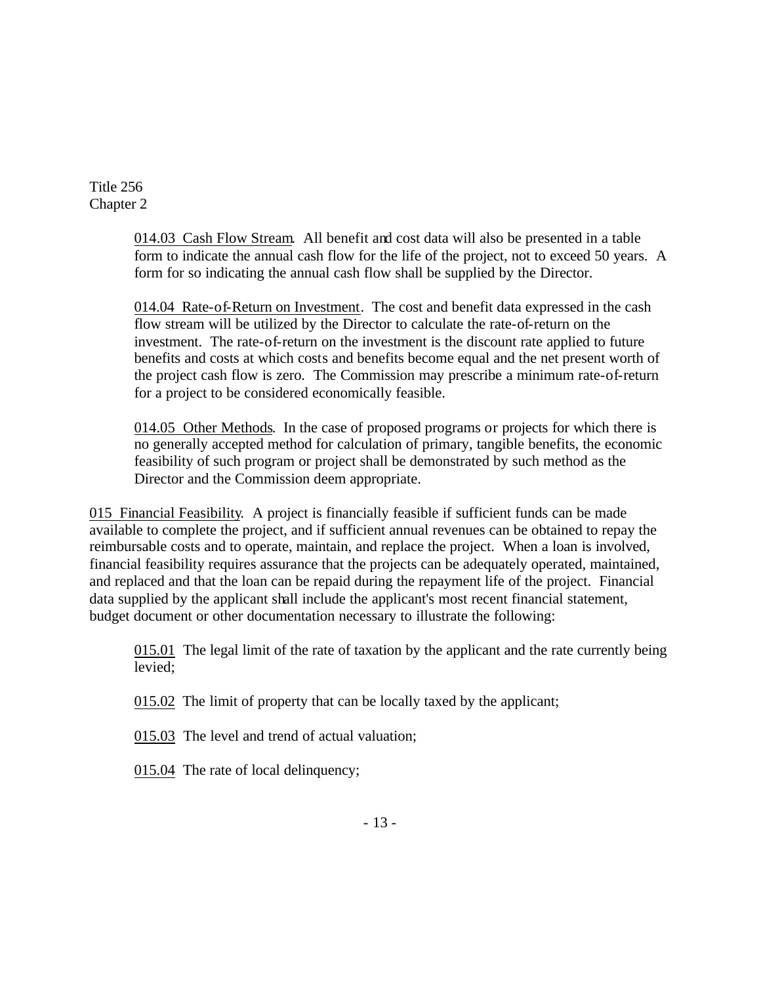> 014.03 Cash Flow Stream. All benefit and cost data will also be presented in a table form to indicate the annual cash flow for the life of the project, not to exceed 50 years. A form for so indicating the annual cash flow shall be supplied by the Director.

014.04 Rate-of-Return on Investment. The cost and benefit data expressed in the cash flow stream will be utilized by the Director to calculate the rate-of-return on the investment. The rate-of-return on the investment is the discount rate applied to future benefits and costs at which costs and benefits become equal and the net present worth of the project cash flow is zero. The Commission may prescribe a minimum rate-of-return for a project to be considered economically feasible.

014.05 Other Methods. In the case of proposed programs or projects for which there is no generally accepted method for calculation of primary, tangible benefits, the economic feasibility of such program or project shall be demonstrated by such method as the Director and the Commission deem appropriate.

015 Financial Feasibility. A project is financially feasible if sufficient funds can be made available to complete the project, and if sufficient annual revenues can be obtained to repay the reimbursable costs and to operate, maintain, and replace the project. When a loan is involved, financial feasibility requires assurance that the projects can be adequately operated, maintained, and replaced and that the loan can be repaid during the repayment life of the project. Financial data supplied by the applicant shall include the applicant's most recent financial statement, budget document or other documentation necessary to illustrate the following:

015.01 The legal limit of the rate of taxation by the applicant and the rate currently being levied;

015.02 The limit of property that can be locally taxed by the applicant;

015.03 The level and trend of actual valuation;

015.04 The rate of local delinquency;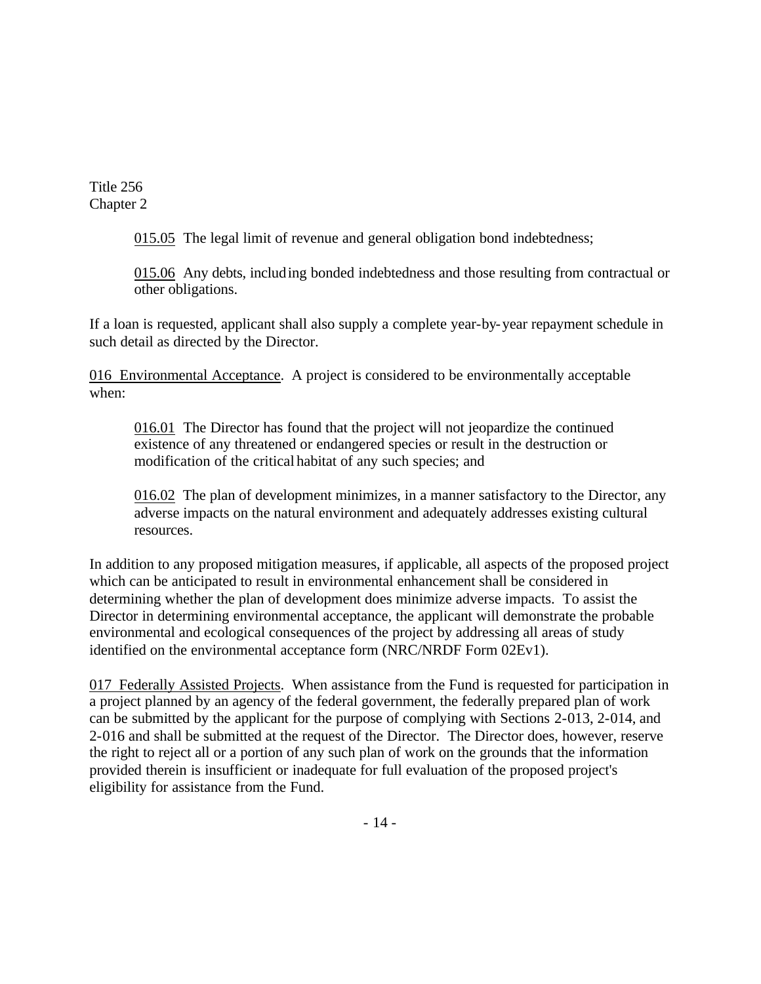015.05 The legal limit of revenue and general obligation bond indebtedness;

015.06 Any debts, including bonded indebtedness and those resulting from contractual or other obligations.

If a loan is requested, applicant shall also supply a complete year-by-year repayment schedule in such detail as directed by the Director.

016 Environmental Acceptance. A project is considered to be environmentally acceptable when:

016.01 The Director has found that the project will not jeopardize the continued existence of any threatened or endangered species or result in the destruction or modification of the critical habitat of any such species; and

016.02 The plan of development minimizes, in a manner satisfactory to the Director, any adverse impacts on the natural environment and adequately addresses existing cultural resources.

In addition to any proposed mitigation measures, if applicable, all aspects of the proposed project which can be anticipated to result in environmental enhancement shall be considered in determining whether the plan of development does minimize adverse impacts. To assist the Director in determining environmental acceptance, the applicant will demonstrate the probable environmental and ecological consequences of the project by addressing all areas of study identified on the environmental acceptance form (NRC/NRDF Form 02Ev1).

017 Federally Assisted Projects. When assistance from the Fund is requested for participation in a project planned by an agency of the federal government, the federally prepared plan of work can be submitted by the applicant for the purpose of complying with Sections 2-013, 2-014, and 2-016 and shall be submitted at the request of the Director. The Director does, however, reserve the right to reject all or a portion of any such plan of work on the grounds that the information provided therein is insufficient or inadequate for full evaluation of the proposed project's eligibility for assistance from the Fund.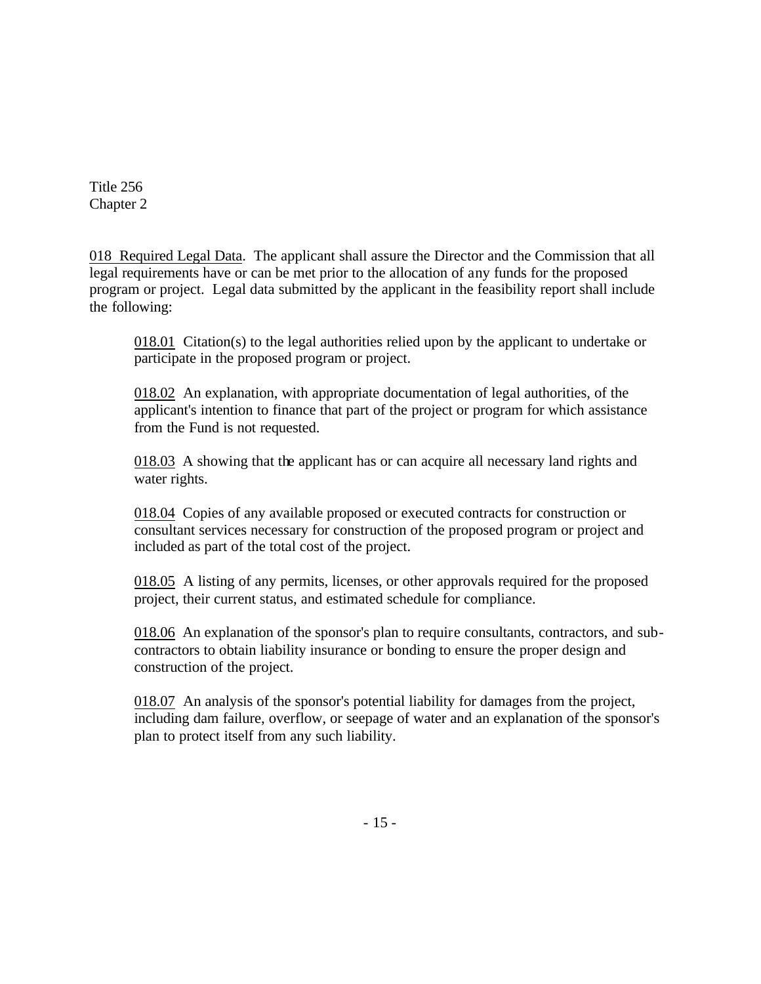018 Required Legal Data. The applicant shall assure the Director and the Commission that all legal requirements have or can be met prior to the allocation of any funds for the proposed program or project. Legal data submitted by the applicant in the feasibility report shall include the following:

018.01 Citation(s) to the legal authorities relied upon by the applicant to undertake or participate in the proposed program or project.

018.02 An explanation, with appropriate documentation of legal authorities, of the applicant's intention to finance that part of the project or program for which assistance from the Fund is not requested.

018.03 A showing that the applicant has or can acquire all necessary land rights and water rights.

018.04 Copies of any available proposed or executed contracts for construction or consultant services necessary for construction of the proposed program or project and included as part of the total cost of the project.

018.05 A listing of any permits, licenses, or other approvals required for the proposed project, their current status, and estimated schedule for compliance.

018.06 An explanation of the sponsor's plan to require consultants, contractors, and subcontractors to obtain liability insurance or bonding to ensure the proper design and construction of the project.

018.07 An analysis of the sponsor's potential liability for damages from the project, including dam failure, overflow, or seepage of water and an explanation of the sponsor's plan to protect itself from any such liability.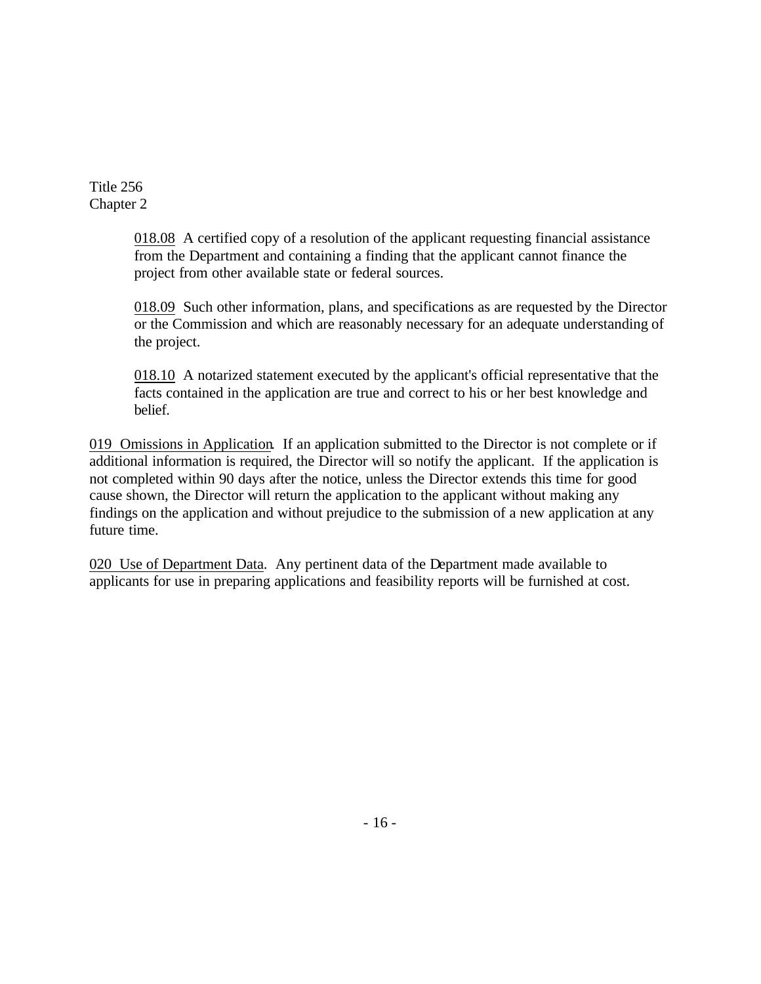> 018.08 A certified copy of a resolution of the applicant requesting financial assistance from the Department and containing a finding that the applicant cannot finance the project from other available state or federal sources.

018.09 Such other information, plans, and specifications as are requested by the Director or the Commission and which are reasonably necessary for an adequate understanding of the project.

018.10 A notarized statement executed by the applicant's official representative that the facts contained in the application are true and correct to his or her best knowledge and belief.

019 Omissions in Application. If an application submitted to the Director is not complete or if additional information is required, the Director will so notify the applicant. If the application is not completed within 90 days after the notice, unless the Director extends this time for good cause shown, the Director will return the application to the applicant without making any findings on the application and without prejudice to the submission of a new application at any future time.

020 Use of Department Data. Any pertinent data of the Department made available to applicants for use in preparing applications and feasibility reports will be furnished at cost.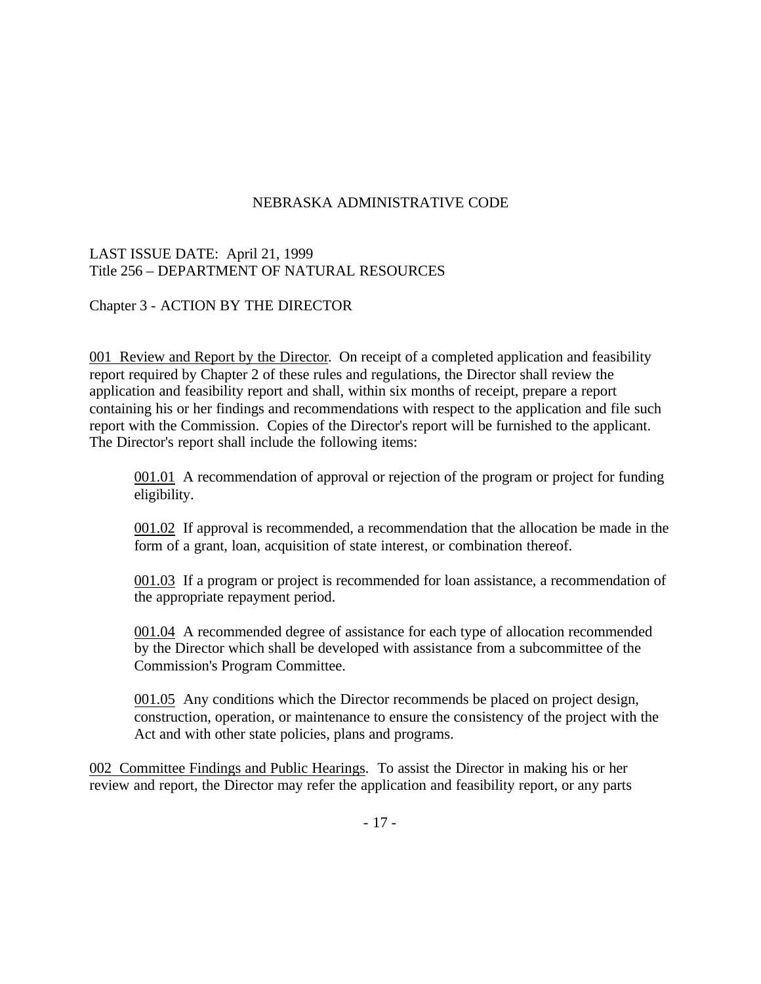## NEBRASKA ADMINISTRATIVE CODE

## LAST ISSUE DATE: April 21, 1999 Title 256 – DEPARTMENT OF NATURAL RESOURCES

## Chapter 3 - ACTION BY THE DIRECTOR

001 Review and Report by the Director. On receipt of a completed application and feasibility report required by Chapter 2 of these rules and regulations, the Director shall review the application and feasibility report and shall, within six months of receipt, prepare a report containing his or her findings and recommendations with respect to the application and file such report with the Commission. Copies of the Director's report will be furnished to the applicant. The Director's report shall include the following items:

001.01 A recommendation of approval or rejection of the program or project for funding eligibility.

001.02 If approval is recommended, a recommendation that the allocation be made in the form of a grant, loan, acquisition of state interest, or combination thereof.

001.03 If a program or project is recommended for loan assistance, a recommendation of the appropriate repayment period.

001.04 A recommended degree of assistance for each type of allocation recommended by the Director which shall be developed with assistance from a subcommittee of the Commission's Program Committee.

001.05 Any conditions which the Director recommends be placed on project design, construction, operation, or maintenance to ensure the consistency of the project with the Act and with other state policies, plans and programs.

002 Committee Findings and Public Hearings. To assist the Director in making his or her review and report, the Director may refer the application and feasibility report, or any parts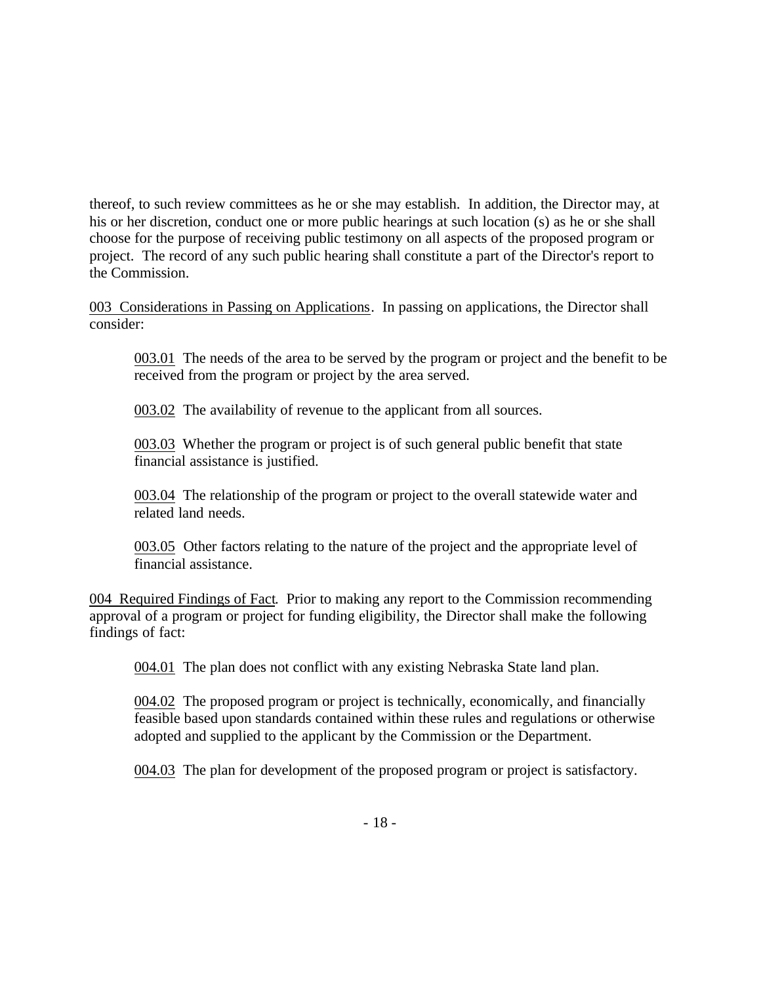thereof, to such review committees as he or she may establish. In addition, the Director may, at his or her discretion, conduct one or more public hearings at such location (s) as he or she shall choose for the purpose of receiving public testimony on all aspects of the proposed program or project. The record of any such public hearing shall constitute a part of the Director's report to the Commission.

003 Considerations in Passing on Applications. In passing on applications, the Director shall consider:

003.01 The needs of the area to be served by the program or project and the benefit to be received from the program or project by the area served.

003.02 The availability of revenue to the applicant from all sources.

003.03 Whether the program or project is of such general public benefit that state financial assistance is justified.

003.04 The relationship of the program or project to the overall statewide water and related land needs.

003.05 Other factors relating to the nature of the project and the appropriate level of financial assistance.

004 Required Findings of Fact. Prior to making any report to the Commission recommending approval of a program or project for funding eligibility, the Director shall make the following findings of fact:

004.01 The plan does not conflict with any existing Nebraska State land plan.

004.02 The proposed program or project is technically, economically, and financially feasible based upon standards contained within these rules and regulations or otherwise adopted and supplied to the applicant by the Commission or the Department.

004.03 The plan for development of the proposed program or project is satisfactory.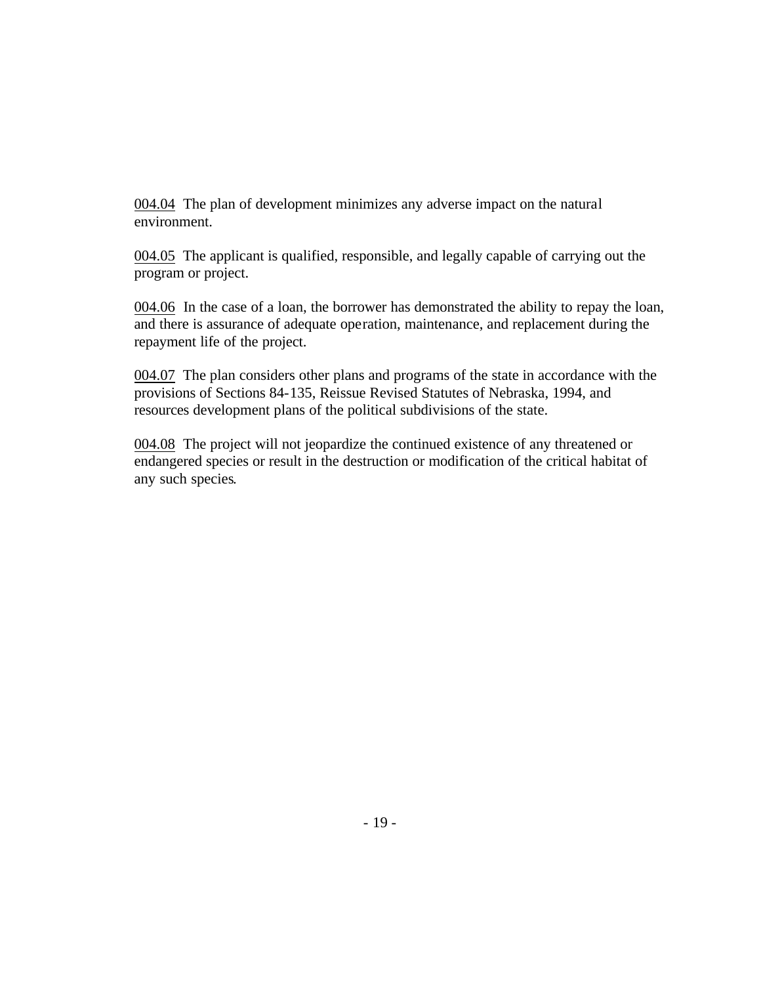004.04 The plan of development minimizes any adverse impact on the natural environment.

004.05 The applicant is qualified, responsible, and legally capable of carrying out the program or project.

004.06 In the case of a loan, the borrower has demonstrated the ability to repay the loan, and there is assurance of adequate operation, maintenance, and replacement during the repayment life of the project.

004.07 The plan considers other plans and programs of the state in accordance with the provisions of Sections 84-135, Reissue Revised Statutes of Nebraska, 1994, and resources development plans of the political subdivisions of the state.

004.08 The project will not jeopardize the continued existence of any threatened or endangered species or result in the destruction or modification of the critical habitat of any such species.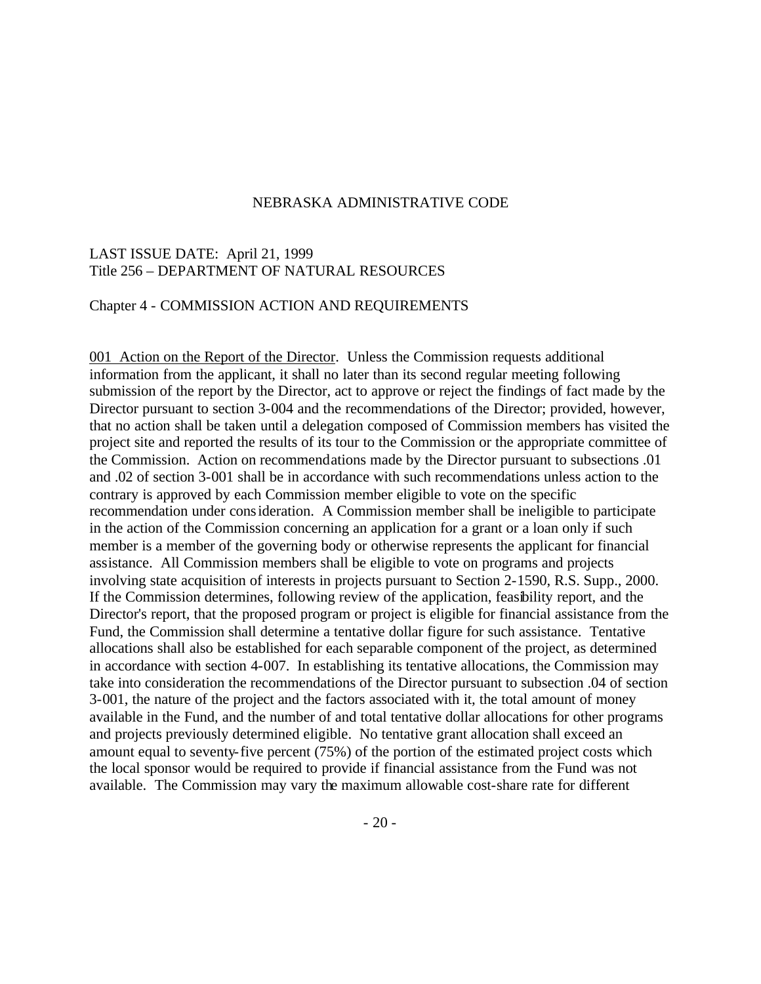#### NEBRASKA ADMINISTRATIVE CODE

#### LAST ISSUE DATE: April 21, 1999 Title 256 – DEPARTMENT OF NATURAL RESOURCES

#### Chapter 4 - COMMISSION ACTION AND REQUIREMENTS

001 Action on the Report of the Director. Unless the Commission requests additional information from the applicant, it shall no later than its second regular meeting following submission of the report by the Director, act to approve or reject the findings of fact made by the Director pursuant to section 3-004 and the recommendations of the Director; provided, however, that no action shall be taken until a delegation composed of Commission members has visited the project site and reported the results of its tour to the Commission or the appropriate committee of the Commission. Action on recommendations made by the Director pursuant to subsections .01 and .02 of section 3-001 shall be in accordance with such recommendations unless action to the contrary is approved by each Commission member eligible to vote on the specific recommendation under consideration. A Commission member shall be ineligible to participate in the action of the Commission concerning an application for a grant or a loan only if such member is a member of the governing body or otherwise represents the applicant for financial assistance. All Commission members shall be eligible to vote on programs and projects involving state acquisition of interests in projects pursuant to Section 2-1590, R.S. Supp., 2000. If the Commission determines, following review of the application, feasibility report, and the Director's report, that the proposed program or project is eligible for financial assistance from the Fund, the Commission shall determine a tentative dollar figure for such assistance. Tentative allocations shall also be established for each separable component of the project, as determined in accordance with section 4-007. In establishing its tentative allocations, the Commission may take into consideration the recommendations of the Director pursuant to subsection .04 of section 3-001, the nature of the project and the factors associated with it, the total amount of money available in the Fund, and the number of and total tentative dollar allocations for other programs and projects previously determined eligible. No tentative grant allocation shall exceed an amount equal to seventy-five percent (75%) of the portion of the estimated project costs which the local sponsor would be required to provide if financial assistance from the Fund was not available. The Commission may vary the maximum allowable cost-share rate for different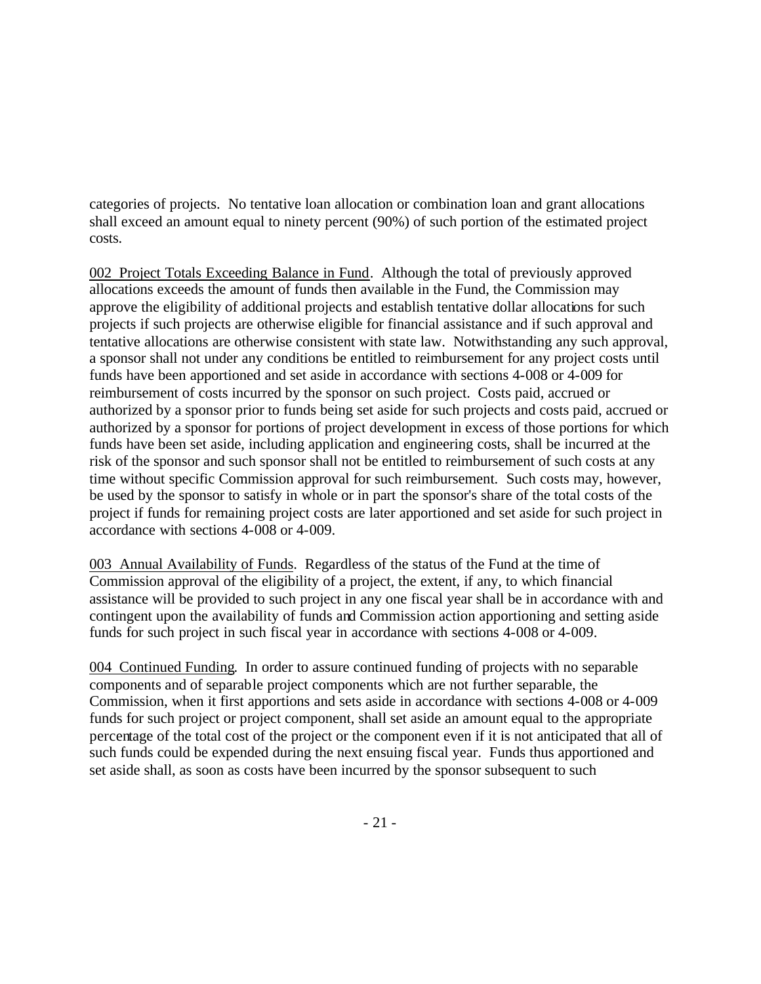categories of projects. No tentative loan allocation or combination loan and grant allocations shall exceed an amount equal to ninety percent (90%) of such portion of the estimated project costs.

002 Project Totals Exceeding Balance in Fund. Although the total of previously approved allocations exceeds the amount of funds then available in the Fund, the Commission may approve the eligibility of additional projects and establish tentative dollar allocations for such projects if such projects are otherwise eligible for financial assistance and if such approval and tentative allocations are otherwise consistent with state law. Notwithstanding any such approval, a sponsor shall not under any conditions be entitled to reimbursement for any project costs until funds have been apportioned and set aside in accordance with sections 4-008 or 4-009 for reimbursement of costs incurred by the sponsor on such project. Costs paid, accrued or authorized by a sponsor prior to funds being set aside for such projects and costs paid, accrued or authorized by a sponsor for portions of project development in excess of those portions for which funds have been set aside, including application and engineering costs, shall be incurred at the risk of the sponsor and such sponsor shall not be entitled to reimbursement of such costs at any time without specific Commission approval for such reimbursement. Such costs may, however, be used by the sponsor to satisfy in whole or in part the sponsor's share of the total costs of the project if funds for remaining project costs are later apportioned and set aside for such project in accordance with sections 4-008 or 4-009.

003 Annual Availability of Funds. Regardless of the status of the Fund at the time of Commission approval of the eligibility of a project, the extent, if any, to which financial assistance will be provided to such project in any one fiscal year shall be in accordance with and contingent upon the availability of funds and Commission action apportioning and setting aside funds for such project in such fiscal year in accordance with sections 4-008 or 4-009.

004 Continued Funding. In order to assure continued funding of projects with no separable components and of separable project components which are not further separable, the Commission, when it first apportions and sets aside in accordance with sections 4-008 or 4-009 funds for such project or project component, shall set aside an amount equal to the appropriate percentage of the total cost of the project or the component even if it is not anticipated that all of such funds could be expended during the next ensuing fiscal year. Funds thus apportioned and set aside shall, as soon as costs have been incurred by the sponsor subsequent to such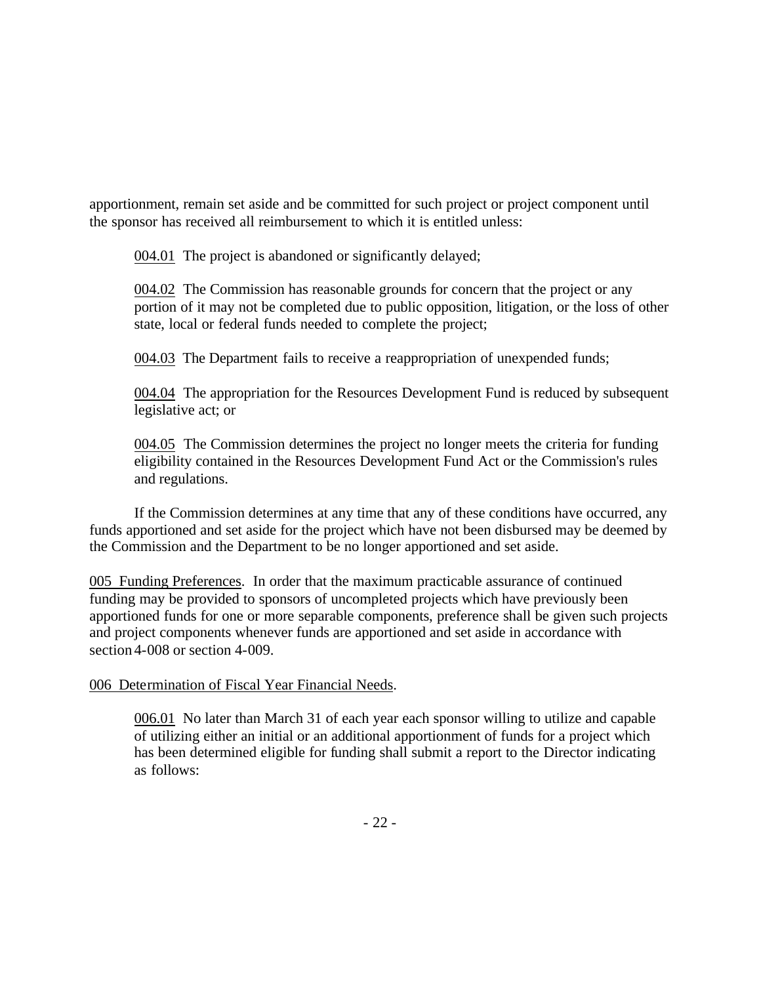apportionment, remain set aside and be committed for such project or project component until the sponsor has received all reimbursement to which it is entitled unless:

004.01 The project is abandoned or significantly delayed;

004.02 The Commission has reasonable grounds for concern that the project or any portion of it may not be completed due to public opposition, litigation, or the loss of other state, local or federal funds needed to complete the project;

004.03 The Department fails to receive a reappropriation of unexpended funds;

004.04 The appropriation for the Resources Development Fund is reduced by subsequent legislative act; or

004.05 The Commission determines the project no longer meets the criteria for funding eligibility contained in the Resources Development Fund Act or the Commission's rules and regulations.

If the Commission determines at any time that any of these conditions have occurred, any funds apportioned and set aside for the project which have not been disbursed may be deemed by the Commission and the Department to be no longer apportioned and set aside.

005 Funding Preferences. In order that the maximum practicable assurance of continued funding may be provided to sponsors of uncompleted projects which have previously been apportioned funds for one or more separable components, preference shall be given such projects and project components whenever funds are apportioned and set aside in accordance with section 4-008 or section 4-009.

## 006 Determination of Fiscal Year Financial Needs.

006.01 No later than March 31 of each year each sponsor willing to utilize and capable of utilizing either an initial or an additional apportionment of funds for a project which has been determined eligible for funding shall submit a report to the Director indicating as follows: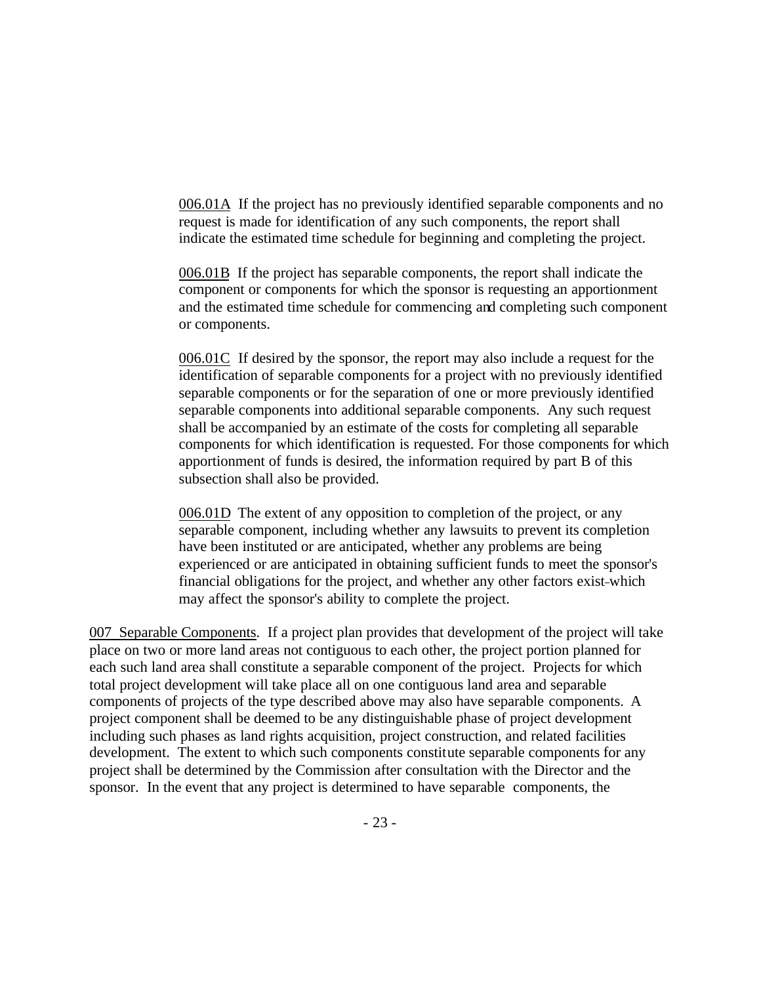006.01A If the project has no previously identified separable components and no request is made for identification of any such components, the report shall indicate the estimated time schedule for beginning and completing the project.

006.01B If the project has separable components, the report shall indicate the component or components for which the sponsor is requesting an apportionment and the estimated time schedule for commencing and completing such component or components.

006.01C If desired by the sponsor, the report may also include a request for the identification of separable components for a project with no previously identified separable components or for the separation of one or more previously identified separable components into additional separable components. Any such request shall be accompanied by an estimate of the costs for completing all separable components for which identification is requested. For those components for which apportionment of funds is desired, the information required by part B of this subsection shall also be provided.

006.01D The extent of any opposition to completion of the project, or any separable component, including whether any lawsuits to prevent its completion have been instituted or are anticipated, whether any problems are being experienced or are anticipated in obtaining sufficient funds to meet the sponsor's financial obligations for the project, and whether any other factors exist-which may affect the sponsor's ability to complete the project.

007 Separable Components. If a project plan provides that development of the project will take place on two or more land areas not contiguous to each other, the project portion planned for each such land area shall constitute a separable component of the project. Projects for which total project development will take place all on one contiguous land area and separable components of projects of the type described above may also have separable components. A project component shall be deemed to be any distinguishable phase of project development including such phases as land rights acquisition, project construction, and related facilities development. The extent to which such components constitute separable components for any project shall be determined by the Commission after consultation with the Director and the sponsor. In the event that any project is determined to have separable components, the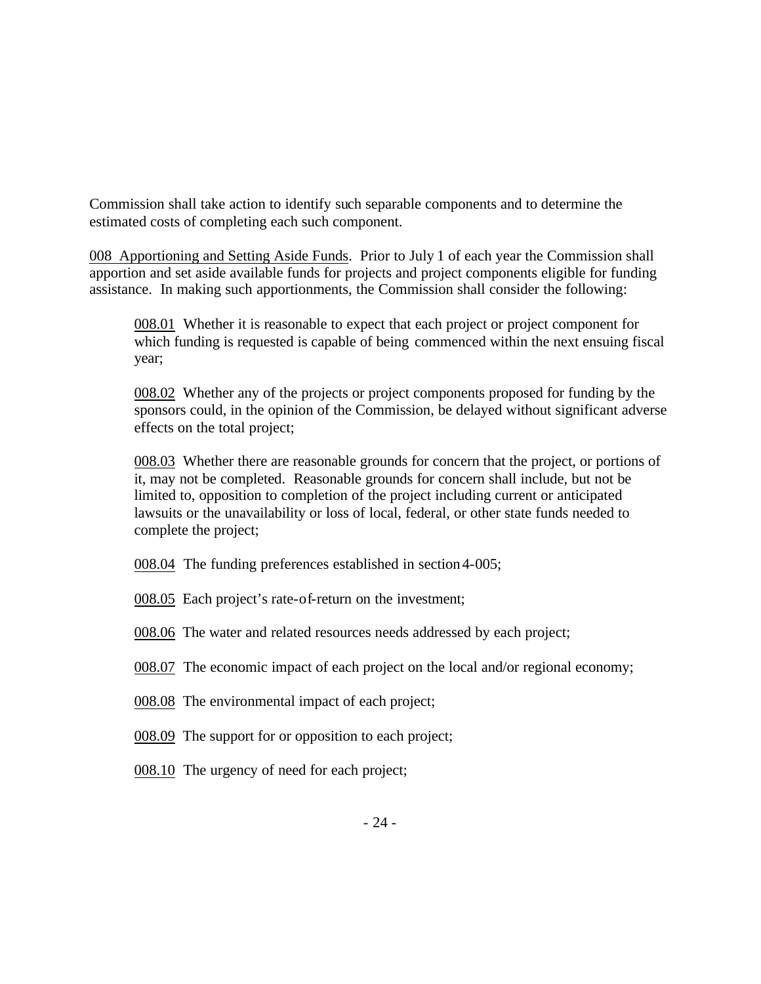Commission shall take action to identify such separable components and to determine the estimated costs of completing each such component.

008 Apportioning and Setting Aside Funds. Prior to July 1 of each year the Commission shall apportion and set aside available funds for projects and project components eligible for funding assistance. In making such apportionments, the Commission shall consider the following:

008.01 Whether it is reasonable to expect that each project or project component for which funding is requested is capable of being commenced within the next ensuing fiscal year;

008.02 Whether any of the projects or project components proposed for funding by the sponsors could, in the opinion of the Commission, be delayed without significant adverse effects on the total project;

008.03 Whether there are reasonable grounds for concern that the project, or portions of it, may not be completed. Reasonable grounds for concern shall include, but not be limited to, opposition to completion of the project including current or anticipated lawsuits or the unavailability or loss of local, federal, or other state funds needed to complete the project;

- 008.04 The funding preferences established in section 4-005;
- 008.05 Each project's rate-of-return on the investment;
- 008.06 The water and related resources needs addressed by each project;
- 008.07 The economic impact of each project on the local and/or regional economy;
- 008.08 The environmental impact of each project;
- 008.09 The support for or opposition to each project;
- 008.10 The urgency of need for each project;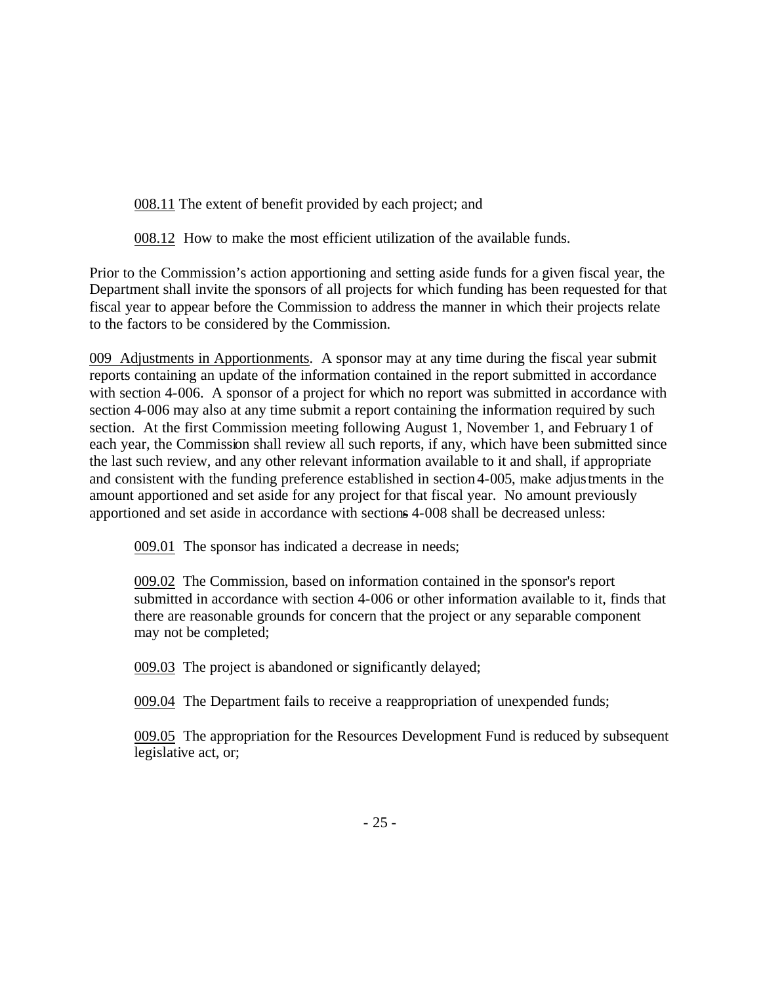008.11 The extent of benefit provided by each project; and

008.12 How to make the most efficient utilization of the available funds.

Prior to the Commission's action apportioning and setting aside funds for a given fiscal year, the Department shall invite the sponsors of all projects for which funding has been requested for that fiscal year to appear before the Commission to address the manner in which their projects relate to the factors to be considered by the Commission.

009 Adjustments in Apportionments. A sponsor may at any time during the fiscal year submit reports containing an update of the information contained in the report submitted in accordance with section 4-006. A sponsor of a project for which no report was submitted in accordance with section 4-006 may also at any time submit a report containing the information required by such section. At the first Commission meeting following August 1, November 1, and February 1 of each year, the Commission shall review all such reports, if any, which have been submitted since the last such review, and any other relevant information available to it and shall, if appropriate and consistent with the funding preference established in section4-005, make adjustments in the amount apportioned and set aside for any project for that fiscal year. No amount previously apportioned and set aside in accordance with sections 4-008 shall be decreased unless:

009.01 The sponsor has indicated a decrease in needs;

009.02 The Commission, based on information contained in the sponsor's report submitted in accordance with section 4-006 or other information available to it, finds that there are reasonable grounds for concern that the project or any separable component may not be completed;

009.03 The project is abandoned or significantly delayed;

009.04 The Department fails to receive a reappropriation of unexpended funds;

009.05 The appropriation for the Resources Development Fund is reduced by subsequent legislative act, or;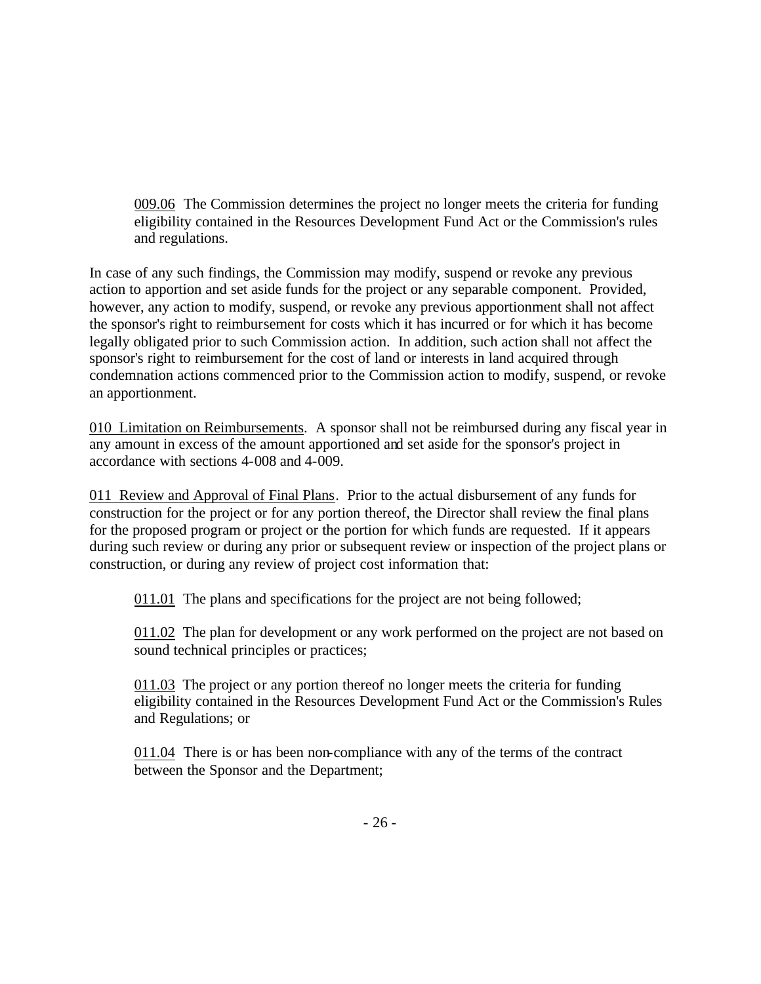009.06 The Commission determines the project no longer meets the criteria for funding eligibility contained in the Resources Development Fund Act or the Commission's rules and regulations.

In case of any such findings, the Commission may modify, suspend or revoke any previous action to apportion and set aside funds for the project or any separable component. Provided, however, any action to modify, suspend, or revoke any previous apportionment shall not affect the sponsor's right to reimbursement for costs which it has incurred or for which it has become legally obligated prior to such Commission action. In addition, such action shall not affect the sponsor's right to reimbursement for the cost of land or interests in land acquired through condemnation actions commenced prior to the Commission action to modify, suspend, or revoke an apportionment.

010 Limitation on Reimbursements. A sponsor shall not be reimbursed during any fiscal year in any amount in excess of the amount apportioned and set aside for the sponsor's project in accordance with sections 4-008 and 4-009.

011 Review and Approval of Final Plans. Prior to the actual disbursement of any funds for construction for the project or for any portion thereof, the Director shall review the final plans for the proposed program or project or the portion for which funds are requested. If it appears during such review or during any prior or subsequent review or inspection of the project plans or construction, or during any review of project cost information that:

011.01 The plans and specifications for the project are not being followed;

011.02 The plan for development or any work performed on the project are not based on sound technical principles or practices;

011.03 The project or any portion thereof no longer meets the criteria for funding eligibility contained in the Resources Development Fund Act or the Commission's Rules and Regulations; or

011.04 There is or has been non-compliance with any of the terms of the contract between the Sponsor and the Department;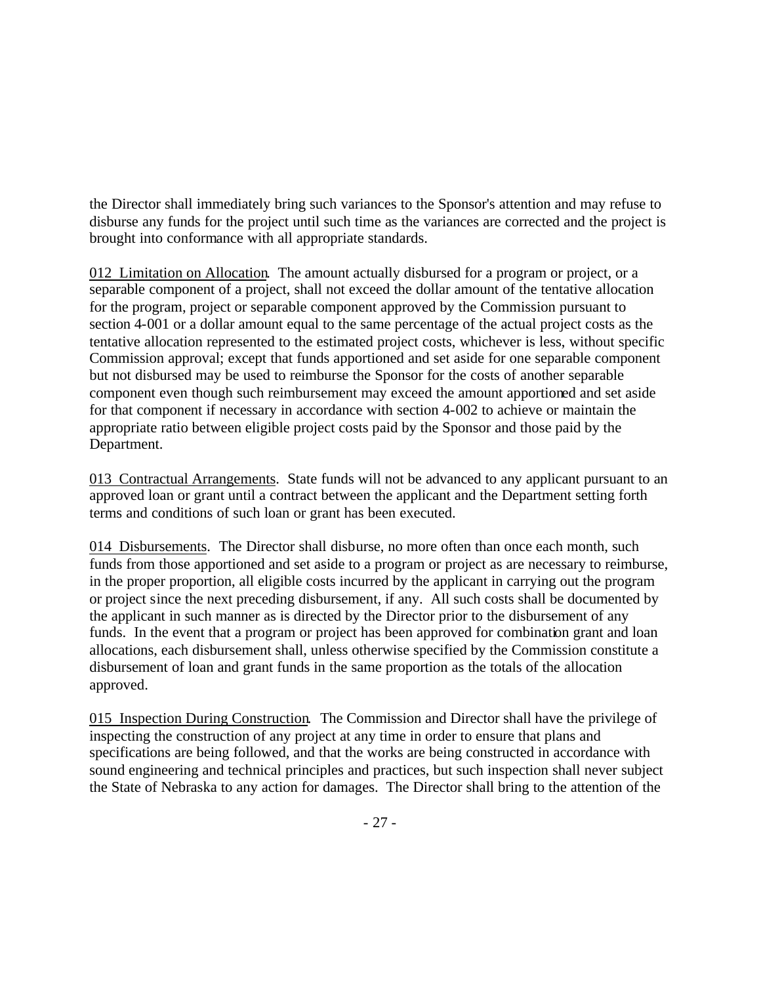the Director shall immediately bring such variances to the Sponsor's attention and may refuse to disburse any funds for the project until such time as the variances are corrected and the project is brought into conformance with all appropriate standards.

012 Limitation on Allocation. The amount actually disbursed for a program or project, or a separable component of a project, shall not exceed the dollar amount of the tentative allocation for the program, project or separable component approved by the Commission pursuant to section 4-001 or a dollar amount equal to the same percentage of the actual project costs as the tentative allocation represented to the estimated project costs, whichever is less, without specific Commission approval; except that funds apportioned and set aside for one separable component but not disbursed may be used to reimburse the Sponsor for the costs of another separable component even though such reimbursement may exceed the amount apportioned and set aside for that component if necessary in accordance with section 4-002 to achieve or maintain the appropriate ratio between eligible project costs paid by the Sponsor and those paid by the Department.

013 Contractual Arrangements. State funds will not be advanced to any applicant pursuant to an approved loan or grant until a contract between the applicant and the Department setting forth terms and conditions of such loan or grant has been executed.

014 Disbursements. The Director shall disburse, no more often than once each month, such funds from those apportioned and set aside to a program or project as are necessary to reimburse, in the proper proportion, all eligible costs incurred by the applicant in carrying out the program or project since the next preceding disbursement, if any. All such costs shall be documented by the applicant in such manner as is directed by the Director prior to the disbursement of any funds. In the event that a program or project has been approved for combination grant and loan allocations, each disbursement shall, unless otherwise specified by the Commission constitute a disbursement of loan and grant funds in the same proportion as the totals of the allocation approved.

015 Inspection During Construction. The Commission and Director shall have the privilege of inspecting the construction of any project at any time in order to ensure that plans and specifications are being followed, and that the works are being constructed in accordance with sound engineering and technical principles and practices, but such inspection shall never subject the State of Nebraska to any action for damages. The Director shall bring to the attention of the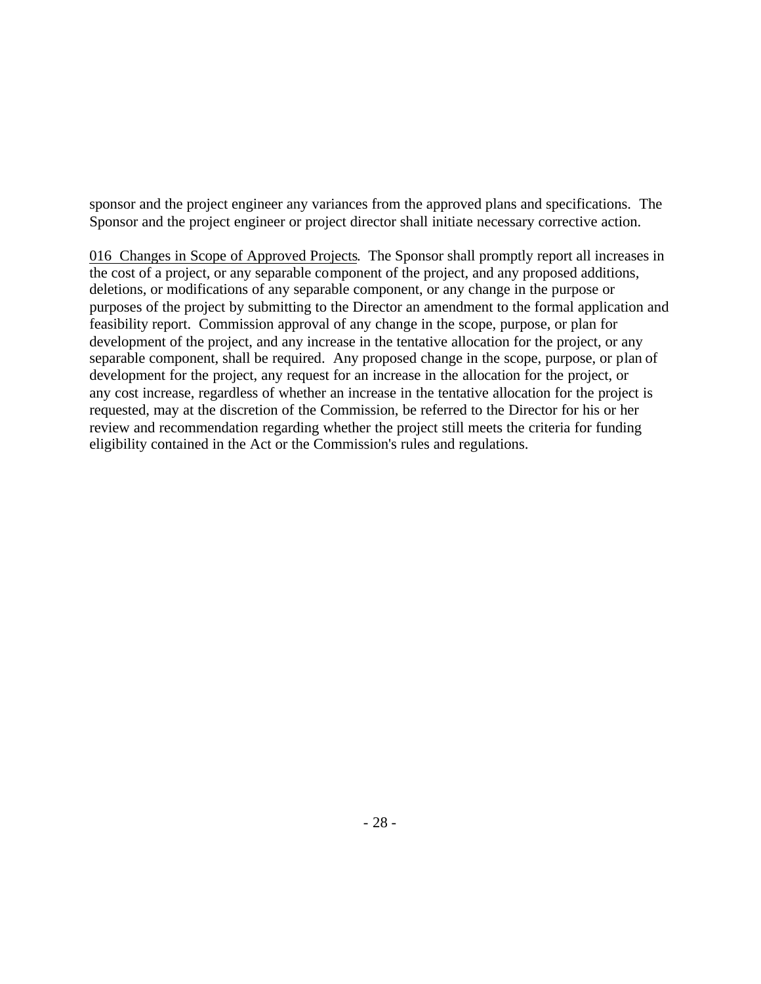sponsor and the project engineer any variances from the approved plans and specifications. The Sponsor and the project engineer or project director shall initiate necessary corrective action.

016 Changes in Scope of Approved Projects. The Sponsor shall promptly report all increases in the cost of a project, or any separable component of the project, and any proposed additions, deletions, or modifications of any separable component, or any change in the purpose or purposes of the project by submitting to the Director an amendment to the formal application and feasibility report. Commission approval of any change in the scope, purpose, or plan for development of the project, and any increase in the tentative allocation for the project, or any separable component, shall be required. Any proposed change in the scope, purpose, or plan of development for the project, any request for an increase in the allocation for the project, or any cost increase, regardless of whether an increase in the tentative allocation for the project is requested, may at the discretion of the Commission, be referred to the Director for his or her review and recommendation regarding whether the project still meets the criteria for funding eligibility contained in the Act or the Commission's rules and regulations.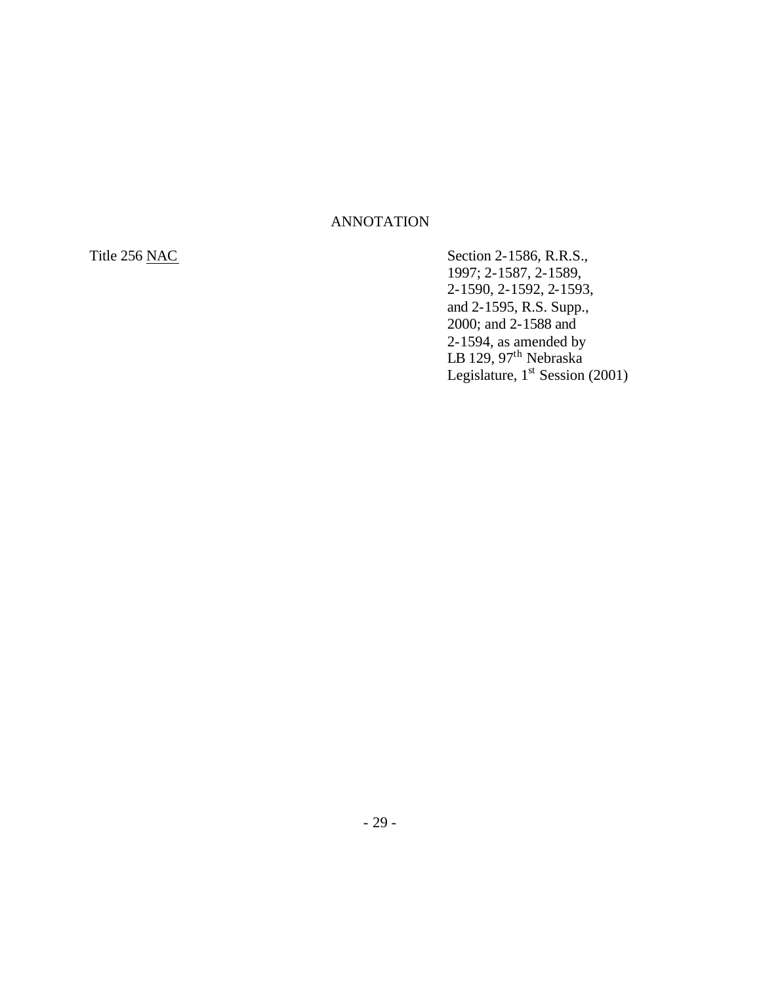## ANNOTATION

Title 256 <u>NAC</u> Section 2-1586, R.R.S., 1997; 2-1587, 2-1589, 2-1590, 2-1592, 2-1593, and 2-1595, R.S. Supp., 2000; and 2-1588 and 2-1594, as amended by LB 129, 97<sup>th</sup> Nebraska Legislature,  $1<sup>st</sup>$  Session (2001)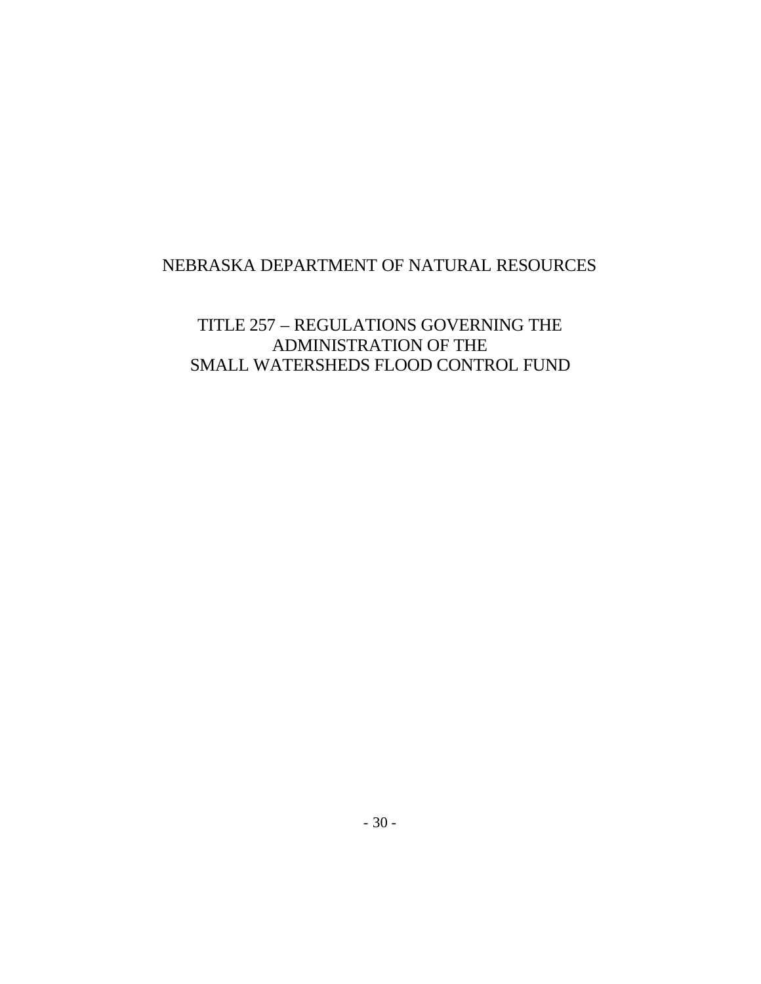# NEBRASKA DEPARTMENT OF NATURAL RESOURCES

TITLE 257 – REGULATIONS GOVERNING THE ADMINISTRATION OF THE SMALL WATERSHEDS FLOOD CONTROL FUND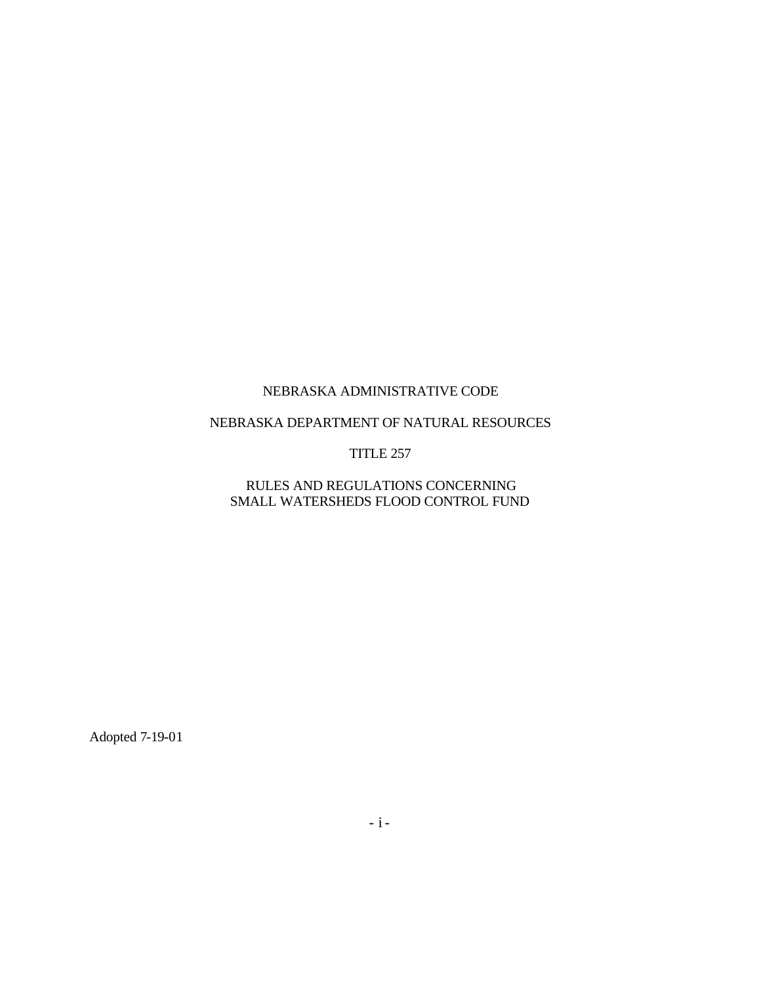#### NEBRASKA DEPARTMENT OF NATURAL RESOURCES

#### TITLE 257

### RULES AND REGULATIONS CONCERNING SMALL WATERSHEDS FLOOD CONTROL FUND

Adopted 7-19-01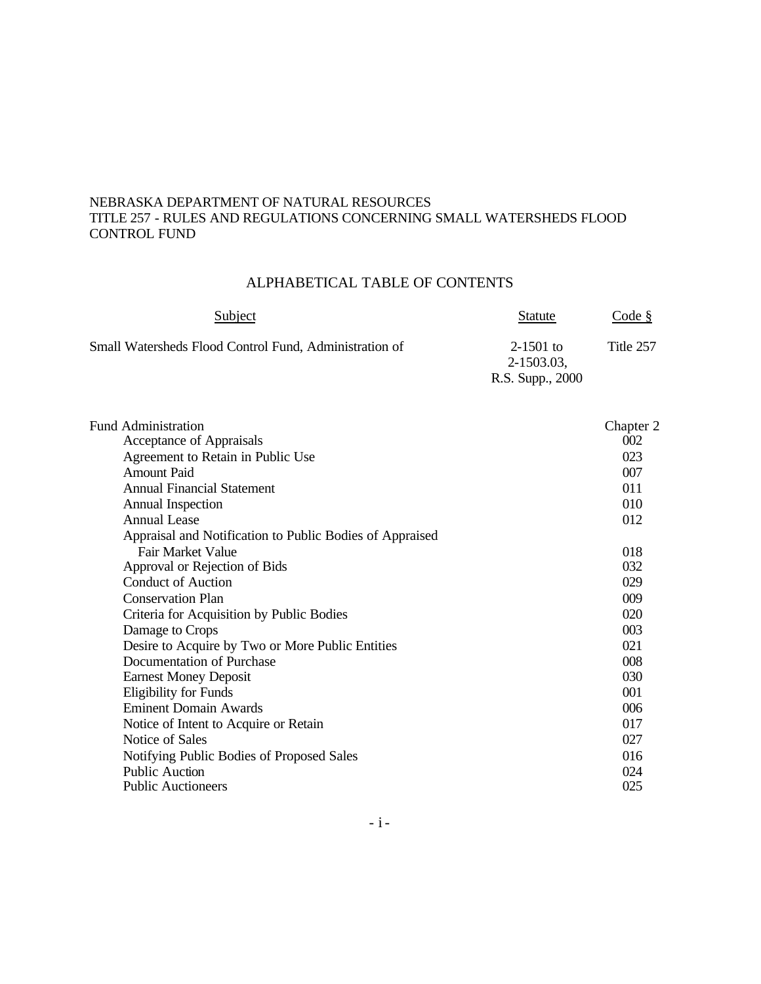#### NEBRASKA DEPARTMENT OF NATURAL RESOURCES TITLE 257 - RULES AND REGULATIONS CONCERNING SMALL WATERSHEDS FLOOD CONTROL FUND

# ALPHABETICAL TABLE OF CONTENTS

| Subject                                                | <b>Statute</b>          | Code §    |
|--------------------------------------------------------|-------------------------|-----------|
| Small Watersheds Flood Control Fund, Administration of | 2-1501 to<br>2-1503.03. | Title 257 |
|                                                        | R.S. Supp., 2000        |           |

| <b>Fund Administration</b>                               | Chapter 2 |
|----------------------------------------------------------|-----------|
| Acceptance of Appraisals                                 | 002       |
| Agreement to Retain in Public Use                        | 023       |
| <b>Amount Paid</b>                                       | 007       |
| <b>Annual Financial Statement</b>                        | 011       |
| Annual Inspection                                        | 010       |
| <b>Annual Lease</b>                                      | 012       |
| Appraisal and Notification to Public Bodies of Appraised |           |
| Fair Market Value                                        | 018       |
| Approval or Rejection of Bids                            | 032       |
| <b>Conduct of Auction</b>                                | 029       |
| <b>Conservation Plan</b>                                 | 009       |
| Criteria for Acquisition by Public Bodies                | 020       |
| Damage to Crops                                          | 003       |
| Desire to Acquire by Two or More Public Entities         | 021       |
| Documentation of Purchase                                | 008       |
| <b>Earnest Money Deposit</b>                             | 030       |
| <b>Eligibility for Funds</b>                             | 001       |
| <b>Eminent Domain Awards</b>                             | 006       |
| Notice of Intent to Acquire or Retain                    | 017       |
| Notice of Sales                                          | 027       |
| Notifying Public Bodies of Proposed Sales                | 016       |
| <b>Public Auction</b>                                    | 024       |
| <b>Public Auctioneers</b>                                | 025       |
|                                                          |           |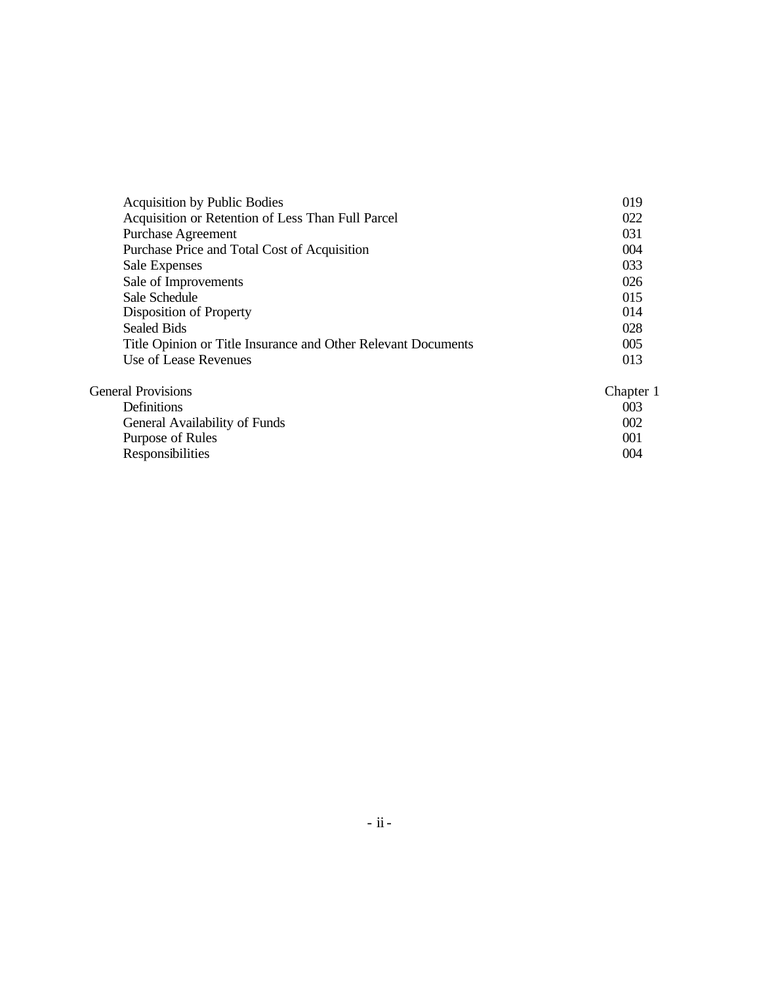| <b>Acquisition by Public Bodies</b>                           | 019       |
|---------------------------------------------------------------|-----------|
| Acquisition or Retention of Less Than Full Parcel             | 022       |
| <b>Purchase Agreement</b>                                     | 031       |
| Purchase Price and Total Cost of Acquisition                  | 004       |
| Sale Expenses                                                 | 033       |
| Sale of Improvements                                          | 026       |
| Sale Schedule                                                 | 015       |
| Disposition of Property                                       | 014       |
| <b>Sealed Bids</b>                                            | 028       |
| Title Opinion or Title Insurance and Other Relevant Documents | 005       |
| Use of Lease Revenues                                         | 013       |
| <b>General Provisions</b>                                     | Chapter 1 |

| <b>Definitions</b>            | 003              |
|-------------------------------|------------------|
| General Availability of Funds | 002 <sup>2</sup> |
| Purpose of Rules              | 001              |
| Responsibilities              | 004              |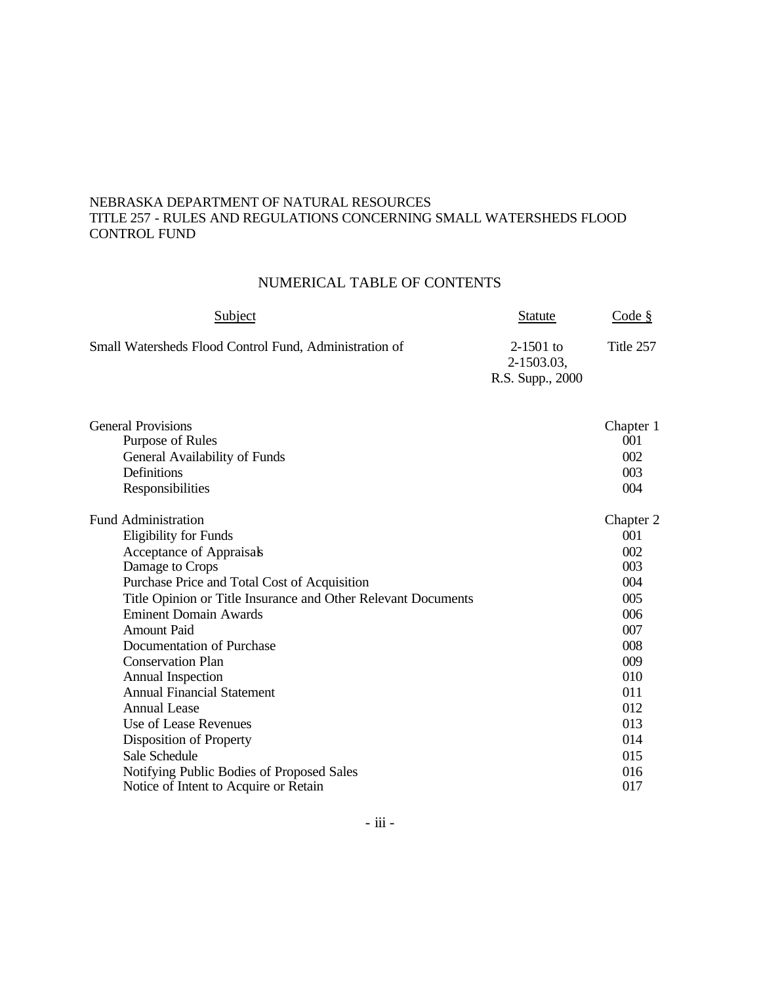#### NEBRASKA DEPARTMENT OF NATURAL RESOURCES TITLE 257 - RULES AND REGULATIONS CONCERNING SMALL WATERSHEDS FLOOD CONTROL FUND

# NUMERICAL TABLE OF CONTENTS

| Subject                                                       | <b>Statute</b>                                | Code §           |
|---------------------------------------------------------------|-----------------------------------------------|------------------|
| Small Watersheds Flood Control Fund, Administration of        | $2-1501$ to<br>2-1503.03,<br>R.S. Supp., 2000 | Title 257        |
| <b>General Provisions</b><br>Purpose of Rules                 |                                               | Chapter 1<br>001 |
| General Availability of Funds                                 |                                               | 002              |
| Definitions                                                   |                                               | 003              |
| Responsibilities                                              |                                               | 004              |
| <b>Fund Administration</b>                                    |                                               | Chapter 2        |
| <b>Eligibility for Funds</b>                                  |                                               | 001              |
| Acceptance of Appraisals                                      |                                               | 002              |
| Damage to Crops                                               |                                               | 003              |
| Purchase Price and Total Cost of Acquisition                  |                                               | 004              |
| Title Opinion or Title Insurance and Other Relevant Documents |                                               | 005              |
| <b>Eminent Domain Awards</b>                                  |                                               | 006              |
| <b>Amount Paid</b>                                            |                                               | 007              |
| Documentation of Purchase                                     |                                               | 008              |
| <b>Conservation Plan</b>                                      |                                               | 009              |
| Annual Inspection                                             |                                               | 010              |
| <b>Annual Financial Statement</b>                             |                                               | 011              |
| <b>Annual Lease</b>                                           |                                               | 012              |
| Use of Lease Revenues                                         |                                               | 013              |
| Disposition of Property                                       |                                               | 014              |
| Sale Schedule                                                 |                                               | 015              |
| Notifying Public Bodies of Proposed Sales                     |                                               | 016              |
| Notice of Intent to Acquire or Retain                         |                                               | 017              |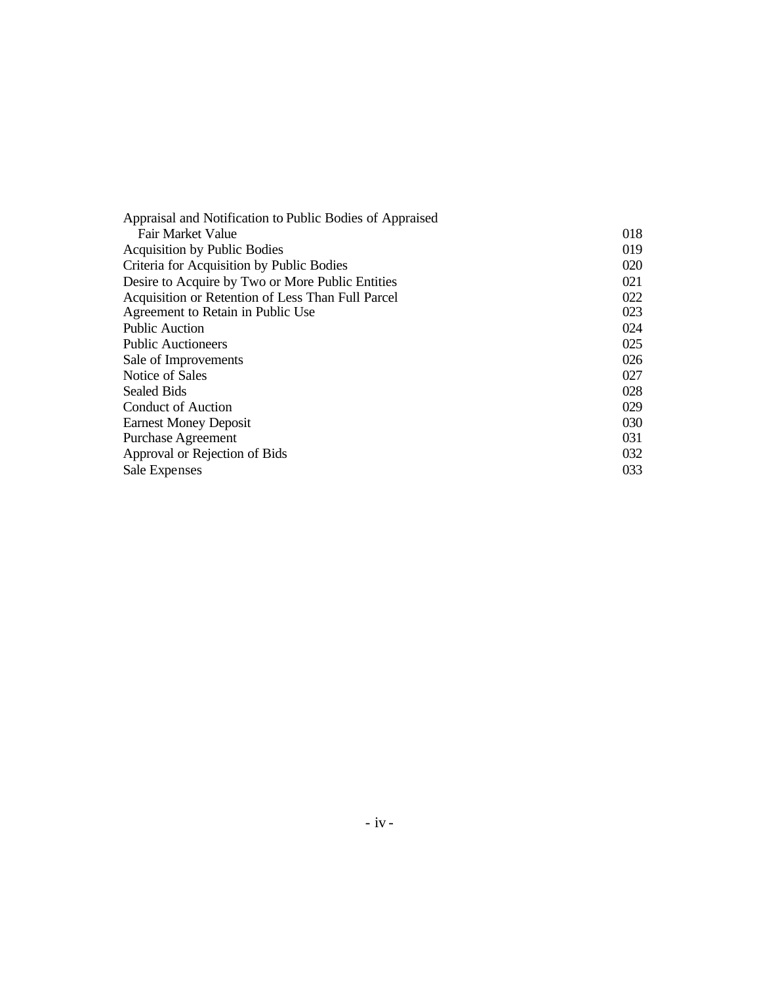| Appraisal and Notification to Public Bodies of Appraised |     |
|----------------------------------------------------------|-----|
| Fair Market Value                                        | 018 |
| <b>Acquisition by Public Bodies</b>                      | 019 |
| Criteria for Acquisition by Public Bodies                | 020 |
| Desire to Acquire by Two or More Public Entities         | 021 |
| Acquisition or Retention of Less Than Full Parcel        | 022 |
| Agreement to Retain in Public Use                        | 023 |
| <b>Public Auction</b>                                    | 024 |
| <b>Public Auctioneers</b>                                | 025 |
| Sale of Improvements                                     | 026 |
| Notice of Sales                                          | 027 |
| <b>Sealed Bids</b>                                       | 028 |
| <b>Conduct of Auction</b>                                | 029 |
| <b>Earnest Money Deposit</b>                             | 030 |
| <b>Purchase Agreement</b>                                | 031 |
| Approval or Rejection of Bids                            | 032 |
| Sale Expenses                                            | 033 |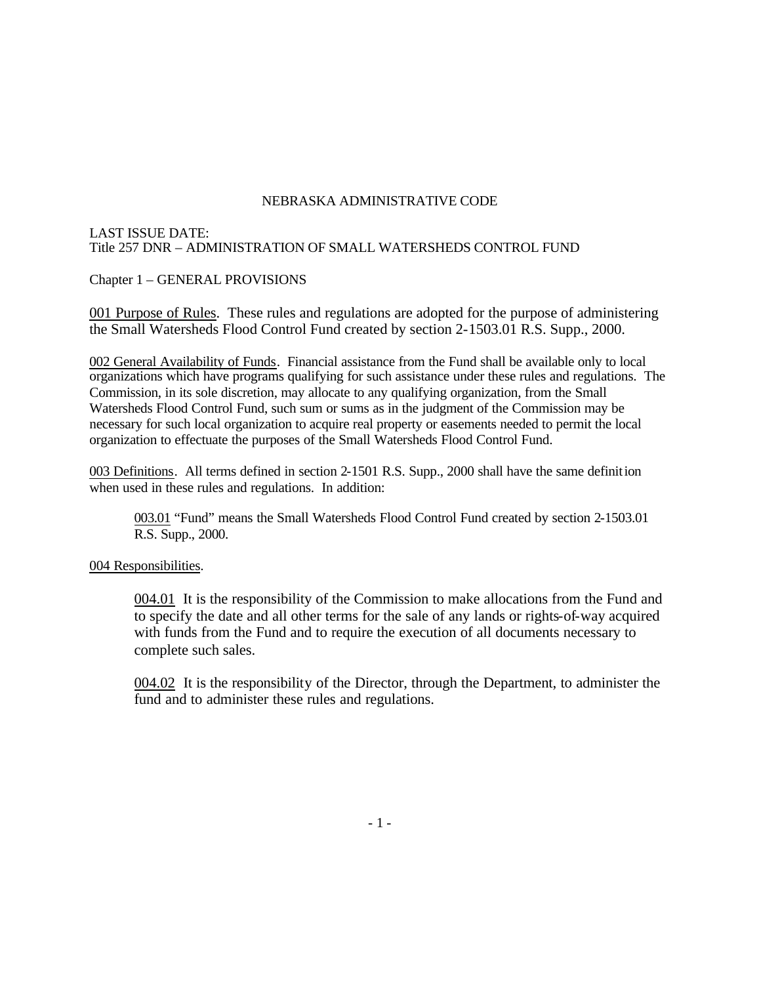#### LAST ISSUE DATE: Title 257 DNR – ADMINISTRATION OF SMALL WATERSHEDS CONTROL FUND

Chapter 1 – GENERAL PROVISIONS

001 Purpose of Rules. These rules and regulations are adopted for the purpose of administering the Small Watersheds Flood Control Fund created by section 2-1503.01 R.S. Supp., 2000.

002 General Availability of Funds. Financial assistance from the Fund shall be available only to local organizations which have programs qualifying for such assistance under these rules and regulations. The Commission, in its sole discretion, may allocate to any qualifying organization, from the Small Watersheds Flood Control Fund, such sum or sums as in the judgment of the Commission may be necessary for such local organization to acquire real property or easements needed to permit the local organization to effectuate the purposes of the Small Watersheds Flood Control Fund.

003 Definitions. All terms defined in section 2-1501 R.S. Supp., 2000 shall have the same definition when used in these rules and regulations. In addition:

003.01 "Fund" means the Small Watersheds Flood Control Fund created by section 2-1503.01 R.S. Supp., 2000.

#### 004 Responsibilities.

004.01 It is the responsibility of the Commission to make allocations from the Fund and to specify the date and all other terms for the sale of any lands or rights-of-way acquired with funds from the Fund and to require the execution of all documents necessary to complete such sales.

004.02 It is the responsibility of the Director, through the Department, to administer the fund and to administer these rules and regulations.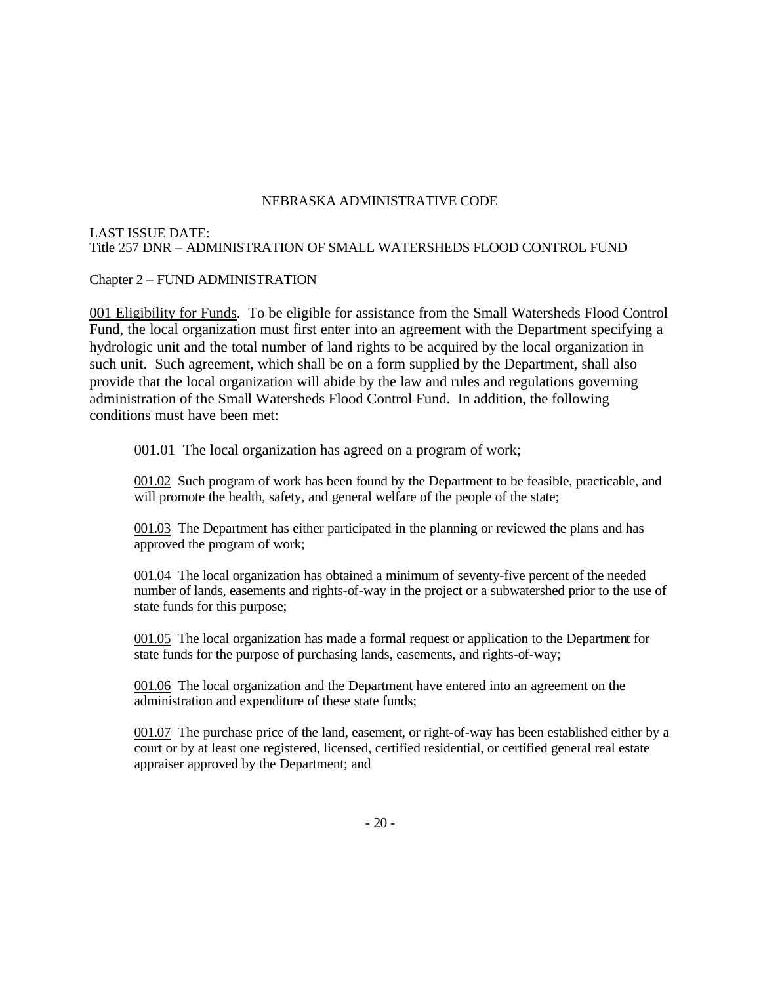#### LAST ISSUE DATE: Title 257 DNR – ADMINISTRATION OF SMALL WATERSHEDS FLOOD CONTROL FUND

Chapter 2 – FUND ADMINISTRATION

001 Eligibility for Funds. To be eligible for assistance from the Small Watersheds Flood Control Fund, the local organization must first enter into an agreement with the Department specifying a hydrologic unit and the total number of land rights to be acquired by the local organization in such unit. Such agreement, which shall be on a form supplied by the Department, shall also provide that the local organization will abide by the law and rules and regulations governing administration of the Small Watersheds Flood Control Fund. In addition, the following conditions must have been met:

001.01 The local organization has agreed on a program of work;

001.02 Such program of work has been found by the Department to be feasible, practicable, and will promote the health, safety, and general welfare of the people of the state;

001.03 The Department has either participated in the planning or reviewed the plans and has approved the program of work;

001.04 The local organization has obtained a minimum of seventy-five percent of the needed number of lands, easements and rights-of-way in the project or a subwatershed prior to the use of state funds for this purpose;

001.05 The local organization has made a formal request or application to the Department for state funds for the purpose of purchasing lands, easements, and rights-of-way;

001.06 The local organization and the Department have entered into an agreement on the administration and expenditure of these state funds;

001.07 The purchase price of the land, easement, or right-of-way has been established either by a court or by at least one registered, licensed, certified residential, or certified general real estate appraiser approved by the Department; and

 $-20-$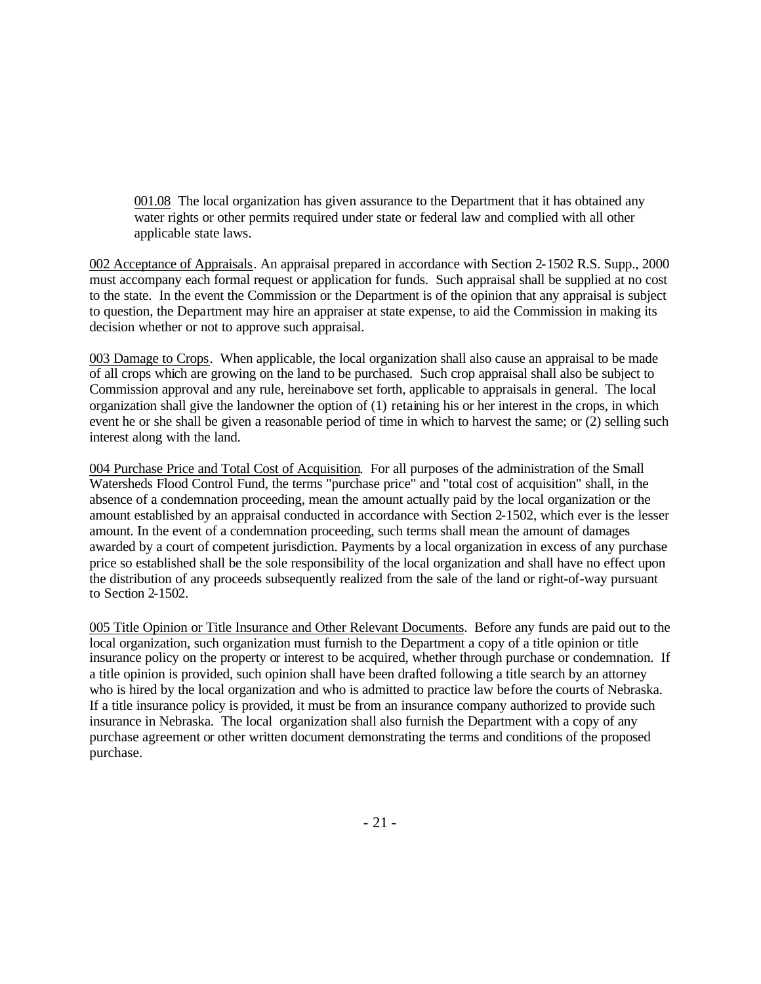001.08 The local organization has given assurance to the Department that it has obtained any water rights or other permits required under state or federal law and complied with all other applicable state laws.

002 Acceptance of Appraisals. An appraisal prepared in accordance with Section 2-1502 R.S. Supp., 2000 must accompany each formal request or application for funds. Such appraisal shall be supplied at no cost to the state. In the event the Commission or the Department is of the opinion that any appraisal is subject to question, the Department may hire an appraiser at state expense, to aid the Commission in making its decision whether or not to approve such appraisal.

003 Damage to Crops. When applicable, the local organization shall also cause an appraisal to be made of all crops which are growing on the land to be purchased. Such crop appraisal shall also be subject to Commission approval and any rule, hereinabove set forth, applicable to appraisals in general. The local organization shall give the landowner the option of (1) retaining his or her interest in the crops, in which event he or she shall be given a reasonable period of time in which to harvest the same; or (2) selling such interest along with the land.

004 Purchase Price and Total Cost of Acquisition. For all purposes of the administration of the Small Watersheds Flood Control Fund, the terms "purchase price" and "total cost of acquisition" shall, in the absence of a condemnation proceeding, mean the amount actually paid by the local organization or the amount established by an appraisal conducted in accordance with Section 2-1502, which ever is the lesser amount. In the event of a condemnation proceeding, such terms shall mean the amount of damages awarded by a court of competent jurisdiction. Payments by a local organization in excess of any purchase price so established shall be the sole responsibility of the local organization and shall have no effect upon the distribution of any proceeds subsequently realized from the sale of the land or right-of-way pursuant to Section 2-1502.

005 Title Opinion or Title Insurance and Other Relevant Documents. Before any funds are paid out to the local organization, such organization must furnish to the Department a copy of a title opinion or title insurance policy on the property or interest to be acquired, whether through purchase or condemnation. If a title opinion is provided, such opinion shall have been drafted following a title search by an attorney who is hired by the local organization and who is admitted to practice law before the courts of Nebraska. If a title insurance policy is provided, it must be from an insurance company authorized to provide such insurance in Nebraska. The local organization shall also furnish the Department with a copy of any purchase agreement or other written document demonstrating the terms and conditions of the proposed purchase.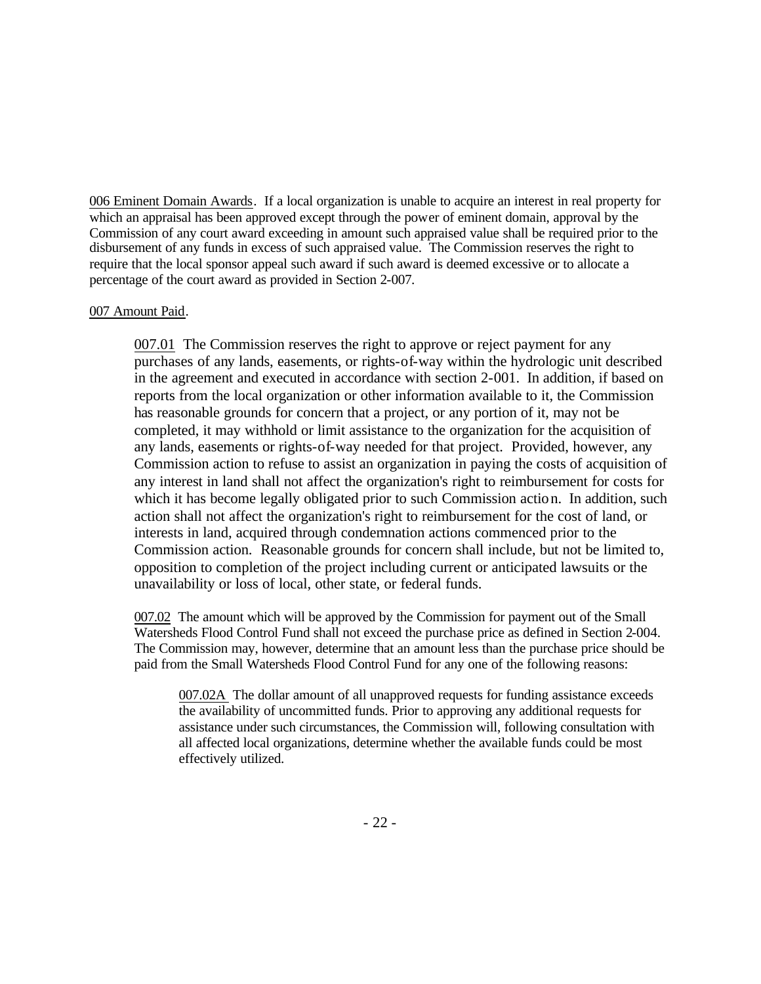006 Eminent Domain Awards. If a local organization is unable to acquire an interest in real property for which an appraisal has been approved except through the power of eminent domain, approval by the Commission of any court award exceeding in amount such appraised value shall be required prior to the disbursement of any funds in excess of such appraised value. The Commission reserves the right to require that the local sponsor appeal such award if such award is deemed excessive or to allocate a percentage of the court award as provided in Section 2-007.

#### 007 Amount Paid.

007.01 The Commission reserves the right to approve or reject payment for any purchases of any lands, easements, or rights-of-way within the hydrologic unit described in the agreement and executed in accordance with section 2-001. In addition, if based on reports from the local organization or other information available to it, the Commission has reasonable grounds for concern that a project, or any portion of it, may not be completed, it may withhold or limit assistance to the organization for the acquisition of any lands, easements or rights-of-way needed for that project. Provided, however, any Commission action to refuse to assist an organization in paying the costs of acquisition of any interest in land shall not affect the organization's right to reimbursement for costs for which it has become legally obligated prior to such Commission action. In addition, such action shall not affect the organization's right to reimbursement for the cost of land, or interests in land, acquired through condemnation actions commenced prior to the Commission action. Reasonable grounds for concern shall include, but not be limited to, opposition to completion of the project including current or anticipated lawsuits or the unavailability or loss of local, other state, or federal funds.

007.02 The amount which will be approved by the Commission for payment out of the Small Watersheds Flood Control Fund shall not exceed the purchase price as defined in Section 2-004. The Commission may, however, determine that an amount less than the purchase price should be paid from the Small Watersheds Flood Control Fund for any one of the following reasons:

007.02A The dollar amount of all unapproved requests for funding assistance exceeds the availability of uncommitted funds. Prior to approving any additional requests for assistance under such circumstances, the Commission will, following consultation with all affected local organizations, determine whether the available funds could be most effectively utilized.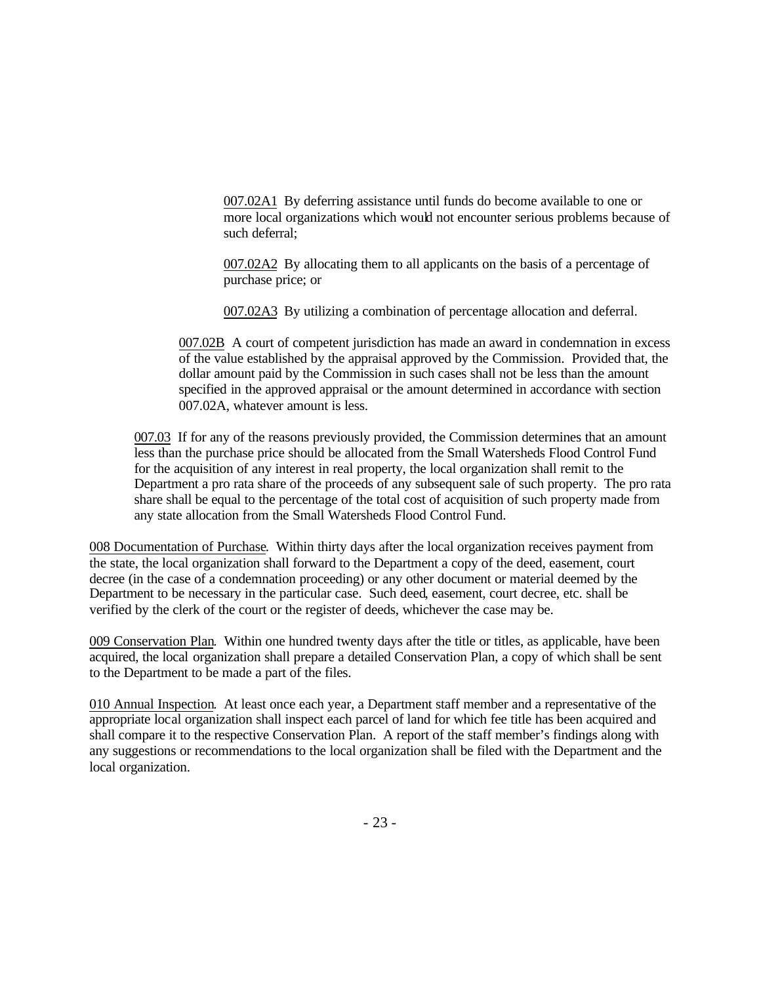007.02A1 By deferring assistance until funds do become available to one or more local organizations which would not encounter serious problems because of such deferral;

007.02A2 By allocating them to all applicants on the basis of a percentage of purchase price; or

007.02A3 By utilizing a combination of percentage allocation and deferral.

007.02B A court of competent jurisdiction has made an award in condemnation in excess of the value established by the appraisal approved by the Commission. Provided that, the dollar amount paid by the Commission in such cases shall not be less than the amount specified in the approved appraisal or the amount determined in accordance with section 007.02A, whatever amount is less.

007.03 If for any of the reasons previously provided, the Commission determines that an amount less than the purchase price should be allocated from the Small Watersheds Flood Control Fund for the acquisition of any interest in real property, the local organization shall remit to the Department a pro rata share of the proceeds of any subsequent sale of such property. The pro rata share shall be equal to the percentage of the total cost of acquisition of such property made from any state allocation from the Small Watersheds Flood Control Fund.

008 Documentation of Purchase. Within thirty days after the local organization receives payment from the state, the local organization shall forward to the Department a copy of the deed, easement, court decree (in the case of a condemnation proceeding) or any other document or material deemed by the Department to be necessary in the particular case. Such deed, easement, court decree, etc. shall be verified by the clerk of the court or the register of deeds, whichever the case may be.

009 Conservation Plan. Within one hundred twenty days after the title or titles, as applicable, have been acquired, the local organization shall prepare a detailed Conservation Plan, a copy of which shall be sent to the Department to be made a part of the files.

010 Annual Inspection. At least once each year, a Department staff member and a representative of the appropriate local organization shall inspect each parcel of land for which fee title has been acquired and shall compare it to the respective Conservation Plan. A report of the staff member's findings along with any suggestions or recommendations to the local organization shall be filed with the Department and the local organization.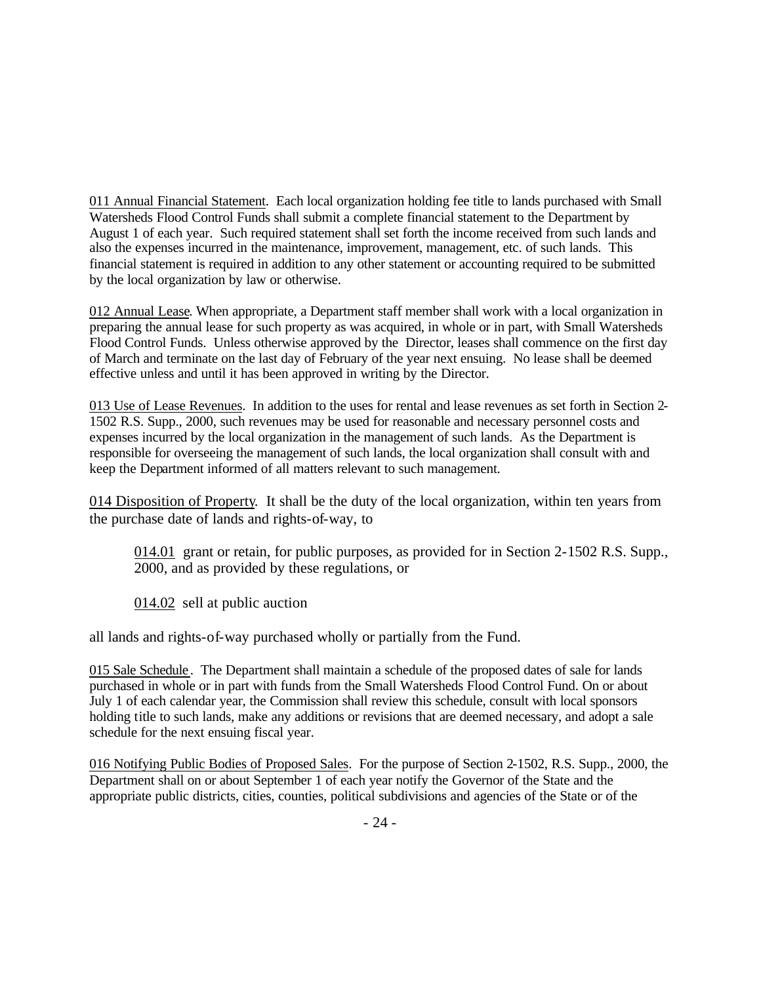011 Annual Financial Statement. Each local organization holding fee title to lands purchased with Small Watersheds Flood Control Funds shall submit a complete financial statement to the Department by August 1 of each year. Such required statement shall set forth the income received from such lands and also the expenses incurred in the maintenance, improvement, management, etc. of such lands. This financial statement is required in addition to any other statement or accounting required to be submitted by the local organization by law or otherwise.

012 Annual Lease. When appropriate, a Department staff member shall work with a local organization in preparing the annual lease for such property as was acquired, in whole or in part, with Small Watersheds Flood Control Funds. Unless otherwise approved by the Director, leases shall commence on the first day of March and terminate on the last day of February of the year next ensuing. No lease shall be deemed effective unless and until it has been approved in writing by the Director.

013 Use of Lease Revenues. In addition to the uses for rental and lease revenues as set forth in Section 2- 1502 R.S. Supp., 2000, such revenues may be used for reasonable and necessary personnel costs and expenses incurred by the local organization in the management of such lands. As the Department is responsible for overseeing the management of such lands, the local organization shall consult with and keep the Department informed of all matters relevant to such management.

014 Disposition of Property. It shall be the duty of the local organization, within ten years from the purchase date of lands and rights-of-way, to

014.01 grant or retain, for public purposes, as provided for in Section 2-1502 R.S. Supp., 2000, and as provided by these regulations, or

014.02 sell at public auction

all lands and rights-of-way purchased wholly or partially from the Fund.

015 Sale Schedule. The Department shall maintain a schedule of the proposed dates of sale for lands purchased in whole or in part with funds from the Small Watersheds Flood Control Fund. On or about July 1 of each calendar year, the Commission shall review this schedule, consult with local sponsors holding title to such lands, make any additions or revisions that are deemed necessary, and adopt a sale schedule for the next ensuing fiscal year.

016 Notifying Public Bodies of Proposed Sales. For the purpose of Section 2-1502, R.S. Supp., 2000, the Department shall on or about September 1 of each year notify the Governor of the State and the appropriate public districts, cities, counties, political subdivisions and agencies of the State or of the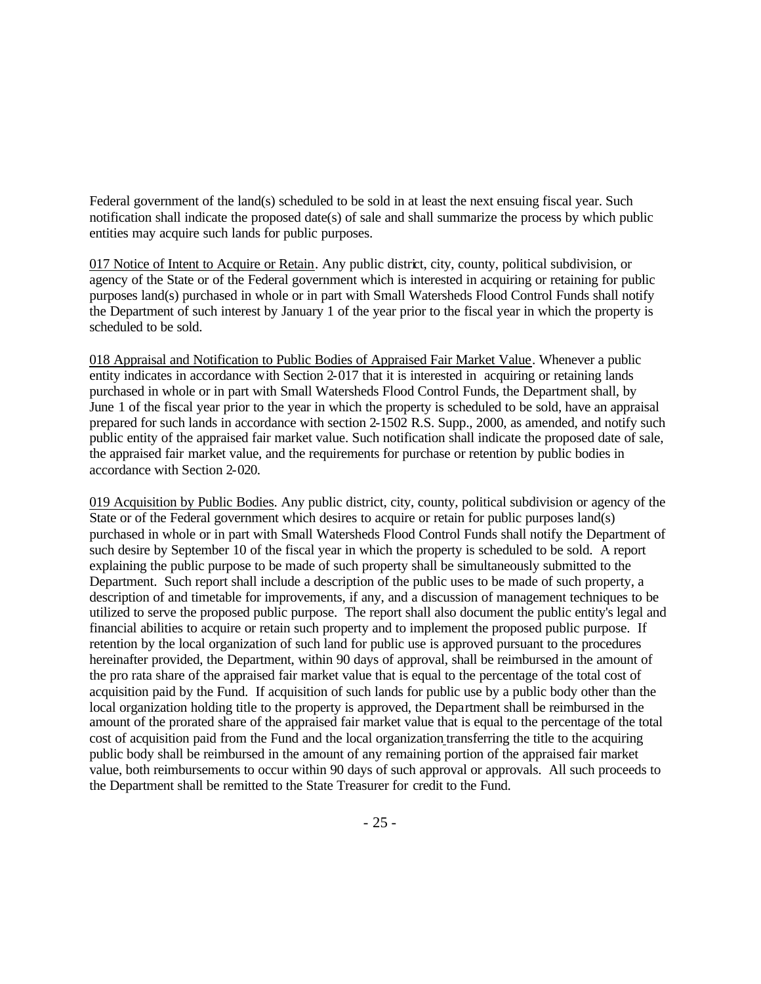Federal government of the land(s) scheduled to be sold in at least the next ensuing fiscal year. Such notification shall indicate the proposed date(s) of sale and shall summarize the process by which public entities may acquire such lands for public purposes.

017 Notice of Intent to Acquire or Retain. Any public district, city, county, political subdivision, or agency of the State or of the Federal government which is interested in acquiring or retaining for public purposes land(s) purchased in whole or in part with Small Watersheds Flood Control Funds shall notify the Department of such interest by January 1 of the year prior to the fiscal year in which the property is scheduled to be sold.

018 Appraisal and Notification to Public Bodies of Appraised Fair Market Value. Whenever a public entity indicates in accordance with Section 2-017 that it is interested in acquiring or retaining lands purchased in whole or in part with Small Watersheds Flood Control Funds, the Department shall, by June 1 of the fiscal year prior to the year in which the property is scheduled to be sold, have an appraisal prepared for such lands in accordance with section 2-1502 R.S. Supp., 2000, as amended, and notify such public entity of the appraised fair market value. Such notification shall indicate the proposed date of sale, the appraised fair market value, and the requirements for purchase or retention by public bodies in accordance with Section 2-020.

019 Acquisition by Public Bodies. Any public district, city, county, political subdivision or agency of the State or of the Federal government which desires to acquire or retain for public purposes land(s) purchased in whole or in part with Small Watersheds Flood Control Funds shall notify the Department of such desire by September 10 of the fiscal year in which the property is scheduled to be sold. A report explaining the public purpose to be made of such property shall be simultaneously submitted to the Department. Such report shall include a description of the public uses to be made of such property, a description of and timetable for improvements, if any, and a discussion of management techniques to be utilized to serve the proposed public purpose. The report shall also document the public entity's legal and financial abilities to acquire or retain such property and to implement the proposed public purpose. If retention by the local organization of such land for public use is approved pursuant to the procedures hereinafter provided, the Department, within 90 days of approval, shall be reimbursed in the amount of the pro rata share of the appraised fair market value that is equal to the percentage of the total cost of acquisition paid by the Fund. If acquisition of such lands for public use by a public body other than the local organization holding title to the property is approved, the Department shall be reimbursed in the amount of the prorated share of the appraised fair market value that is equal to the percentage of the total cost of acquisition paid from the Fund and the local organization transferring the title to the acquiring public body shall be reimbursed in the amount of any remaining portion of the appraised fair market value, both reimbursements to occur within 90 days of such approval or approvals. All such proceeds to the Department shall be remitted to the State Treasurer for credit to the Fund.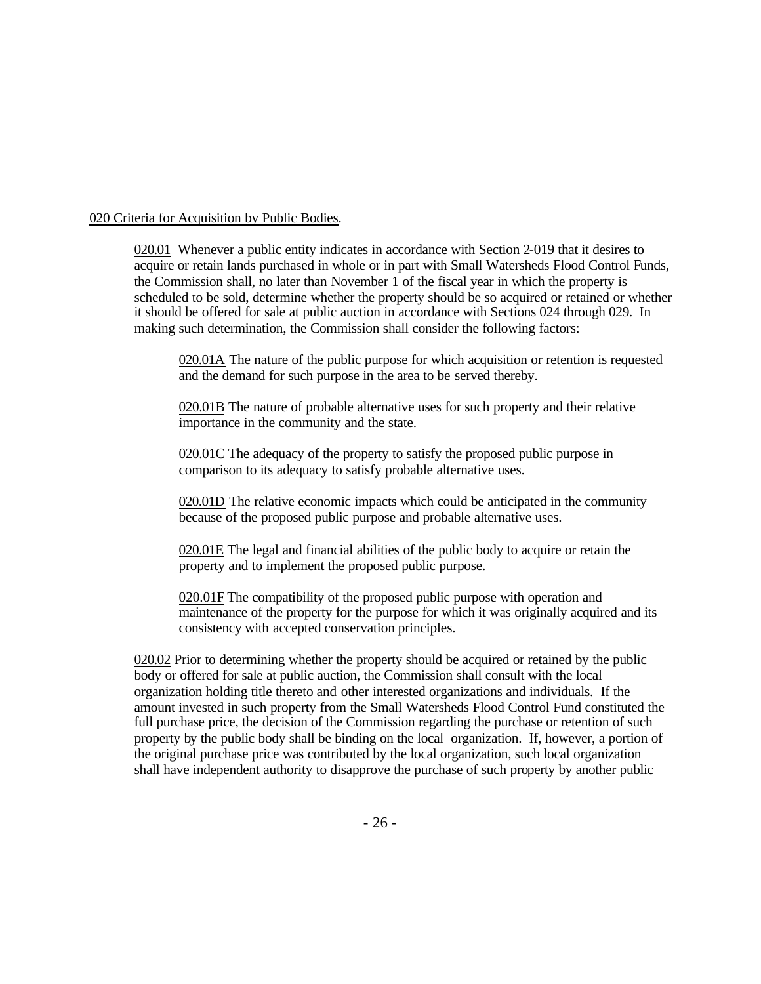#### 020 Criteria for Acquisition by Public Bodies.

020.01 Whenever a public entity indicates in accordance with Section 2-019 that it desires to acquire or retain lands purchased in whole or in part with Small Watersheds Flood Control Funds, the Commission shall, no later than November 1 of the fiscal year in which the property is scheduled to be sold, determine whether the property should be so acquired or retained or whether it should be offered for sale at public auction in accordance with Sections 024 through 029. In making such determination, the Commission shall consider the following factors:

020.01A The nature of the public purpose for which acquisition or retention is requested and the demand for such purpose in the area to be served thereby.

020.01B The nature of probable alternative uses for such property and their relative importance in the community and the state.

020.01C The adequacy of the property to satisfy the proposed public purpose in comparison to its adequacy to satisfy probable alternative uses.

020.01D The relative economic impacts which could be anticipated in the community because of the proposed public purpose and probable alternative uses.

020.01E The legal and financial abilities of the public body to acquire or retain the property and to implement the proposed public purpose.

020.01F The compatibility of the proposed public purpose with operation and maintenance of the property for the purpose for which it was originally acquired and its consistency with accepted conservation principles.

020.02 Prior to determining whether the property should be acquired or retained by the public body or offered for sale at public auction, the Commission shall consult with the local organization holding title thereto and other interested organizations and individuals. If the amount invested in such property from the Small Watersheds Flood Control Fund constituted the full purchase price, the decision of the Commission regarding the purchase or retention of such property by the public body shall be binding on the local organization. If, however, a portion of the original purchase price was contributed by the local organization, such local organization shall have independent authority to disapprove the purchase of such property by another public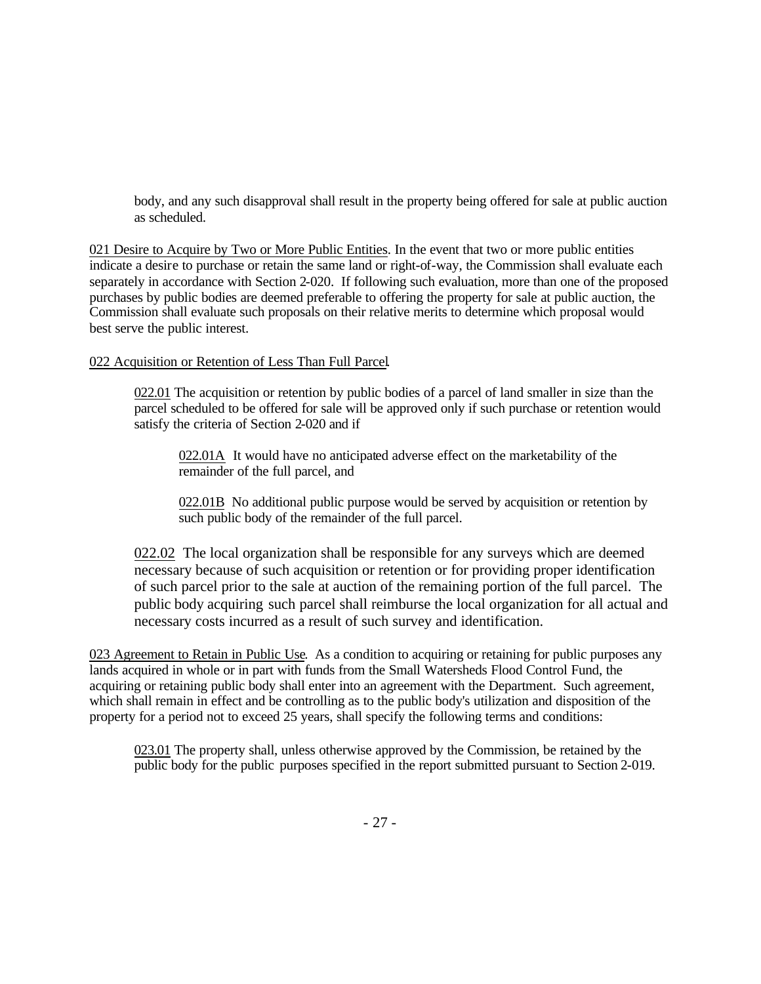body, and any such disapproval shall result in the property being offered for sale at public auction as scheduled.

021 Desire to Acquire by Two or More Public Entities. In the event that two or more public entities indicate a desire to purchase or retain the same land or right-of-way, the Commission shall evaluate each separately in accordance with Section 2-020. If following such evaluation, more than one of the proposed purchases by public bodies are deemed preferable to offering the property for sale at public auction, the Commission shall evaluate such proposals on their relative merits to determine which proposal would best serve the public interest.

#### 022 Acquisition or Retention of Less Than Full Parcel.

022.01 The acquisition or retention by public bodies of a parcel of land smaller in size than the parcel scheduled to be offered for sale will be approved only if such purchase or retention would satisfy the criteria of Section 2-020 and if

022.01A It would have no anticipated adverse effect on the marketability of the remainder of the full parcel, and

022.01B No additional public purpose would be served by acquisition or retention by such public body of the remainder of the full parcel.

022.02 The local organization shall be responsible for any surveys which are deemed necessary because of such acquisition or retention or for providing proper identification of such parcel prior to the sale at auction of the remaining portion of the full parcel. The public body acquiring such parcel shall reimburse the local organization for all actual and necessary costs incurred as a result of such survey and identification.

023 Agreement to Retain in Public Use. As a condition to acquiring or retaining for public purposes any lands acquired in whole or in part with funds from the Small Watersheds Flood Control Fund, the acquiring or retaining public body shall enter into an agreement with the Department. Such agreement, which shall remain in effect and be controlling as to the public body's utilization and disposition of the property for a period not to exceed 25 years, shall specify the following terms and conditions:

023.01 The property shall, unless otherwise approved by the Commission, be retained by the public body for the public purposes specified in the report submitted pursuant to Section 2-019.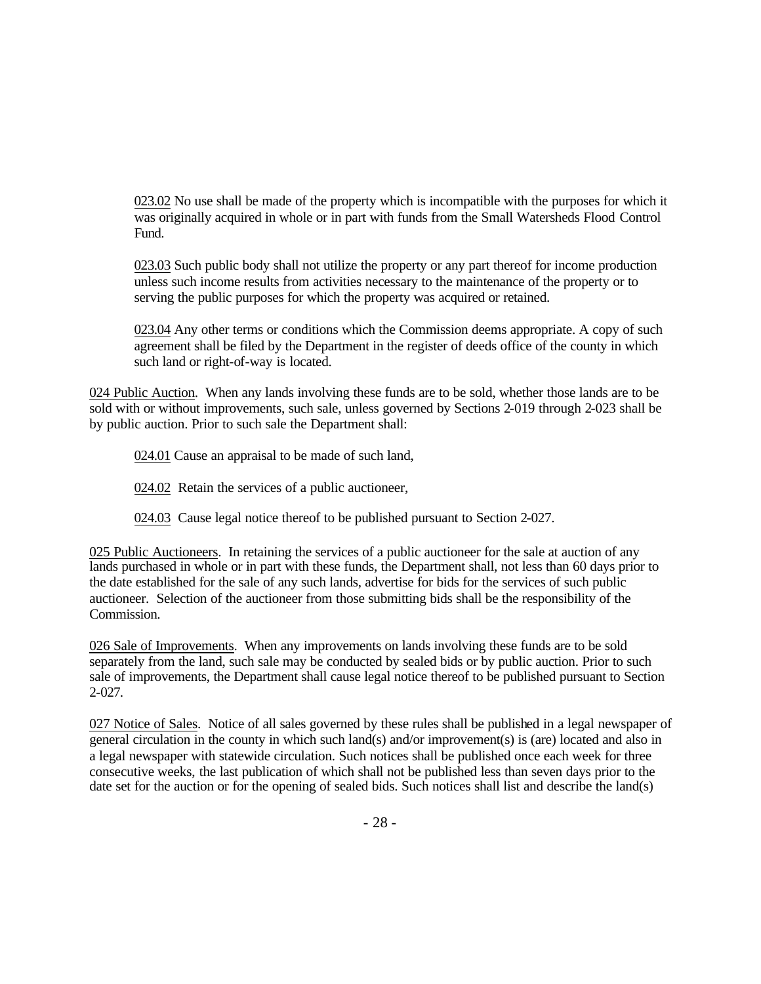023.02 No use shall be made of the property which is incompatible with the purposes for which it was originally acquired in whole or in part with funds from the Small Watersheds Flood Control Fund.

023.03 Such public body shall not utilize the property or any part thereof for income production unless such income results from activities necessary to the maintenance of the property or to serving the public purposes for which the property was acquired or retained.

023.04 Any other terms or conditions which the Commission deems appropriate. A copy of such agreement shall be filed by the Department in the register of deeds office of the county in which such land or right-of-way is located.

024 Public Auction. When any lands involving these funds are to be sold, whether those lands are to be sold with or without improvements, such sale, unless governed by Sections 2-019 through 2-023 shall be by public auction. Prior to such sale the Department shall:

024.01 Cause an appraisal to be made of such land,

- 024.02 Retain the services of a public auctioneer,
- 024.03 Cause legal notice thereof to be published pursuant to Section 2-027.

025 Public Auctioneers. In retaining the services of a public auctioneer for the sale at auction of any lands purchased in whole or in part with these funds, the Department shall, not less than 60 days prior to the date established for the sale of any such lands, advertise for bids for the services of such public auctioneer. Selection of the auctioneer from those submitting bids shall be the responsibility of the Commission.

026 Sale of Improvements. When any improvements on lands involving these funds are to be sold separately from the land, such sale may be conducted by sealed bids or by public auction. Prior to such sale of improvements, the Department shall cause legal notice thereof to be published pursuant to Section 2-027.

027 Notice of Sales. Notice of all sales governed by these rules shall be published in a legal newspaper of general circulation in the county in which such land(s) and/or improvement(s) is (are) located and also in a legal newspaper with statewide circulation. Such notices shall be published once each week for three consecutive weeks, the last publication of which shall not be published less than seven days prior to the date set for the auction or for the opening of sealed bids. Such notices shall list and describe the land(s)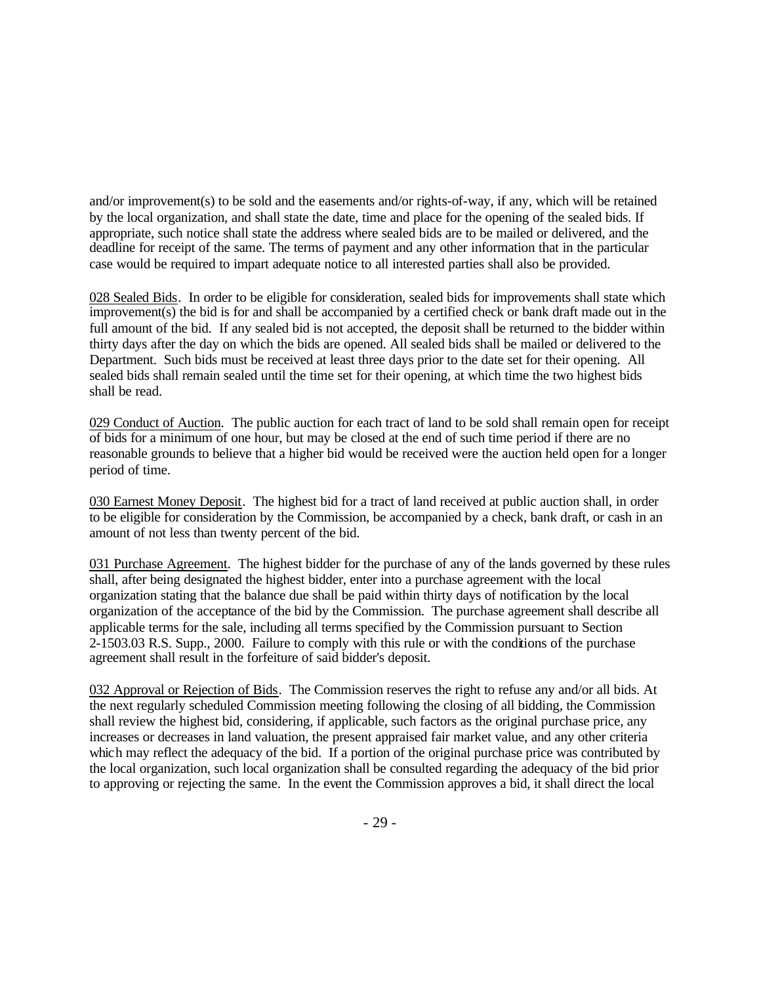and/or improvement(s) to be sold and the easements and/or rights-of-way, if any, which will be retained by the local organization, and shall state the date, time and place for the opening of the sealed bids. If appropriate, such notice shall state the address where sealed bids are to be mailed or delivered, and the deadline for receipt of the same. The terms of payment and any other information that in the particular case would be required to impart adequate notice to all interested parties shall also be provided.

028 Sealed Bids. In order to be eligible for consideration, sealed bids for improvements shall state which improvement(s) the bid is for and shall be accompanied by a certified check or bank draft made out in the full amount of the bid. If any sealed bid is not accepted, the deposit shall be returned to the bidder within thirty days after the day on which the bids are opened. All sealed bids shall be mailed or delivered to the Department. Such bids must be received at least three days prior to the date set for their opening. All sealed bids shall remain sealed until the time set for their opening, at which time the two highest bids shall be read.

029 Conduct of Auction. The public auction for each tract of land to be sold shall remain open for receipt of bids for a minimum of one hour, but may be closed at the end of such time period if there are no reasonable grounds to believe that a higher bid would be received were the auction held open for a longer period of time.

030 Earnest Money Deposit. The highest bid for a tract of land received at public auction shall, in order to be eligible for consideration by the Commission, be accompanied by a check, bank draft, or cash in an amount of not less than twenty percent of the bid.

031 Purchase Agreement. The highest bidder for the purchase of any of the lands governed by these rules shall, after being designated the highest bidder, enter into a purchase agreement with the local organization stating that the balance due shall be paid within thirty days of notification by the local organization of the acceptance of the bid by the Commission. The purchase agreement shall describe all applicable terms for the sale, including all terms specified by the Commission pursuant to Section 2-1503.03 R.S. Supp., 2000. Failure to comply with this rule or with the conditions of the purchase agreement shall result in the forfeiture of said bidder's deposit.

032 Approval or Rejection of Bids. The Commission reserves the right to refuse any and/or all bids. At the next regularly scheduled Commission meeting following the closing of all bidding, the Commission shall review the highest bid, considering, if applicable, such factors as the original purchase price, any increases or decreases in land valuation, the present appraised fair market value, and any other criteria which may reflect the adequacy of the bid. If a portion of the original purchase price was contributed by the local organization, such local organization shall be consulted regarding the adequacy of the bid prior to approving or rejecting the same. In the event the Commission approves a bid, it shall direct the local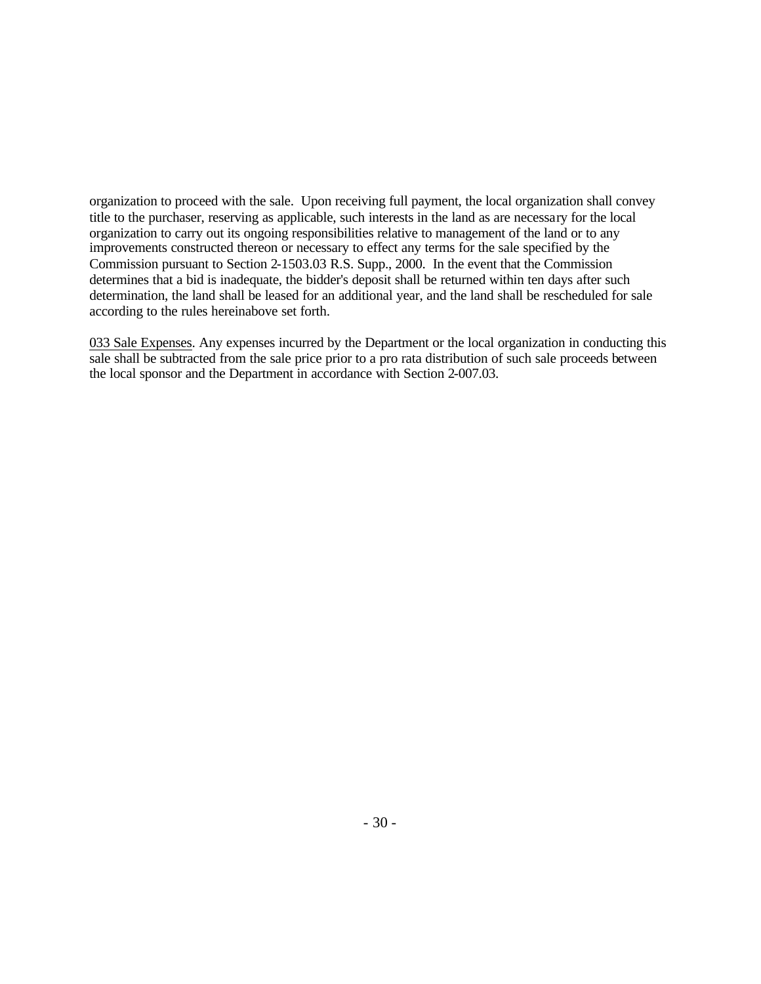organization to proceed with the sale. Upon receiving full payment, the local organization shall convey title to the purchaser, reserving as applicable, such interests in the land as are necessary for the local organization to carry out its ongoing responsibilities relative to management of the land or to any improvements constructed thereon or necessary to effect any terms for the sale specified by the Commission pursuant to Section 2-1503.03 R.S. Supp., 2000. In the event that the Commission determines that a bid is inadequate, the bidder's deposit shall be returned within ten days after such determination, the land shall be leased for an additional year, and the land shall be rescheduled for sale according to the rules hereinabove set forth.

033 Sale Expenses. Any expenses incurred by the Department or the local organization in conducting this sale shall be subtracted from the sale price prior to a pro rata distribution of such sale proceeds between the local sponsor and the Department in accordance with Section 2-007.03.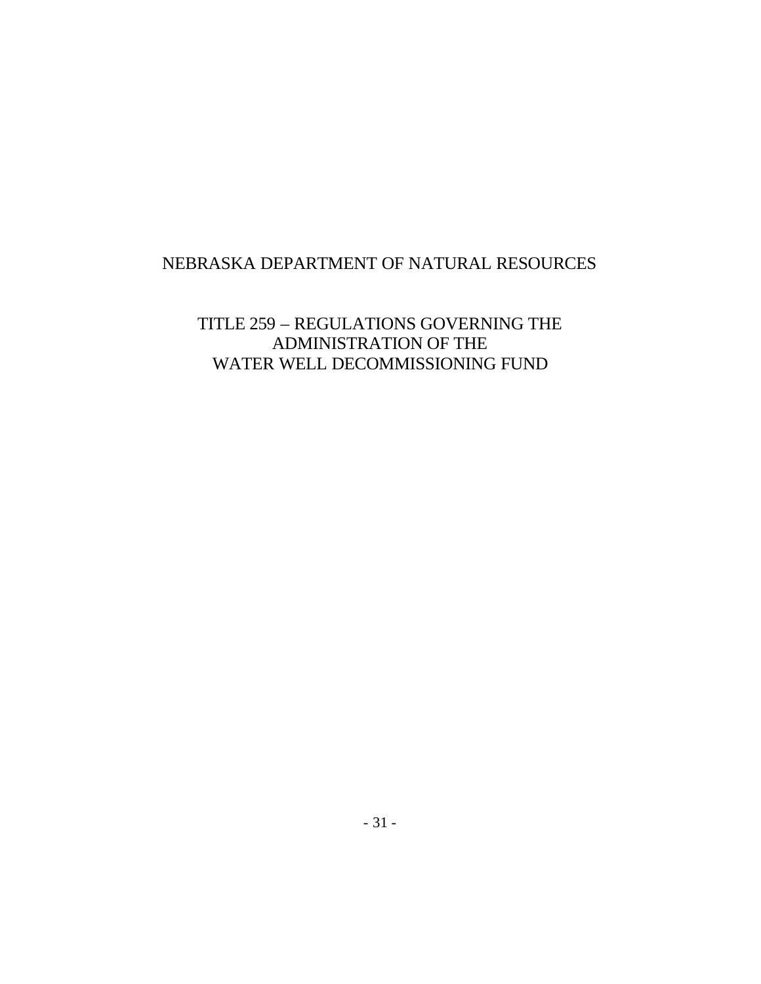# NEBRASKA DEPARTMENT OF NATURAL RESOURCES

TITLE 259 – REGULATIONS GOVERNING THE ADMINISTRATION OF THE WATER WELL DECOMMISSIONING FUND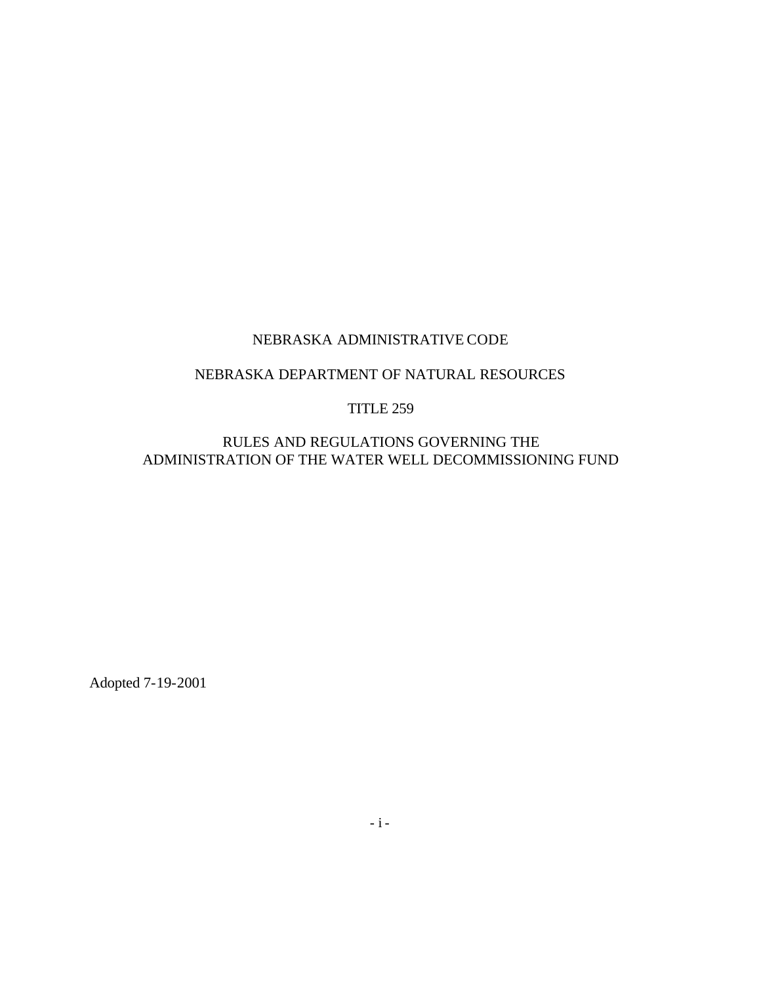# NEBRASKA DEPARTMENT OF NATURAL RESOURCES

#### TITLE 259

RULES AND REGULATIONS GOVERNING THE ADMINISTRATION OF THE WATER WELL DECOMMISSIONING FUND

Adopted 7-19-2001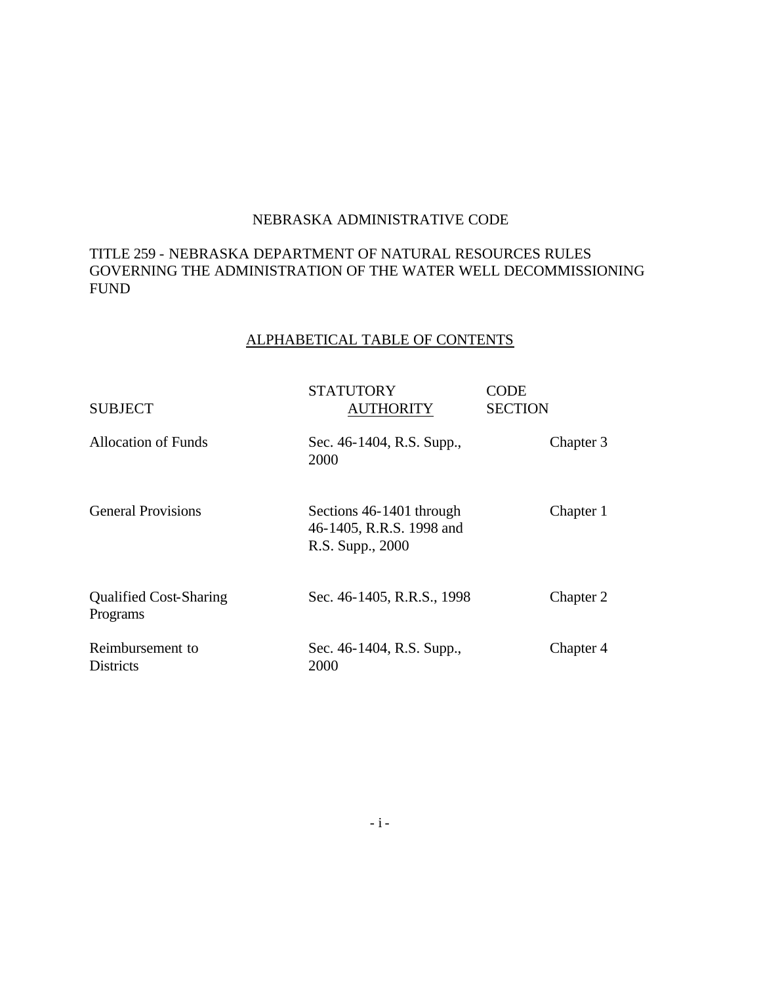### TITLE 259 - NEBRASKA DEPARTMENT OF NATURAL RESOURCES RULES GOVERNING THE ADMINISTRATION OF THE WATER WELL DECOMMISSIONING FUND

# ALPHABETICAL TABLE OF CONTENTS

| <b>SUBJECT</b>                            | STATUTORY<br><b>AUTHORITY</b>                                            | CODE<br><b>SECTION</b> |
|-------------------------------------------|--------------------------------------------------------------------------|------------------------|
| <b>Allocation of Funds</b>                | Sec. 46-1404, R.S. Supp.,<br>2000                                        | Chapter 3              |
| <b>General Provisions</b>                 | Sections 46-1401 through<br>46-1405, R.R.S. 1998 and<br>R.S. Supp., 2000 | Chapter 1              |
| <b>Qualified Cost-Sharing</b><br>Programs | Sec. 46-1405, R.R.S., 1998                                               | Chapter 2              |
| Reimbursement to<br><b>Districts</b>      | Sec. 46-1404, R.S. Supp.,<br>2000                                        | Chapter 4              |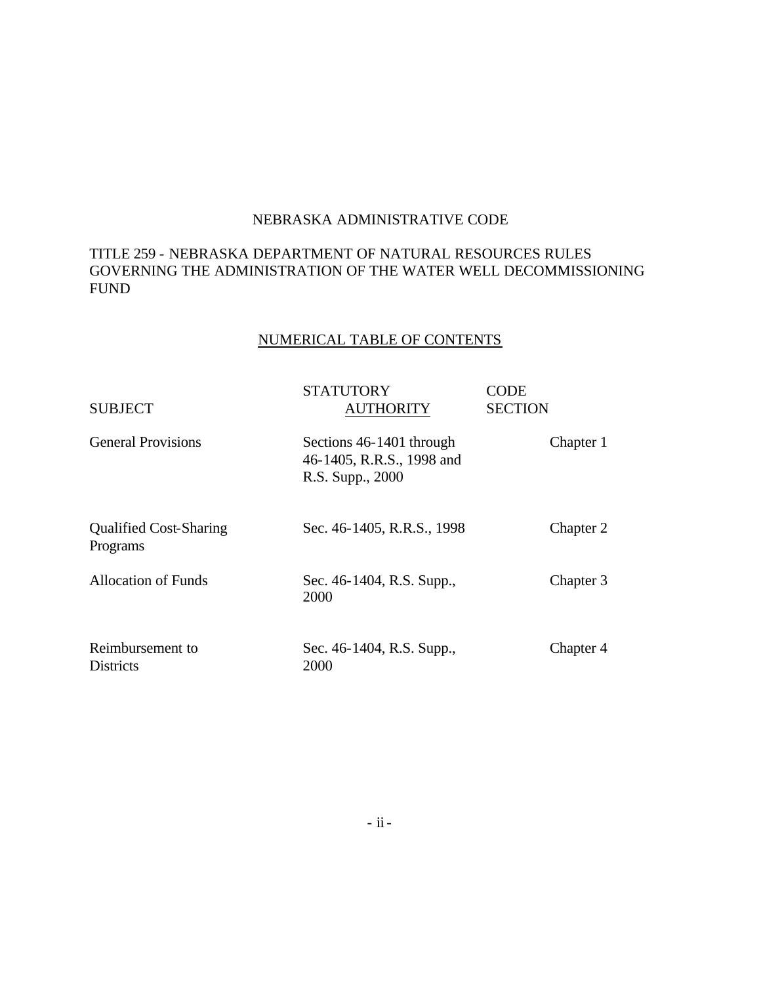### TITLE 259 - NEBRASKA DEPARTMENT OF NATURAL RESOURCES RULES GOVERNING THE ADMINISTRATION OF THE WATER WELL DECOMMISSIONING FUND

# NUMERICAL TABLE OF CONTENTS

| <b>SUBJECT</b>                            | <b>STATUTORY</b><br><b>AUTHORITY</b>                                      | CODE<br><b>SECTION</b> |
|-------------------------------------------|---------------------------------------------------------------------------|------------------------|
| <b>General Provisions</b>                 | Sections 46-1401 through<br>46-1405, R.R.S., 1998 and<br>R.S. Supp., 2000 | Chapter 1              |
| <b>Qualified Cost-Sharing</b><br>Programs | Sec. 46-1405, R.R.S., 1998                                                | Chapter 2              |
| <b>Allocation of Funds</b>                | Sec. 46-1404, R.S. Supp.,<br>2000                                         | Chapter 3              |
| Reimbursement to<br>Districts             | Sec. 46-1404, R.S. Supp.,<br>2000                                         | Chapter 4              |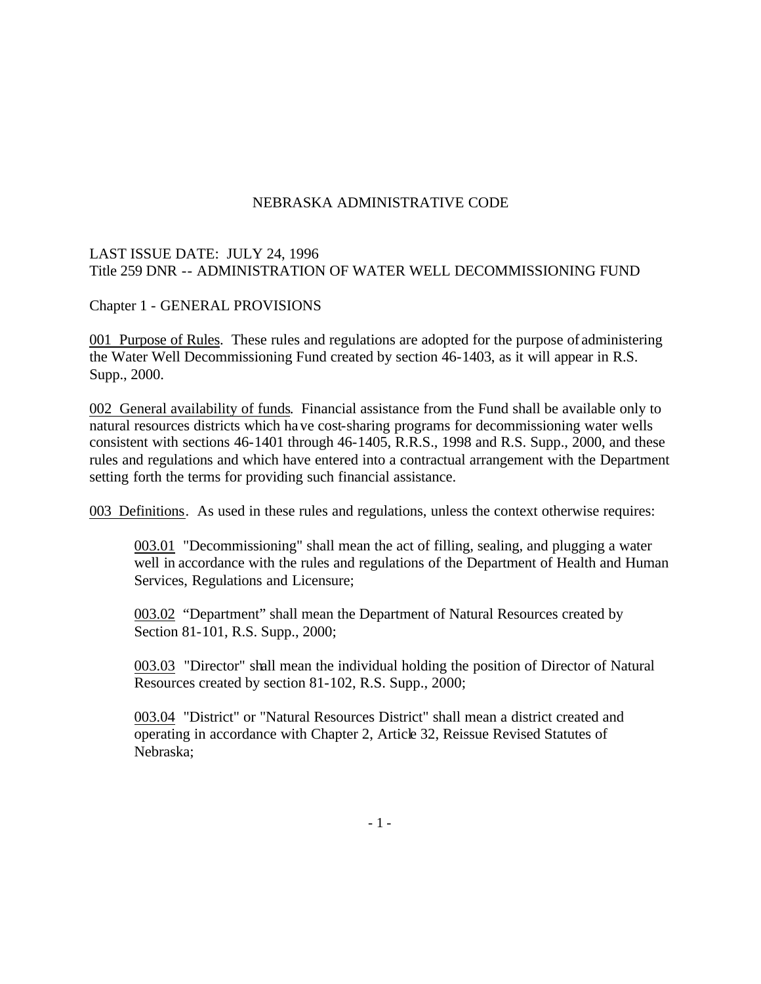# LAST ISSUE DATE: JULY 24, 1996 Title 259 DNR -- ADMINISTRATION OF WATER WELL DECOMMISSIONING FUND

Chapter 1 - GENERAL PROVISIONS

001 Purpose of Rules. These rules and regulations are adopted for the purpose of administering the Water Well Decommissioning Fund created by section 46-1403, as it will appear in R.S. Supp., 2000.

002 General availability of funds. Financial assistance from the Fund shall be available only to natural resources districts which have cost-sharing programs for decommissioning water wells consistent with sections 46-1401 through 46-1405, R.R.S., 1998 and R.S. Supp., 2000, and these rules and regulations and which have entered into a contractual arrangement with the Department setting forth the terms for providing such financial assistance.

003 Definitions. As used in these rules and regulations, unless the context otherwise requires:

003.01 "Decommissioning" shall mean the act of filling, sealing, and plugging a water well in accordance with the rules and regulations of the Department of Health and Human Services, Regulations and Licensure;

003.02 "Department" shall mean the Department of Natural Resources created by Section 81-101, R.S. Supp., 2000;

003.03 "Director" shall mean the individual holding the position of Director of Natural Resources created by section 81-102, R.S. Supp., 2000;

003.04 "District" or "Natural Resources District" shall mean a district created and operating in accordance with Chapter 2, Article 32, Reissue Revised Statutes of Nebraska;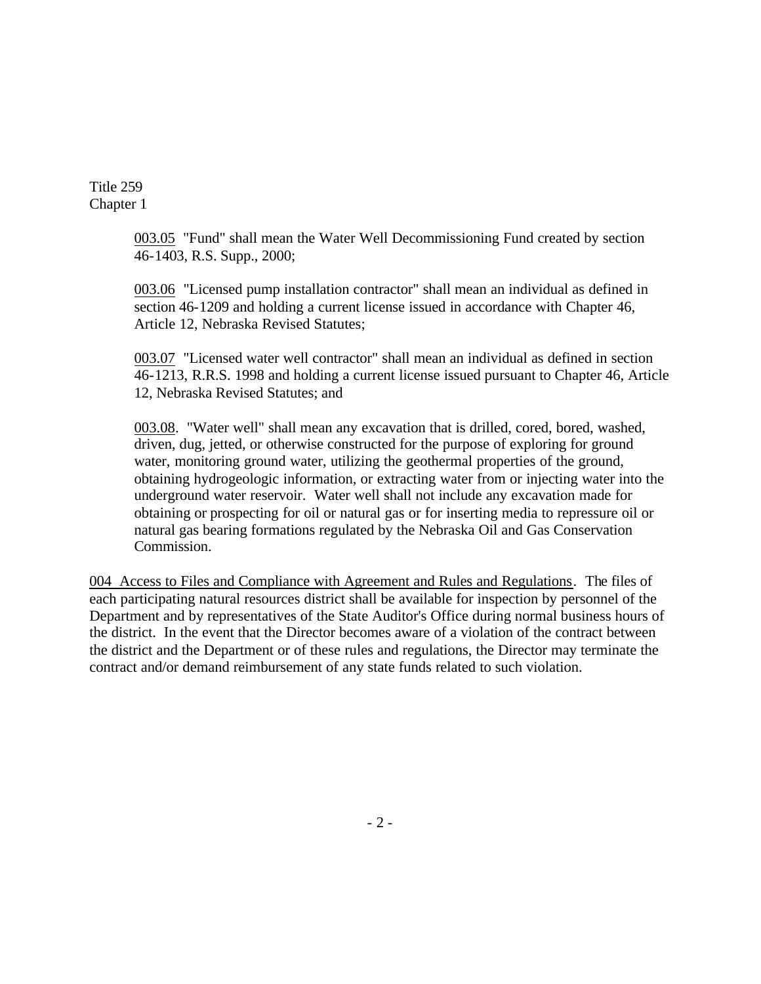> 003.05 "Fund" shall mean the Water Well Decommissioning Fund created by section 46-1403, R.S. Supp., 2000;

> 003.06 "Licensed pump installation contractor" shall mean an individual as defined in section 46-1209 and holding a current license issued in accordance with Chapter 46, Article 12, Nebraska Revised Statutes;

003.07 "Licensed water well contractor" shall mean an individual as defined in section 46-1213, R.R.S. 1998 and holding a current license issued pursuant to Chapter 46, Article 12, Nebraska Revised Statutes; and

003.08. "Water well" shall mean any excavation that is drilled, cored, bored, washed, driven, dug, jetted, or otherwise constructed for the purpose of exploring for ground water, monitoring ground water, utilizing the geothermal properties of the ground, obtaining hydrogeologic information, or extracting water from or injecting water into the underground water reservoir. Water well shall not include any excavation made for obtaining or prospecting for oil or natural gas or for inserting media to repressure oil or natural gas bearing formations regulated by the Nebraska Oil and Gas Conservation Commission.

004 Access to Files and Compliance with Agreement and Rules and Regulations. The files of each participating natural resources district shall be available for inspection by personnel of the Department and by representatives of the State Auditor's Office during normal business hours of the district. In the event that the Director becomes aware of a violation of the contract between the district and the Department or of these rules and regulations, the Director may terminate the contract and/or demand reimbursement of any state funds related to such violation.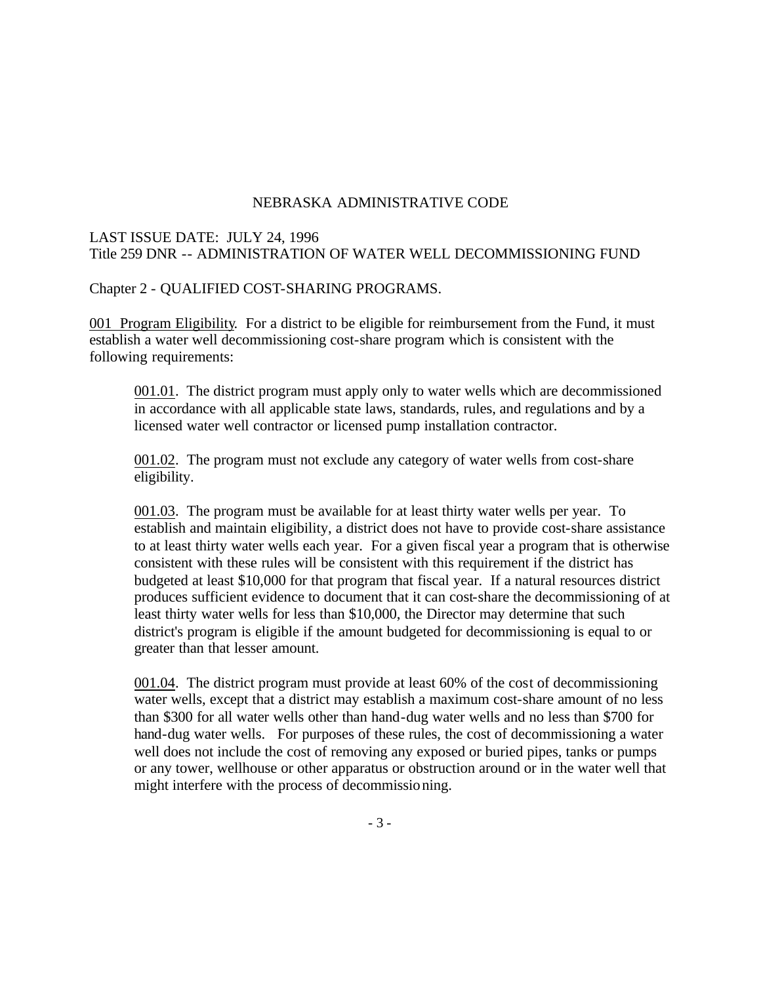### LAST ISSUE DATE: JULY 24, 1996 Title 259 DNR -- ADMINISTRATION OF WATER WELL DECOMMISSIONING FUND

Chapter 2 - QUALIFIED COST-SHARING PROGRAMS.

001 Program Eligibility. For a district to be eligible for reimbursement from the Fund, it must establish a water well decommissioning cost-share program which is consistent with the following requirements:

001.01. The district program must apply only to water wells which are decommissioned in accordance with all applicable state laws, standards, rules, and regulations and by a licensed water well contractor or licensed pump installation contractor.

001.02. The program must not exclude any category of water wells from cost-share eligibility.

001.03. The program must be available for at least thirty water wells per year. To establish and maintain eligibility, a district does not have to provide cost-share assistance to at least thirty water wells each year. For a given fiscal year a program that is otherwise consistent with these rules will be consistent with this requirement if the district has budgeted at least \$10,000 for that program that fiscal year. If a natural resources district produces sufficient evidence to document that it can cost-share the decommissioning of at least thirty water wells for less than \$10,000, the Director may determine that such district's program is eligible if the amount budgeted for decommissioning is equal to or greater than that lesser amount.

001.04. The district program must provide at least 60% of the cost of decommissioning water wells, except that a district may establish a maximum cost-share amount of no less than \$300 for all water wells other than hand-dug water wells and no less than \$700 for hand-dug water wells. For purposes of these rules, the cost of decommissioning a water well does not include the cost of removing any exposed or buried pipes, tanks or pumps or any tower, wellhouse or other apparatus or obstruction around or in the water well that might interfere with the process of decommissioning.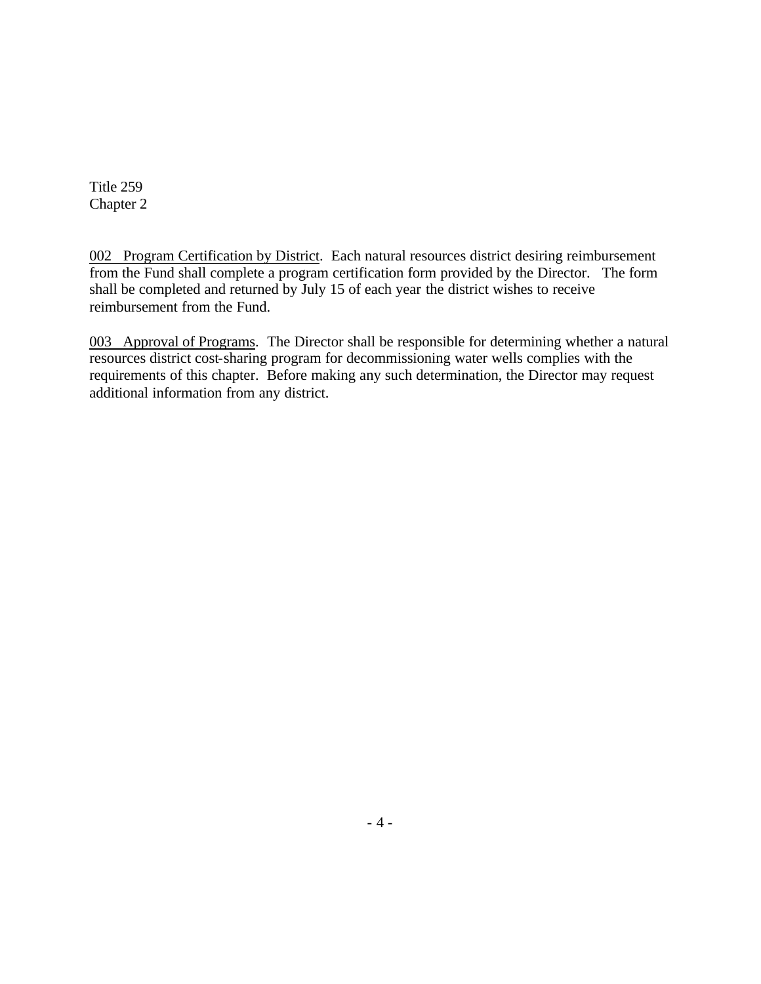002 Program Certification by District. Each natural resources district desiring reimbursement from the Fund shall complete a program certification form provided by the Director. The form shall be completed and returned by July 15 of each year the district wishes to receive reimbursement from the Fund.

003 Approval of Programs. The Director shall be responsible for determining whether a natural resources district cost-sharing program for decommissioning water wells complies with the requirements of this chapter. Before making any such determination, the Director may request additional information from any district.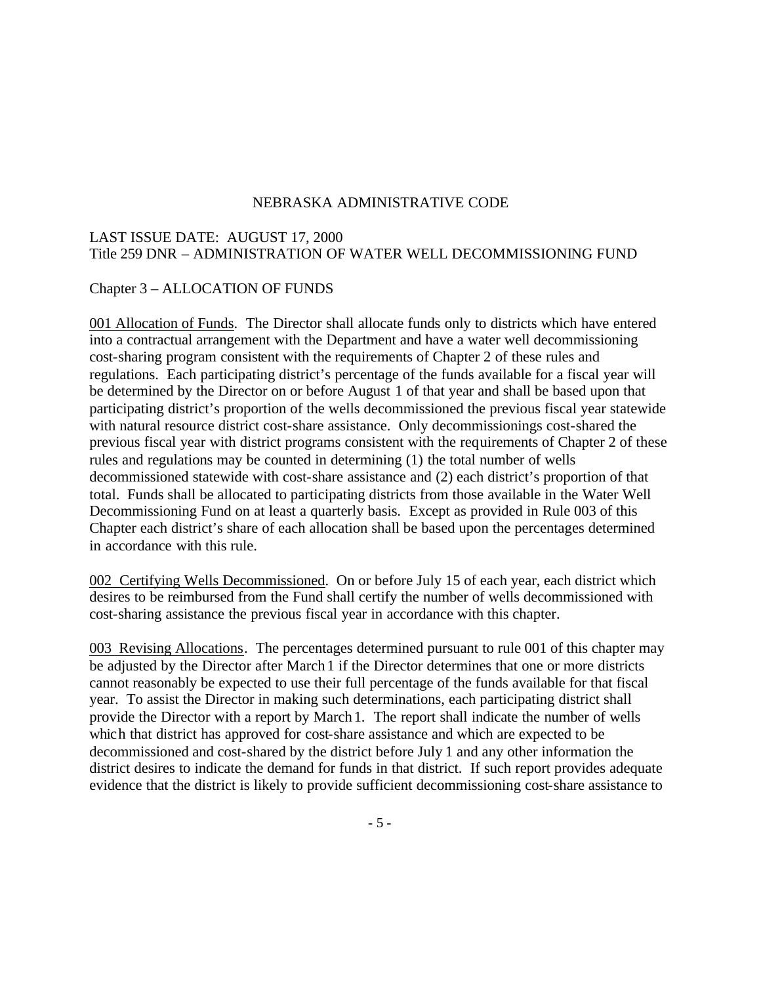#### LAST ISSUE DATE: AUGUST 17, 2000 Title 259 DNR – ADMINISTRATION OF WATER WELL DECOMMISSIONING FUND

#### Chapter 3 – ALLOCATION OF FUNDS

001 Allocation of Funds. The Director shall allocate funds only to districts which have entered into a contractual arrangement with the Department and have a water well decommissioning cost-sharing program consistent with the requirements of Chapter 2 of these rules and regulations. Each participating district's percentage of the funds available for a fiscal year will be determined by the Director on or before August 1 of that year and shall be based upon that participating district's proportion of the wells decommissioned the previous fiscal year statewide with natural resource district cost-share assistance. Only decommissionings cost-shared the previous fiscal year with district programs consistent with the requirements of Chapter 2 of these rules and regulations may be counted in determining (1) the total number of wells decommissioned statewide with cost-share assistance and (2) each district's proportion of that total. Funds shall be allocated to participating districts from those available in the Water Well Decommissioning Fund on at least a quarterly basis. Except as provided in Rule 003 of this Chapter each district's share of each allocation shall be based upon the percentages determined in accordance with this rule.

002 Certifying Wells Decommissioned. On or before July 15 of each year, each district which desires to be reimbursed from the Fund shall certify the number of wells decommissioned with cost-sharing assistance the previous fiscal year in accordance with this chapter.

003 Revising Allocations. The percentages determined pursuant to rule 001 of this chapter may be adjusted by the Director after March1 if the Director determines that one or more districts cannot reasonably be expected to use their full percentage of the funds available for that fiscal year. To assist the Director in making such determinations, each participating district shall provide the Director with a report by March1. The report shall indicate the number of wells which that district has approved for cost-share assistance and which are expected to be decommissioned and cost-shared by the district before July 1 and any other information the district desires to indicate the demand for funds in that district. If such report provides adequate evidence that the district is likely to provide sufficient decommissioning cost-share assistance to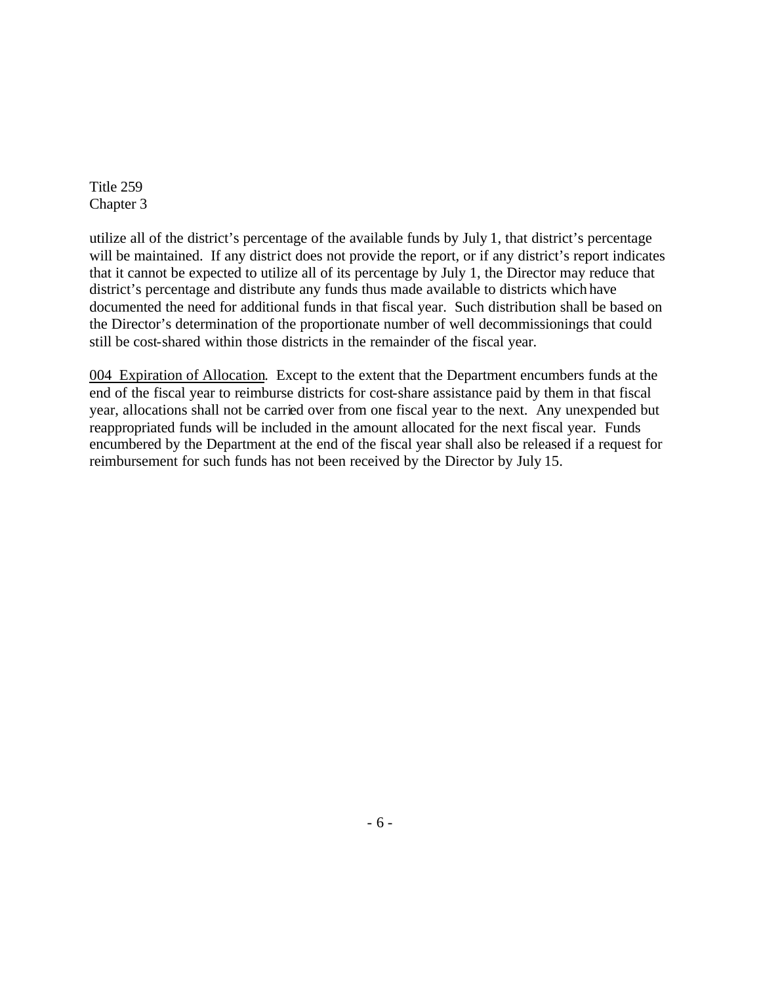utilize all of the district's percentage of the available funds by July 1, that district's percentage will be maintained. If any district does not provide the report, or if any district's report indicates that it cannot be expected to utilize all of its percentage by July 1, the Director may reduce that district's percentage and distribute any funds thus made available to districts which have documented the need for additional funds in that fiscal year. Such distribution shall be based on the Director's determination of the proportionate number of well decommissionings that could still be cost-shared within those districts in the remainder of the fiscal year.

004 Expiration of Allocation. Except to the extent that the Department encumbers funds at the end of the fiscal year to reimburse districts for cost-share assistance paid by them in that fiscal year, allocations shall not be carried over from one fiscal year to the next. Any unexpended but reappropriated funds will be included in the amount allocated for the next fiscal year. Funds encumbered by the Department at the end of the fiscal year shall also be released if a request for reimbursement for such funds has not been received by the Director by July 15.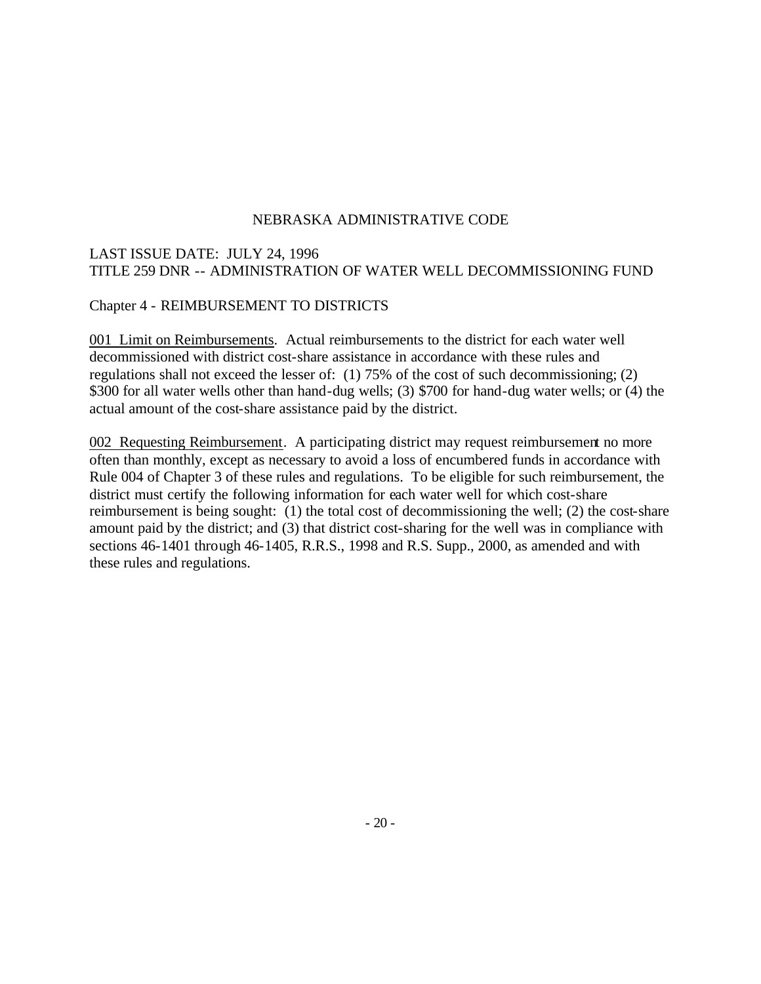# LAST ISSUE DATE: JULY 24, 1996 TITLE 259 DNR -- ADMINISTRATION OF WATER WELL DECOMMISSIONING FUND

#### Chapter 4 - REIMBURSEMENT TO DISTRICTS

001 Limit on Reimbursements. Actual reimbursements to the district for each water well decommissioned with district cost-share assistance in accordance with these rules and regulations shall not exceed the lesser of: (1) 75% of the cost of such decommissioning; (2) \$300 for all water wells other than hand-dug wells; (3) \$700 for hand-dug water wells; or (4) the actual amount of the cost-share assistance paid by the district.

002 Requesting Reimbursement. A participating district may request reimbursement no more often than monthly, except as necessary to avoid a loss of encumbered funds in accordance with Rule 004 of Chapter 3 of these rules and regulations. To be eligible for such reimbursement, the district must certify the following information for each water well for which cost-share reimbursement is being sought: (1) the total cost of decommissioning the well; (2) the cost-share amount paid by the district; and (3) that district cost-sharing for the well was in compliance with sections 46-1401 through 46-1405, R.R.S., 1998 and R.S. Supp., 2000, as amended and with these rules and regulations.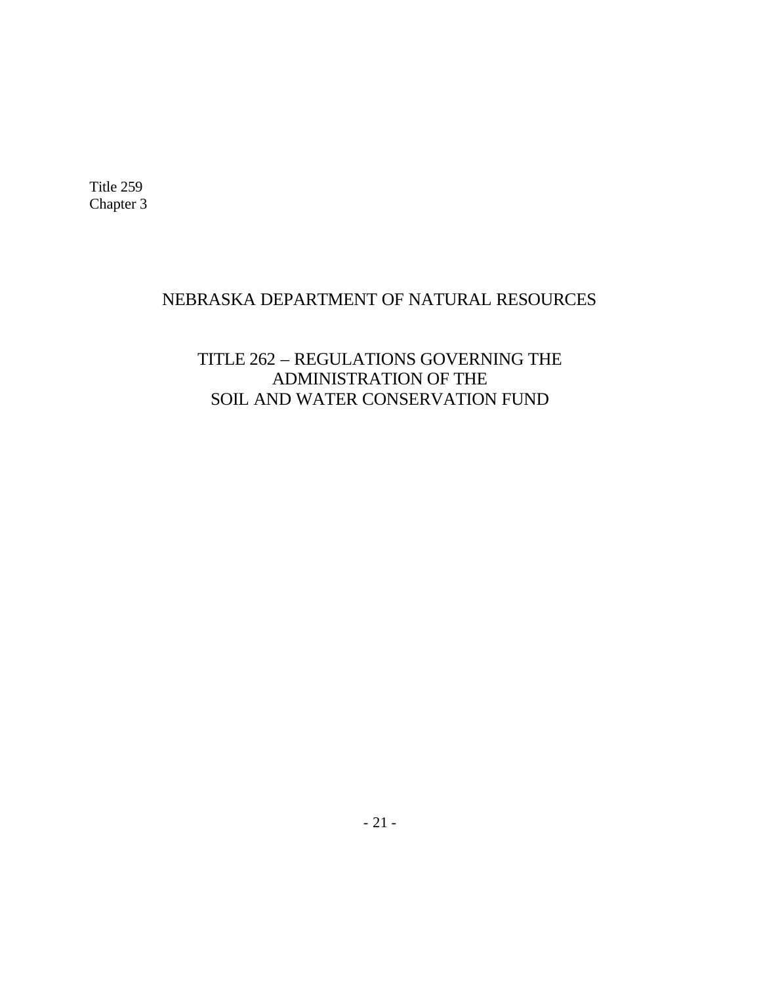# NEBRASKA DEPARTMENT OF NATURAL RESOURCES

# TITLE 262 – REGULATIONS GOVERNING THE ADMINISTRATION OF THE SOIL AND WATER CONSERVATION FUND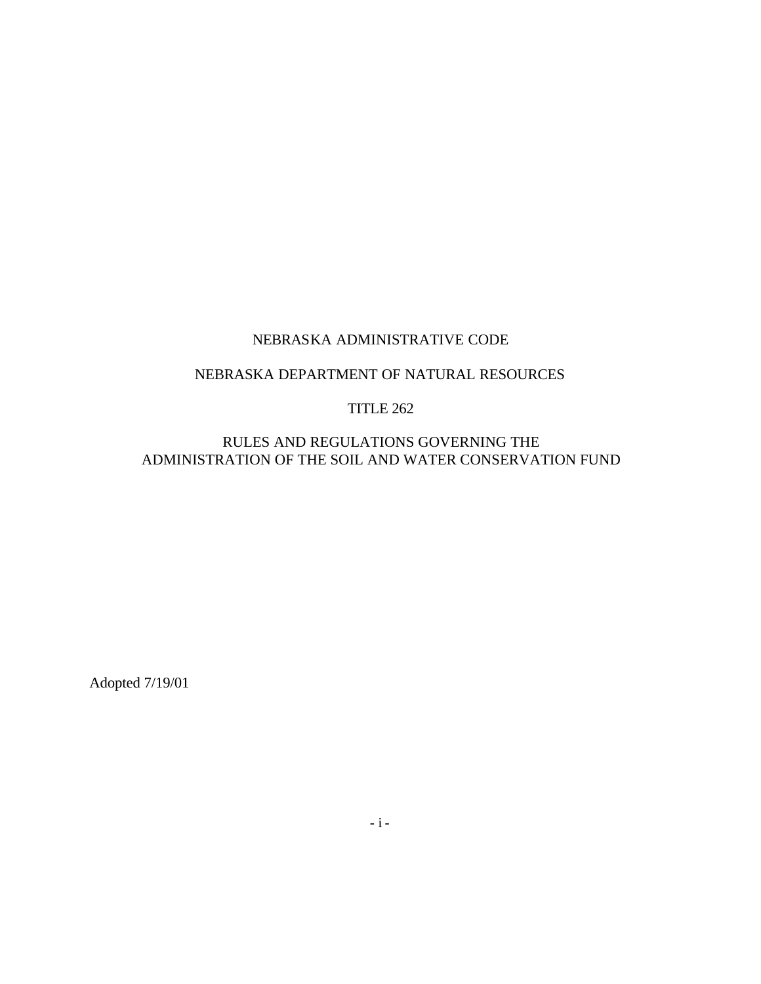# NEBRASKA DEPARTMENT OF NATURAL RESOURCES

#### TITLE 262

RULES AND REGULATIONS GOVERNING THE ADMINISTRATION OF THE SOIL AND WATER CONSERVATION FUND

Adopted 7/19/01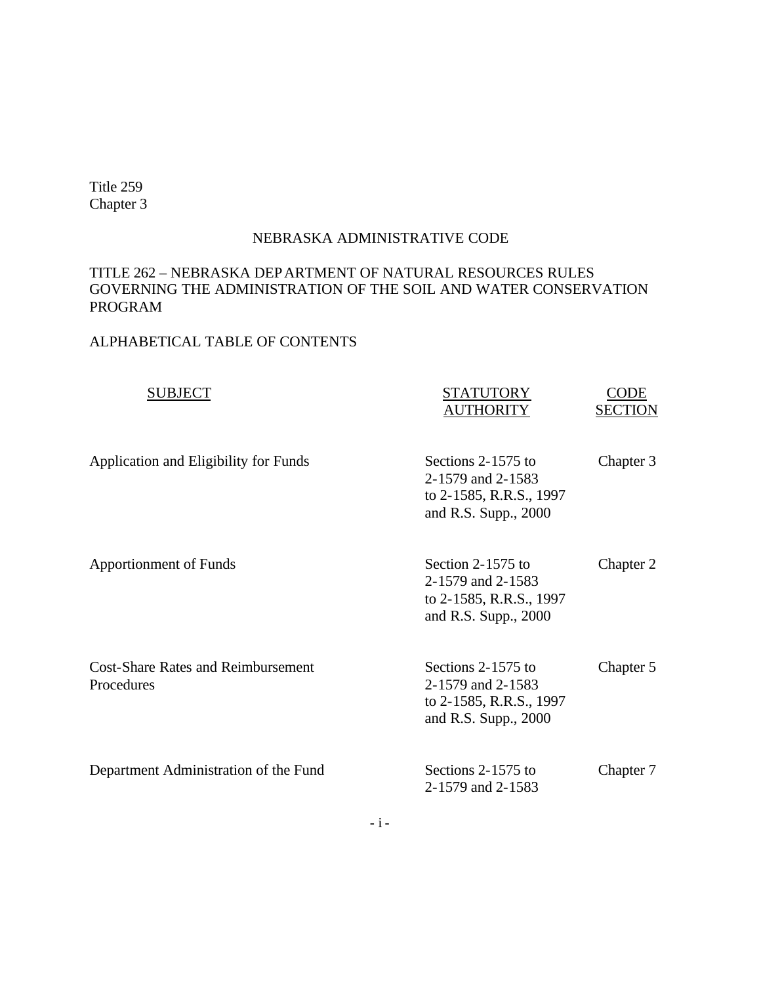#### NEBRASKA ADMINISTRATIVE CODE

# TITLE 262 – NEBRASKA DEPARTMENT OF NATURAL RESOURCES RULES GOVERNING THE ADMINISTRATION OF THE SOIL AND WATER CONSERVATION PROGRAM

# ALPHABETICAL TABLE OF CONTENTS

| <b>SUBJECT</b>                                          | STATUTORY<br><b>AUTHORITY</b>                                                              | CODE<br><b>SECTION</b> |
|---------------------------------------------------------|--------------------------------------------------------------------------------------------|------------------------|
| Application and Eligibility for Funds                   | Sections 2-1575 to<br>2-1579 and 2-1583<br>to 2-1585, R.R.S., 1997<br>and R.S. Supp., 2000 | Chapter 3              |
| <b>Apportionment of Funds</b>                           | Section 2-1575 to<br>2-1579 and 2-1583<br>to 2-1585, R.R.S., 1997<br>and R.S. Supp., 2000  | Chapter 2              |
| <b>Cost-Share Rates and Reimbursement</b><br>Procedures | Sections 2-1575 to<br>2-1579 and 2-1583<br>to 2-1585, R.R.S., 1997<br>and R.S. Supp., 2000 | Chapter 5              |
| Department Administration of the Fund                   | Sections 2-1575 to<br>2-1579 and 2-1583                                                    | Chapter 7              |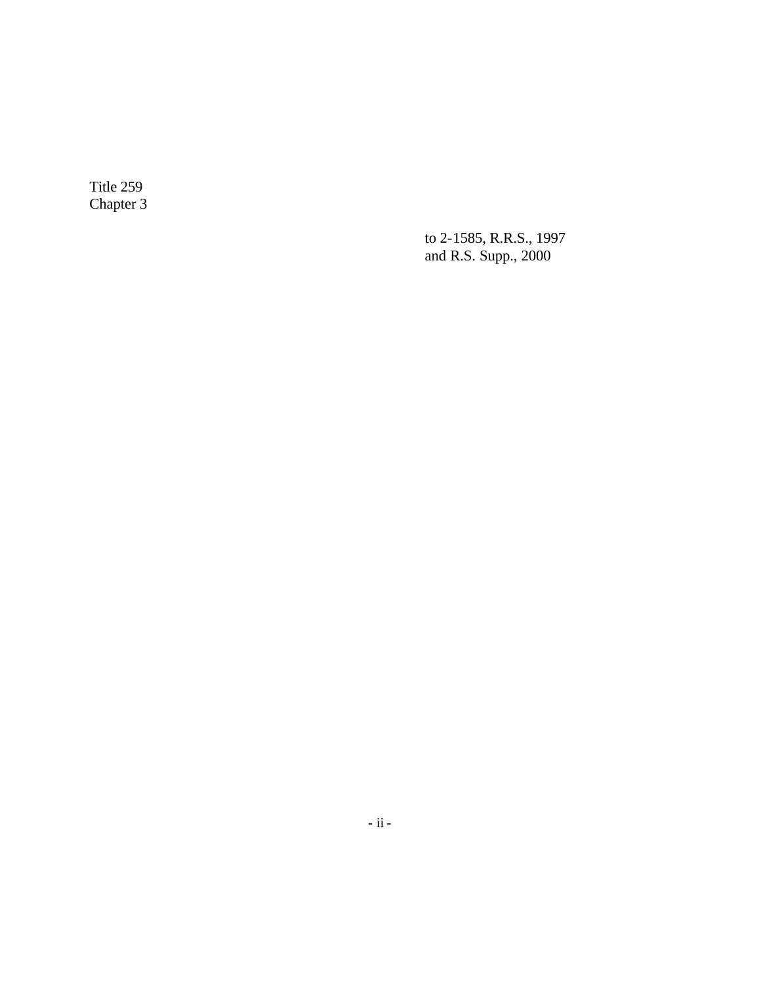> to 2-1585, R.R.S., 1997 and R.S. Supp., 2000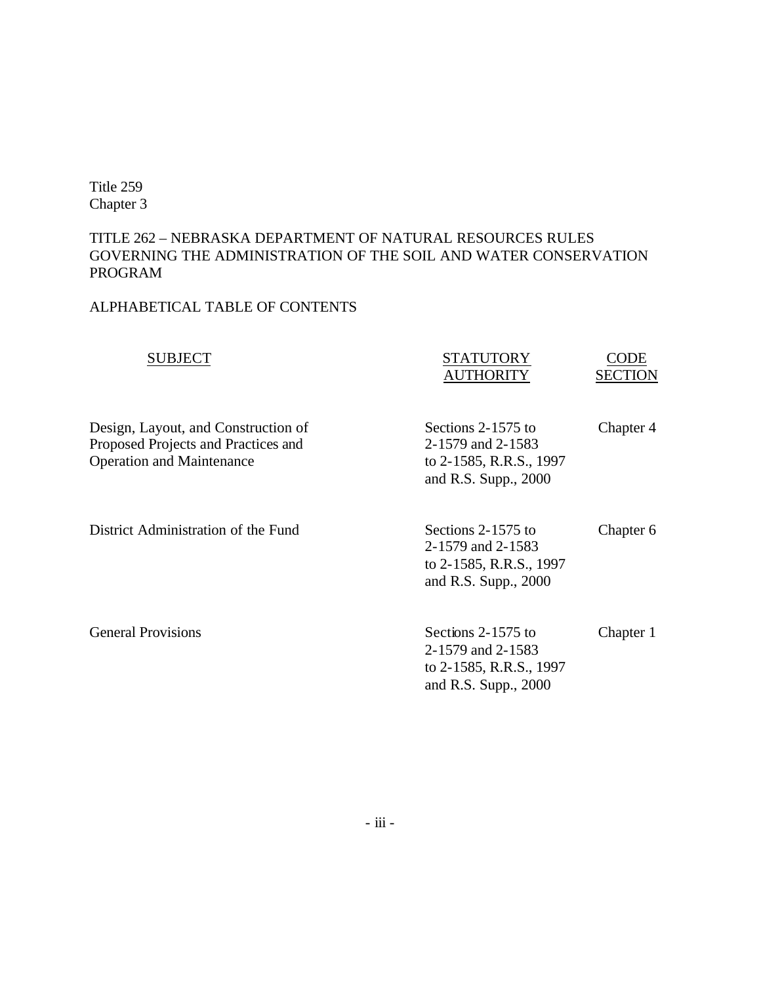# TITLE 262 – NEBRASKA DEPARTMENT OF NATURAL RESOURCES RULES GOVERNING THE ADMINISTRATION OF THE SOIL AND WATER CONSERVATION PROGRAM

# ALPHABETICAL TABLE OF CONTENTS

| <b>SUBJECT</b>                                                                                                 | <b>STATUTORY</b><br><b>AUTHORITY</b>                                                       | ODE<br><b>SECTION</b> |
|----------------------------------------------------------------------------------------------------------------|--------------------------------------------------------------------------------------------|-----------------------|
| Design, Layout, and Construction of<br>Proposed Projects and Practices and<br><b>Operation and Maintenance</b> | Sections 2-1575 to<br>2-1579 and 2-1583<br>to 2-1585, R.R.S., 1997<br>and R.S. Supp., 2000 | Chapter 4             |
| District Administration of the Fund                                                                            | Sections 2-1575 to<br>2-1579 and 2-1583<br>to 2-1585, R.R.S., 1997<br>and R.S. Supp., 2000 | Chapter 6             |
| <b>General Provisions</b>                                                                                      | Sections 2-1575 to<br>2-1579 and 2-1583<br>to 2-1585, R.R.S., 1997<br>and R.S. Supp., 2000 | Chapter 1             |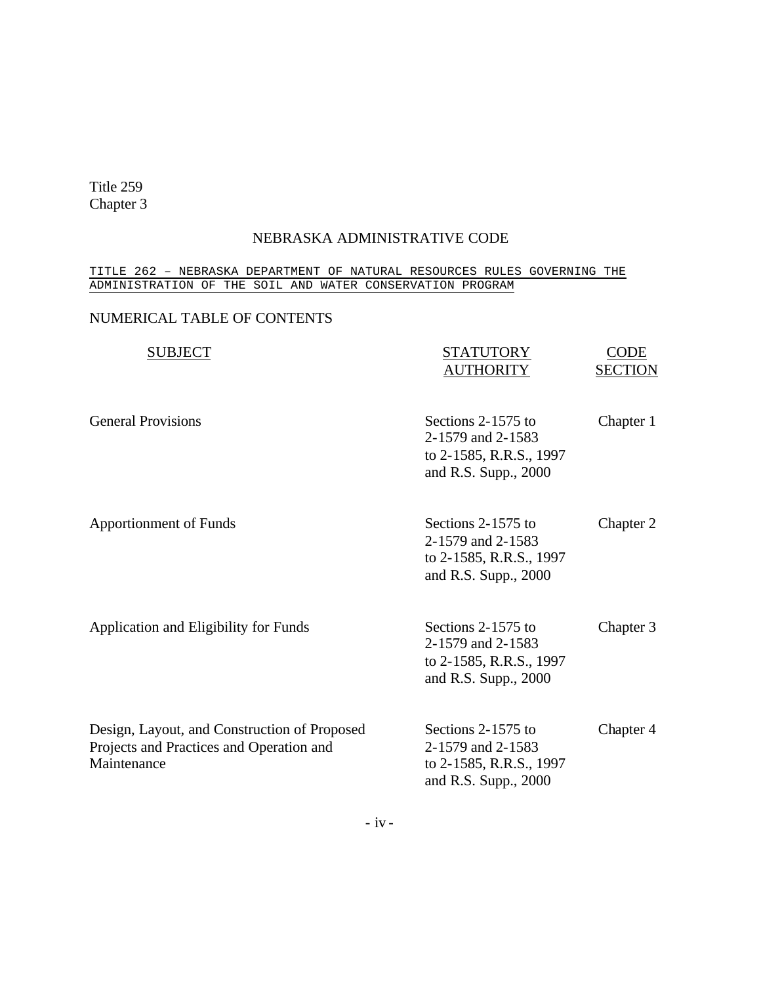#### NEBRASKA ADMINISTRATIVE CODE

#### TITLE 262 – NEBRASKA DEPARTMENT OF NATURAL RESOURCES RULES GOVERNING THE ADMINISTRATION OF THE SOIL AND WATER CONSERVATION PROGRAM

## NUMERICAL TABLE OF CONTENTS

| <b>SUBJECT</b>                                                                                          | <b>STATUTORY</b><br><b>AUTHORITY</b>                                                       | CODE<br><b>SECTION</b> |
|---------------------------------------------------------------------------------------------------------|--------------------------------------------------------------------------------------------|------------------------|
| <b>General Provisions</b>                                                                               | Sections 2-1575 to<br>2-1579 and 2-1583<br>to 2-1585, R.R.S., 1997<br>and R.S. Supp., 2000 | Chapter 1              |
| <b>Apportionment of Funds</b>                                                                           | Sections 2-1575 to<br>2-1579 and 2-1583<br>to 2-1585, R.R.S., 1997<br>and R.S. Supp., 2000 | Chapter 2              |
| Application and Eligibility for Funds                                                                   | Sections 2-1575 to<br>2-1579 and 2-1583<br>to 2-1585, R.R.S., 1997<br>and R.S. Supp., 2000 | Chapter 3              |
| Design, Layout, and Construction of Proposed<br>Projects and Practices and Operation and<br>Maintenance | Sections 2-1575 to<br>2-1579 and 2-1583<br>to 2-1585, R.R.S., 1997<br>and R.S. Supp., 2000 | Chapter 4              |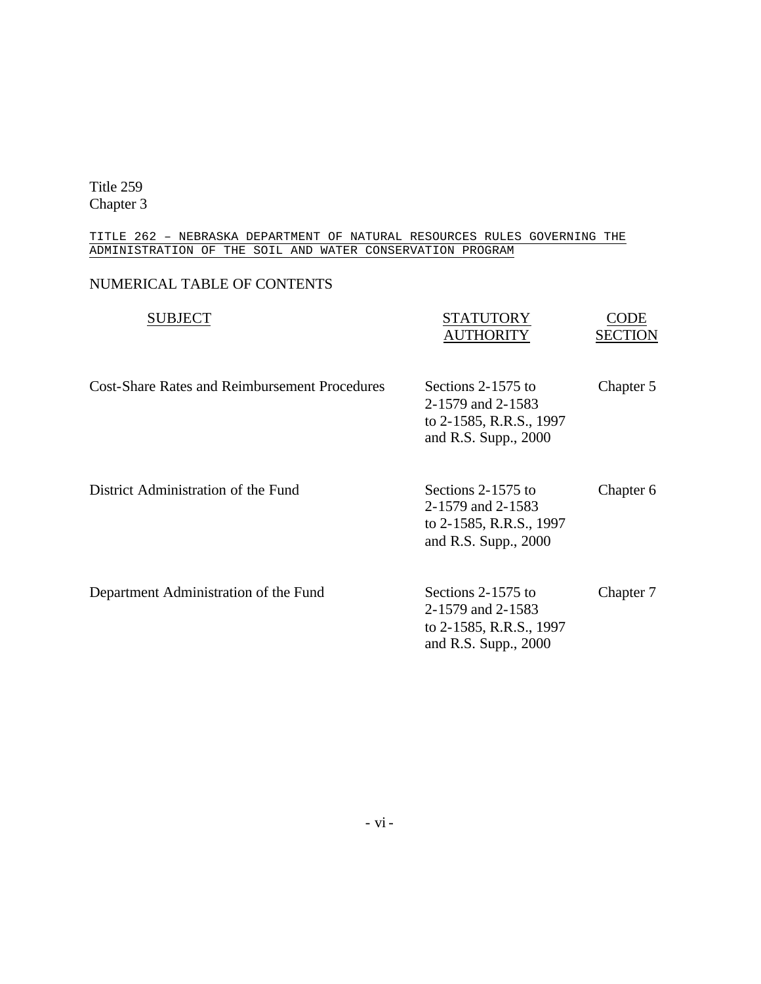#### TITLE 262 – NEBRASKA DEPARTMENT OF NATURAL RESOURCES RULES GOVERNING THE ADMINISTRATION OF THE SOIL AND WATER CONSERVATION PROGRAM

# NUMERICAL TABLE OF CONTENTS

| <b>SUBJECT</b>                                       | STATUTORY<br><b>AUTHORITY</b>                                                                | CODE<br><b>SECTION</b> |
|------------------------------------------------------|----------------------------------------------------------------------------------------------|------------------------|
| <b>Cost-Share Rates and Reimbursement Procedures</b> | Sections 2-1575 to<br>2-1579 and 2-1583<br>to 2-1585, R.R.S., 1997<br>and R.S. Supp., 2000   | Chapter 5              |
| District Administration of the Fund                  | Sections 2-1575 to<br>2-1579 and 2-1583<br>to 2-1585, R.R.S., 1997<br>and R.S. Supp., 2000   | Chapter 6              |
| Department Administration of the Fund                | Sections 2-1575 to<br>2-1579 and 2-1583<br>to 2-1585, R.R.S., 1997<br>and R.S. Supp., $2000$ | Chapter 7              |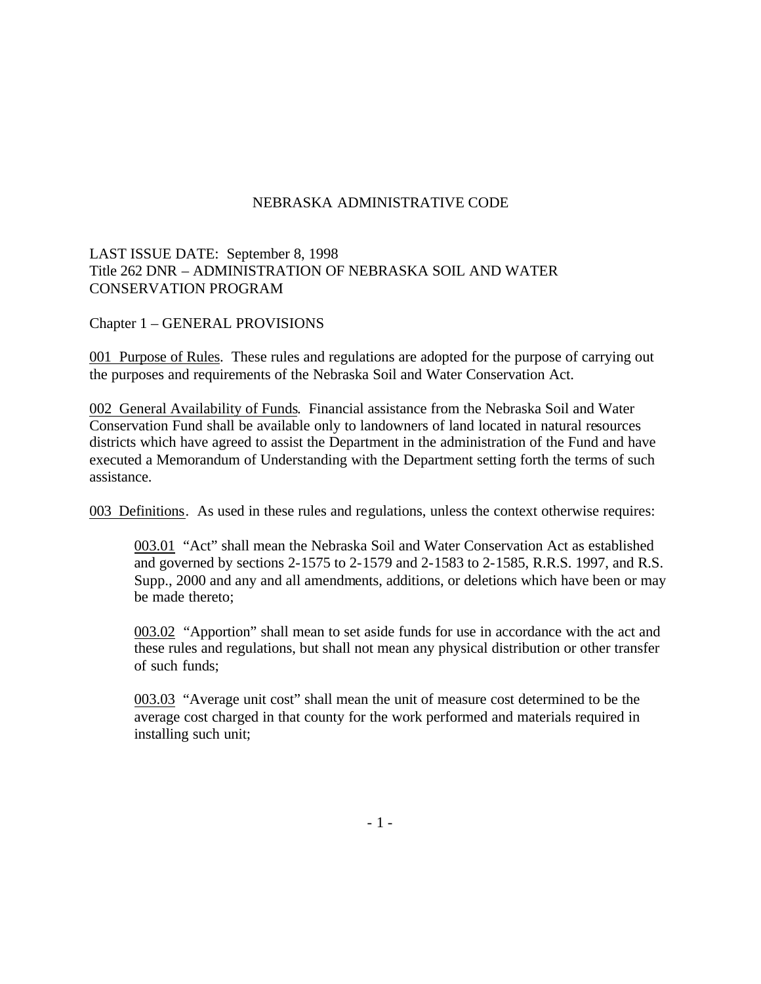## LAST ISSUE DATE: September 8, 1998 Title 262 DNR – ADMINISTRATION OF NEBRASKA SOIL AND WATER CONSERVATION PROGRAM

Chapter 1 – GENERAL PROVISIONS

001 Purpose of Rules. These rules and regulations are adopted for the purpose of carrying out the purposes and requirements of the Nebraska Soil and Water Conservation Act.

002 General Availability of Funds. Financial assistance from the Nebraska Soil and Water Conservation Fund shall be available only to landowners of land located in natural resources districts which have agreed to assist the Department in the administration of the Fund and have executed a Memorandum of Understanding with the Department setting forth the terms of such assistance.

003 Definitions. As used in these rules and regulations, unless the context otherwise requires:

003.01 "Act" shall mean the Nebraska Soil and Water Conservation Act as established and governed by sections 2-1575 to 2-1579 and 2-1583 to 2-1585, R.R.S. 1997, and R.S. Supp., 2000 and any and all amendments, additions, or deletions which have been or may be made thereto;

003.02 "Apportion" shall mean to set aside funds for use in accordance with the act and these rules and regulations, but shall not mean any physical distribution or other transfer of such funds;

003.03 "Average unit cost" shall mean the unit of measure cost determined to be the average cost charged in that county for the work performed and materials required in installing such unit;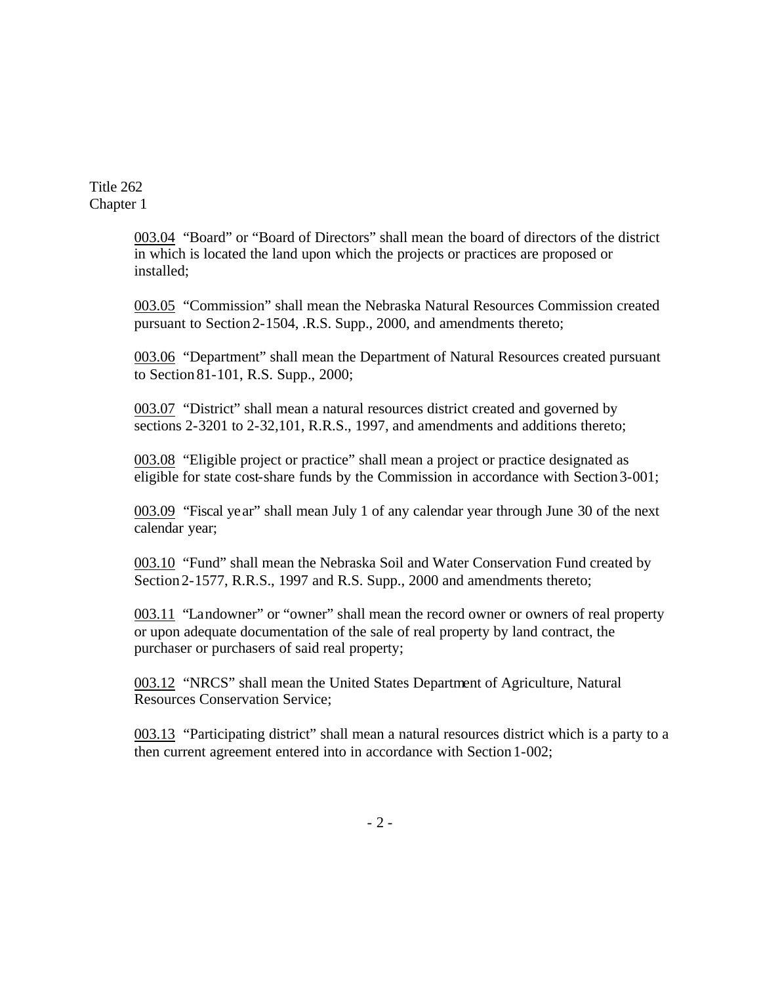> 003.04 "Board" or "Board of Directors" shall mean the board of directors of the district in which is located the land upon which the projects or practices are proposed or installed;

> 003.05 "Commission" shall mean the Nebraska Natural Resources Commission created pursuant to Section 2-1504, .R.S. Supp., 2000, and amendments thereto;

> 003.06 "Department" shall mean the Department of Natural Resources created pursuant to Section 81-101, R.S. Supp., 2000;

003.07 "District" shall mean a natural resources district created and governed by sections 2-3201 to 2-32,101, R.R.S., 1997, and amendments and additions thereto;

003.08 "Eligible project or practice" shall mean a project or practice designated as eligible for state cost-share funds by the Commission in accordance with Section3-001;

003.09 "Fiscal year" shall mean July 1 of any calendar year through June 30 of the next calendar year;

003.10 "Fund" shall mean the Nebraska Soil and Water Conservation Fund created by Section 2-1577, R.R.S., 1997 and R.S. Supp., 2000 and amendments thereto;

003.11 "Landowner" or "owner" shall mean the record owner or owners of real property or upon adequate documentation of the sale of real property by land contract, the purchaser or purchasers of said real property;

003.12 "NRCS" shall mean the United States Department of Agriculture, Natural Resources Conservation Service;

003.13 "Participating district" shall mean a natural resources district which is a party to a then current agreement entered into in accordance with Section 1-002;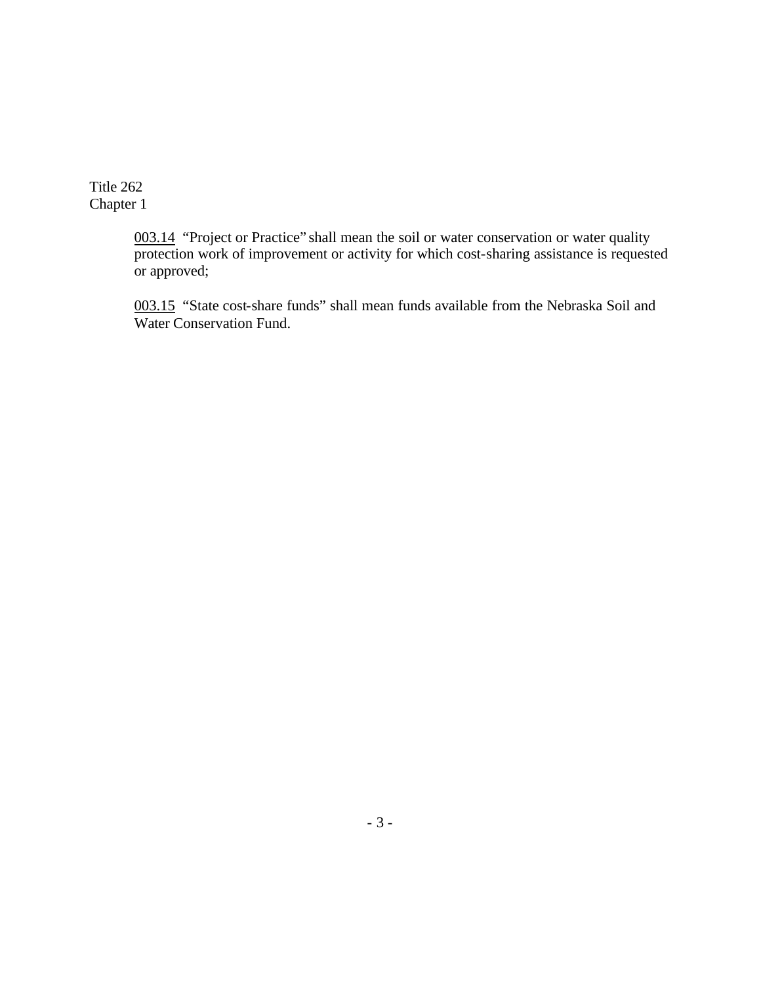> 003.14 "Project or Practice" shall mean the soil or water conservation or water quality protection work of improvement or activity for which cost-sharing assistance is requested or approved;

003.15 "State cost-share funds" shall mean funds available from the Nebraska Soil and Water Conservation Fund.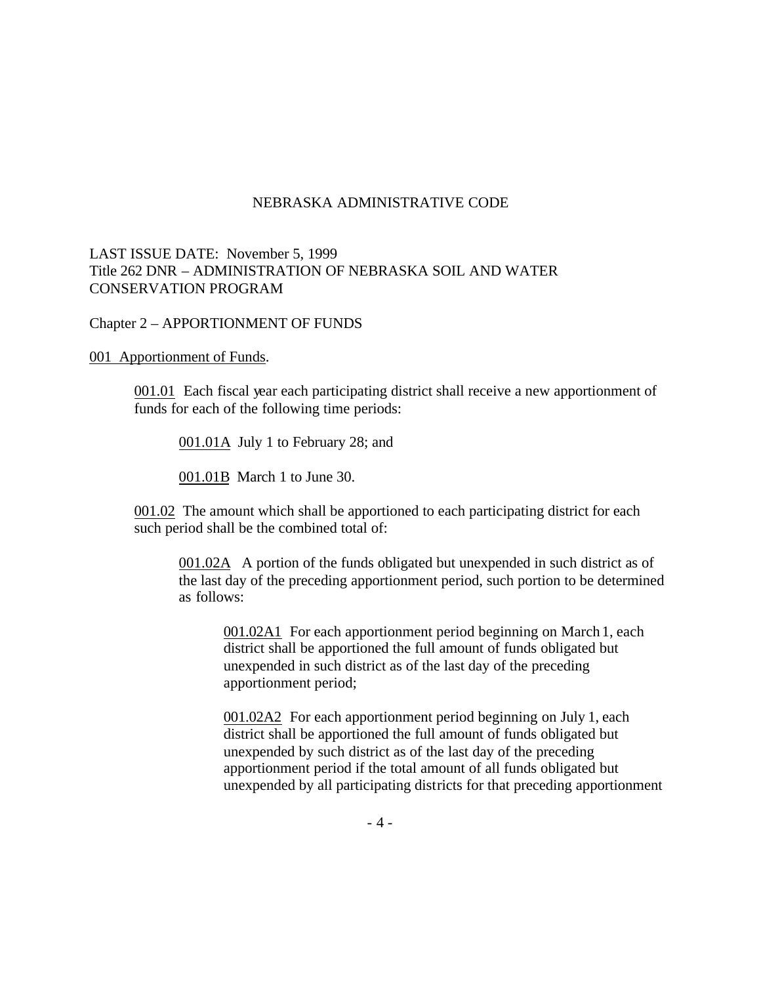## LAST ISSUE DATE: November 5, 1999 Title 262 DNR – ADMINISTRATION OF NEBRASKA SOIL AND WATER CONSERVATION PROGRAM

### Chapter 2 – APPORTIONMENT OF FUNDS

#### 001 Apportionment of Funds.

001.01 Each fiscal year each participating district shall receive a new apportionment of funds for each of the following time periods:

001.01A July 1 to February 28; and

001.01B March 1 to June 30.

001.02 The amount which shall be apportioned to each participating district for each such period shall be the combined total of:

001.02A A portion of the funds obligated but unexpended in such district as of the last day of the preceding apportionment period, such portion to be determined as follows:

001.02A1 For each apportionment period beginning on March 1, each district shall be apportioned the full amount of funds obligated but unexpended in such district as of the last day of the preceding apportionment period;

001.02A2 For each apportionment period beginning on July 1, each district shall be apportioned the full amount of funds obligated but unexpended by such district as of the last day of the preceding apportionment period if the total amount of all funds obligated but unexpended by all participating districts for that preceding apportionment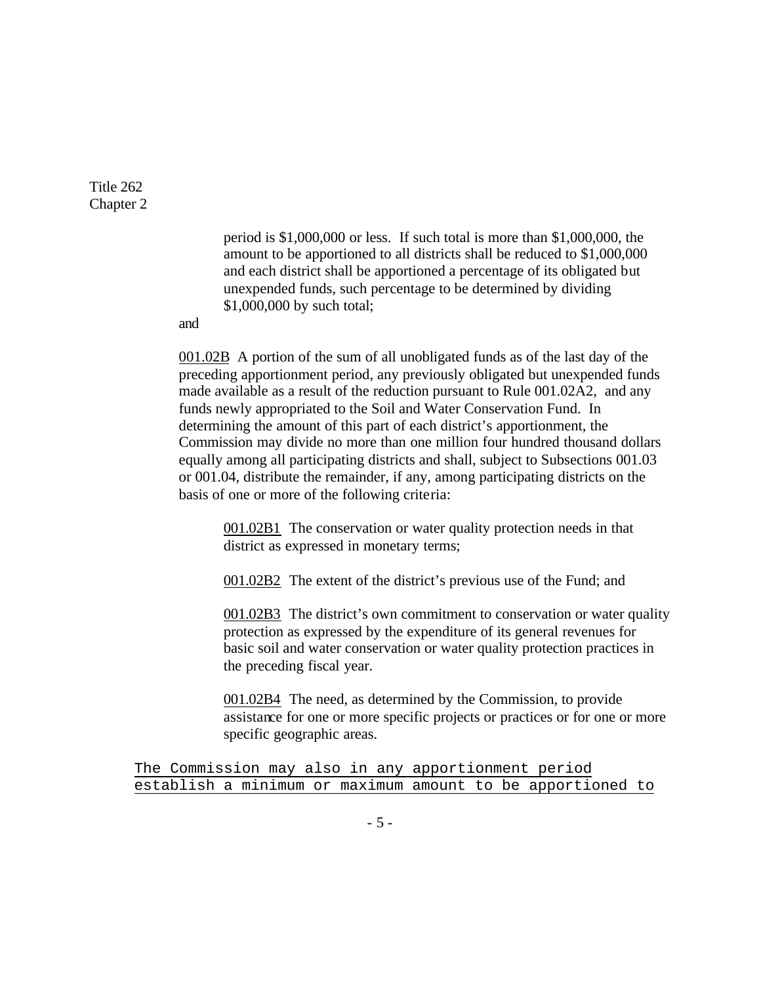> period is \$1,000,000 or less. If such total is more than \$1,000,000, the amount to be apportioned to all districts shall be reduced to \$1,000,000 and each district shall be apportioned a percentage of its obligated but unexpended funds, such percentage to be determined by dividing \$1,000,000 by such total;

and

001.02B A portion of the sum of all unobligated funds as of the last day of the preceding apportionment period, any previously obligated but unexpended funds made available as a result of the reduction pursuant to Rule 001.02A2, and any funds newly appropriated to the Soil and Water Conservation Fund. In determining the amount of this part of each district's apportionment, the Commission may divide no more than one million four hundred thousand dollars equally among all participating districts and shall, subject to Subsections 001.03 or 001.04, distribute the remainder, if any, among participating districts on the basis of one or more of the following criteria:

001.02B1 The conservation or water quality protection needs in that district as expressed in monetary terms;

001.02B2 The extent of the district's previous use of the Fund; and

001.02B3 The district's own commitment to conservation or water quality protection as expressed by the expenditure of its general revenues for basic soil and water conservation or water quality protection practices in the preceding fiscal year.

001.02B4 The need, as determined by the Commission, to provide assistance for one or more specific projects or practices or for one or more specific geographic areas.

The Commission may also in any apportionment period establish a minimum or maximum amount to be apportioned to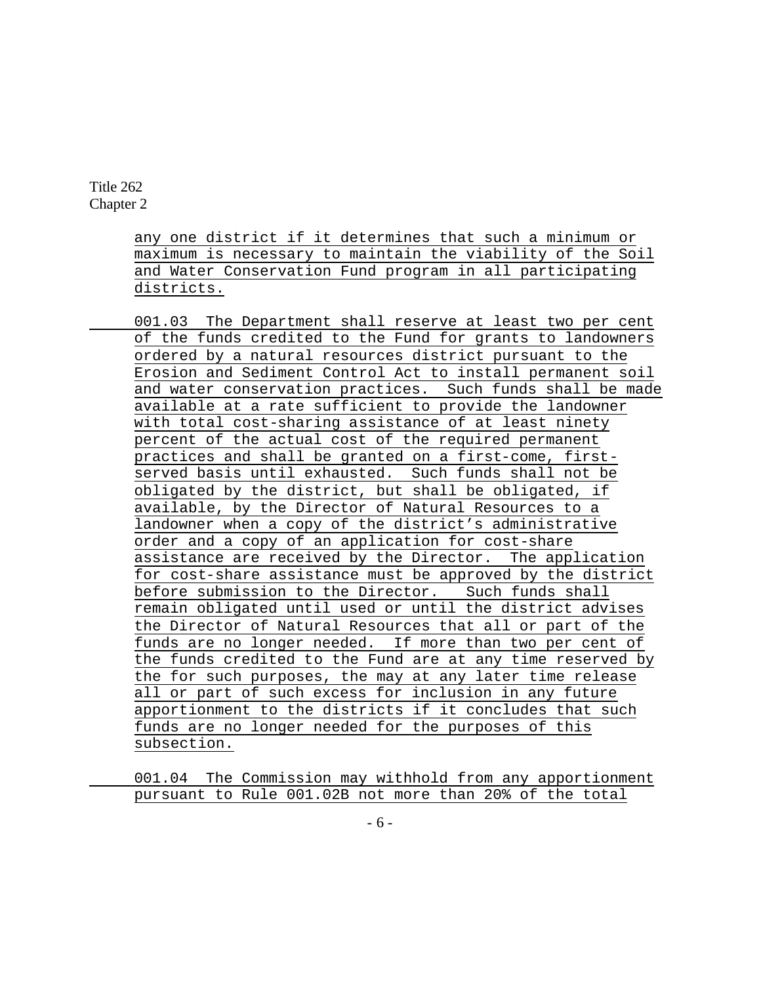> any one district if it determines that such a minimum or maximum is necessary to maintain the viability of the Soil and Water Conservation Fund program in all participating districts.

001.03 The Department shall reserve at least two per cent of the funds credited to the Fund for grants to landowners ordered by a natural resources district pursuant to the Erosion and Sediment Control Act to install permanent soil and water conservation practices. Such funds shall be made available at a rate sufficient to provide the landowner with total cost-sharing assistance of at least ninety percent of the actual cost of the required permanent practices and shall be granted on a first-come, firstserved basis until exhausted. Such funds shall not be obligated by the district, but shall be obligated, if available, by the Director of Natural Resources to a landowner when a copy of the district's administrative order and a copy of an application for cost-share assistance are received by the Director. The application for cost-share assistance must be approved by the district before submission to the Director. Such funds shall remain obligated until used or until the district advises the Director of Natural Resources that all or part of the funds are no longer needed. If more than two per cent of the funds credited to the Fund are at any time reserved by the for such purposes, the may at any later time release all or part of such excess for inclusion in any future apportionment to the districts if it concludes that such funds are no longer needed for the purposes of this subsection.

001.04 The Commission may withhold from any apportionment pursuant to Rule 001.02B not more than 20% of the total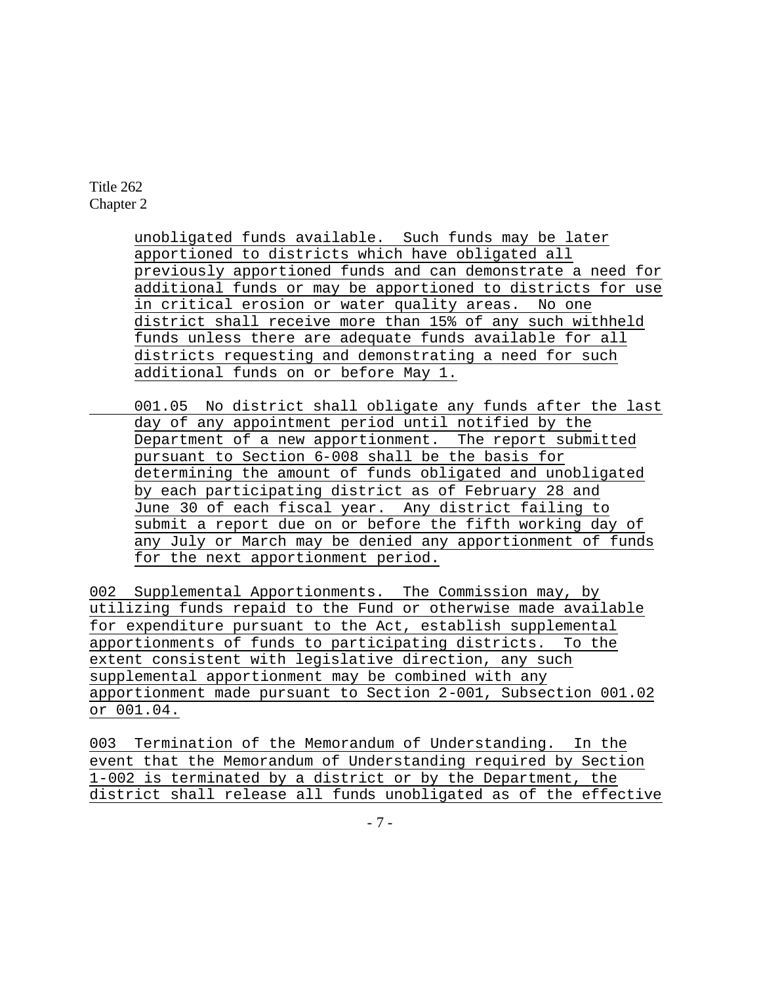> unobligated funds available. Such funds may be later apportioned to districts which have obligated all previously apportioned funds and can demonstrate a need for additional funds or may be apportioned to districts for use in critical erosion or water quality areas. No one district shall receive more than 15% of any such withheld funds unless there are adequate funds available for all districts requesting and demonstrating a need for such additional funds on or before May 1.

001.05 No district shall obligate any funds after the last day of any appointment period until notified by the Department of a new apportionment. The report submitted pursuant to Section 6-008 shall be the basis for determining the amount of funds obligated and unobligated by each participating district as of February 28 and June 30 of each fiscal year. Any district failing to submit a report due on or before the fifth working day of any July or March may be denied any apportionment of funds for the next apportionment period.

002 Supplemental Apportionments. The Commission may, by utilizing funds repaid to the Fund or otherwise made available for expenditure pursuant to the Act, establish supplemental apportionments of funds to participating districts. To the extent consistent with legislative direction, any such supplemental apportionment may be combined with any apportionment made pursuant to Section 2-001, Subsection 001.02 or 001.04.

003 Termination of the Memorandum of Understanding. In the event that the Memorandum of Understanding required by Section 1-002 is terminated by a district or by the Department, the district shall release all funds unobligated as of the effective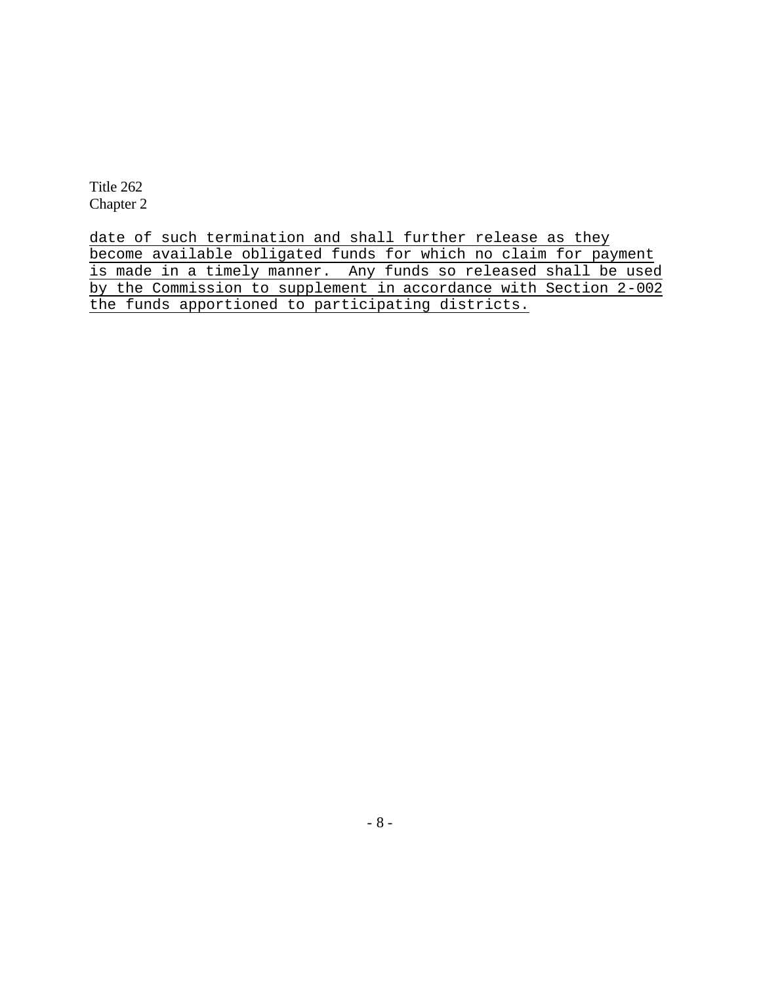date of such termination and shall further release as they become available obligated funds for which no claim for payment is made in a timely manner. Any funds so released shall be used by the Commission to supplement in accordance with Section 2-002 the funds apportioned to participating districts.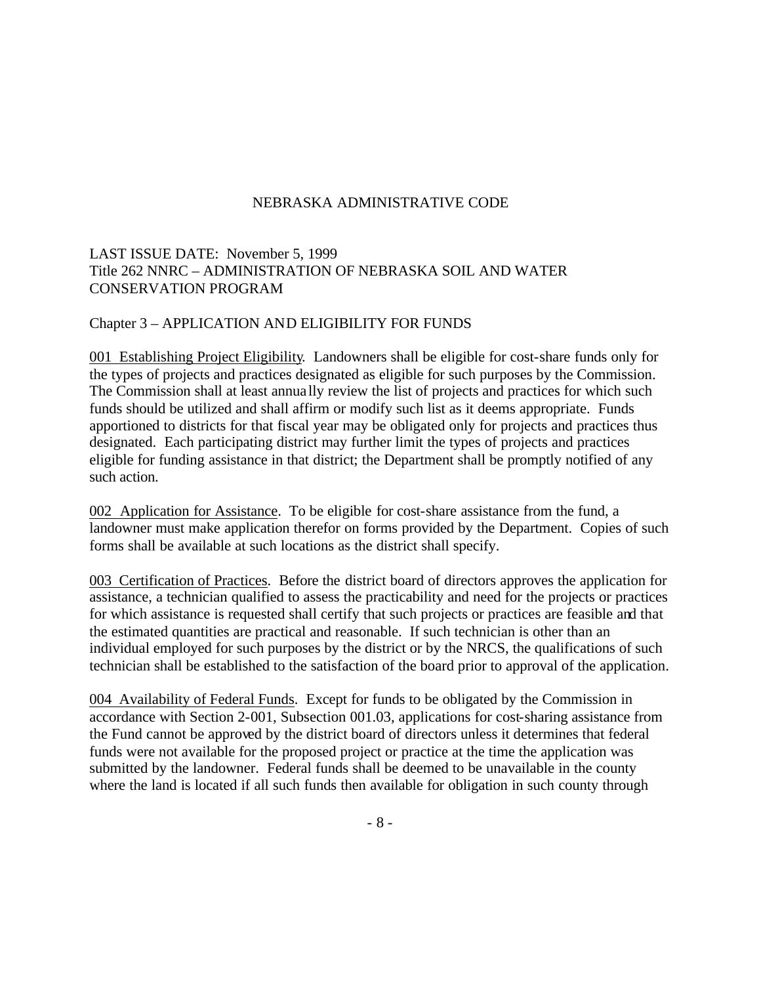# LAST ISSUE DATE: November 5, 1999 Title 262 NNRC – ADMINISTRATION OF NEBRASKA SOIL AND WATER CONSERVATION PROGRAM

### Chapter 3 – APPLICATION AND ELIGIBILITY FOR FUNDS

001 Establishing Project Eligibility. Landowners shall be eligible for cost-share funds only for the types of projects and practices designated as eligible for such purposes by the Commission. The Commission shall at least annua lly review the list of projects and practices for which such funds should be utilized and shall affirm or modify such list as it deems appropriate. Funds apportioned to districts for that fiscal year may be obligated only for projects and practices thus designated. Each participating district may further limit the types of projects and practices eligible for funding assistance in that district; the Department shall be promptly notified of any such action.

002 Application for Assistance. To be eligible for cost-share assistance from the fund, a landowner must make application therefor on forms provided by the Department. Copies of such forms shall be available at such locations as the district shall specify.

003 Certification of Practices. Before the district board of directors approves the application for assistance, a technician qualified to assess the practicability and need for the projects or practices for which assistance is requested shall certify that such projects or practices are feasible and that the estimated quantities are practical and reasonable. If such technician is other than an individual employed for such purposes by the district or by the NRCS, the qualifications of such technician shall be established to the satisfaction of the board prior to approval of the application.

004 Availability of Federal Funds. Except for funds to be obligated by the Commission in accordance with Section 2-001, Subsection 001.03, applications for cost-sharing assistance from the Fund cannot be approved by the district board of directors unless it determines that federal funds were not available for the proposed project or practice at the time the application was submitted by the landowner. Federal funds shall be deemed to be unavailable in the county where the land is located if all such funds then available for obligation in such county through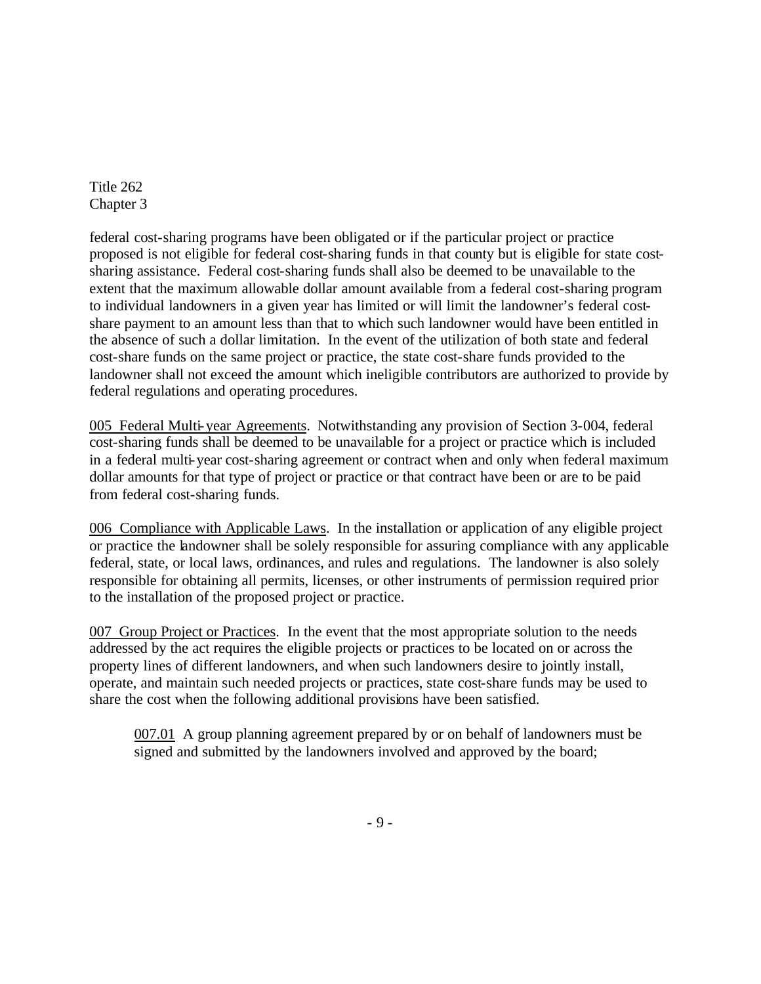federal cost-sharing programs have been obligated or if the particular project or practice proposed is not eligible for federal cost-sharing funds in that county but is eligible for state costsharing assistance. Federal cost-sharing funds shall also be deemed to be unavailable to the extent that the maximum allowable dollar amount available from a federal cost-sharing program to individual landowners in a given year has limited or will limit the landowner's federal costshare payment to an amount less than that to which such landowner would have been entitled in the absence of such a dollar limitation. In the event of the utilization of both state and federal cost-share funds on the same project or practice, the state cost-share funds provided to the landowner shall not exceed the amount which ineligible contributors are authorized to provide by federal regulations and operating procedures.

005 Federal Multi-year Agreements. Notwithstanding any provision of Section 3-004, federal cost-sharing funds shall be deemed to be unavailable for a project or practice which is included in a federal multi-year cost-sharing agreement or contract when and only when federal maximum dollar amounts for that type of project or practice or that contract have been or are to be paid from federal cost-sharing funds.

006 Compliance with Applicable Laws. In the installation or application of any eligible project or practice the landowner shall be solely responsible for assuring compliance with any applicable federal, state, or local laws, ordinances, and rules and regulations. The landowner is also solely responsible for obtaining all permits, licenses, or other instruments of permission required prior to the installation of the proposed project or practice.

007 Group Project or Practices. In the event that the most appropriate solution to the needs addressed by the act requires the eligible projects or practices to be located on or across the property lines of different landowners, and when such landowners desire to jointly install, operate, and maintain such needed projects or practices, state cost-share funds may be used to share the cost when the following additional provisions have been satisfied.

007.01 A group planning agreement prepared by or on behalf of landowners must be signed and submitted by the landowners involved and approved by the board;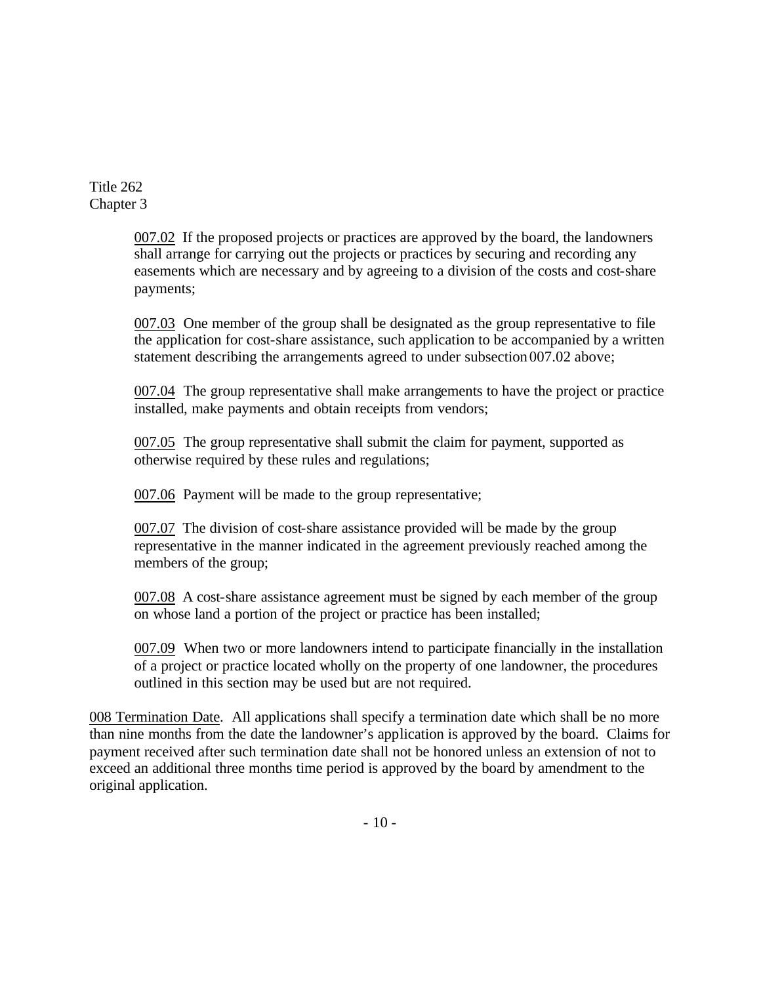> 007.02 If the proposed projects or practices are approved by the board, the landowners shall arrange for carrying out the projects or practices by securing and recording any easements which are necessary and by agreeing to a division of the costs and cost-share payments;

007.03 One member of the group shall be designated as the group representative to file the application for cost-share assistance, such application to be accompanied by a written statement describing the arrangements agreed to under subsection 007.02 above;

007.04 The group representative shall make arrangements to have the project or practice installed, make payments and obtain receipts from vendors;

007.05 The group representative shall submit the claim for payment, supported as otherwise required by these rules and regulations;

007.06 Payment will be made to the group representative;

007.07 The division of cost-share assistance provided will be made by the group representative in the manner indicated in the agreement previously reached among the members of the group;

007.08 A cost-share assistance agreement must be signed by each member of the group on whose land a portion of the project or practice has been installed;

007.09 When two or more landowners intend to participate financially in the installation of a project or practice located wholly on the property of one landowner, the procedures outlined in this section may be used but are not required.

008 Termination Date. All applications shall specify a termination date which shall be no more than nine months from the date the landowner's application is approved by the board. Claims for payment received after such termination date shall not be honored unless an extension of not to exceed an additional three months time period is approved by the board by amendment to the original application.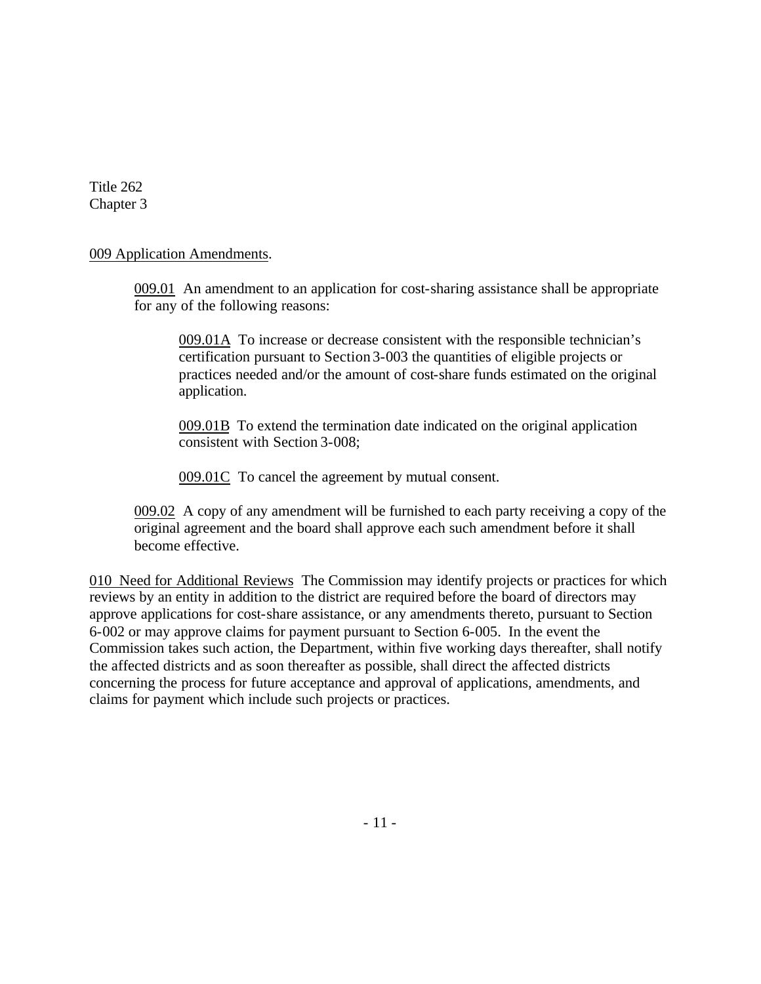### 009 Application Amendments.

009.01 An amendment to an application for cost-sharing assistance shall be appropriate for any of the following reasons:

009.01A To increase or decrease consistent with the responsible technician's certification pursuant to Section 3-003 the quantities of eligible projects or practices needed and/or the amount of cost-share funds estimated on the original application.

009.01B To extend the termination date indicated on the original application consistent with Section 3-008;

009.01C To cancel the agreement by mutual consent.

009.02 A copy of any amendment will be furnished to each party receiving a copy of the original agreement and the board shall approve each such amendment before it shall become effective.

010 Need for Additional Reviews The Commission may identify projects or practices for which reviews by an entity in addition to the district are required before the board of directors may approve applications for cost-share assistance, or any amendments thereto, pursuant to Section 6-002 or may approve claims for payment pursuant to Section 6-005. In the event the Commission takes such action, the Department, within five working days thereafter, shall notify the affected districts and as soon thereafter as possible, shall direct the affected districts concerning the process for future acceptance and approval of applications, amendments, and claims for payment which include such projects or practices.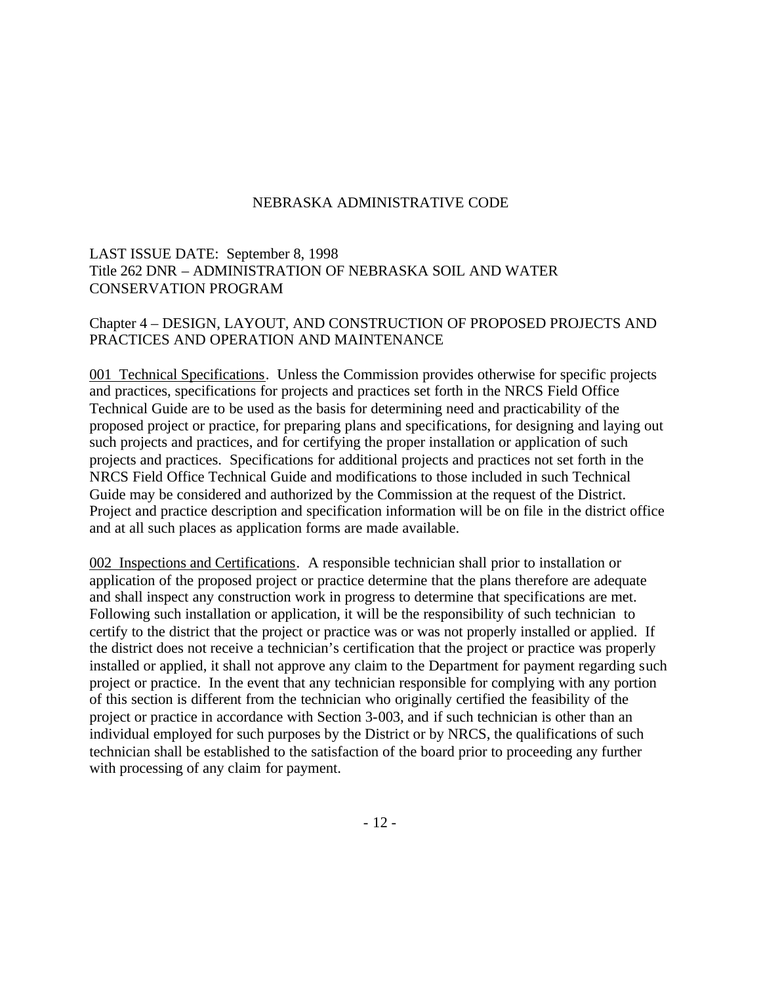# LAST ISSUE DATE: September 8, 1998 Title 262 DNR – ADMINISTRATION OF NEBRASKA SOIL AND WATER CONSERVATION PROGRAM

### Chapter 4 – DESIGN, LAYOUT, AND CONSTRUCTION OF PROPOSED PROJECTS AND PRACTICES AND OPERATION AND MAINTENANCE

001 Technical Specifications. Unless the Commission provides otherwise for specific projects and practices, specifications for projects and practices set forth in the NRCS Field Office Technical Guide are to be used as the basis for determining need and practicability of the proposed project or practice, for preparing plans and specifications, for designing and laying out such projects and practices, and for certifying the proper installation or application of such projects and practices. Specifications for additional projects and practices not set forth in the NRCS Field Office Technical Guide and modifications to those included in such Technical Guide may be considered and authorized by the Commission at the request of the District. Project and practice description and specification information will be on file in the district office and at all such places as application forms are made available.

002 Inspections and Certifications. A responsible technician shall prior to installation or application of the proposed project or practice determine that the plans therefore are adequate and shall inspect any construction work in progress to determine that specifications are met. Following such installation or application, it will be the responsibility of such technician to certify to the district that the project or practice was or was not properly installed or applied. If the district does not receive a technician's certification that the project or practice was properly installed or applied, it shall not approve any claim to the Department for payment regarding such project or practice. In the event that any technician responsible for complying with any portion of this section is different from the technician who originally certified the feasibility of the project or practice in accordance with Section 3-003, and if such technician is other than an individual employed for such purposes by the District or by NRCS, the qualifications of such technician shall be established to the satisfaction of the board prior to proceeding any further with processing of any claim for payment.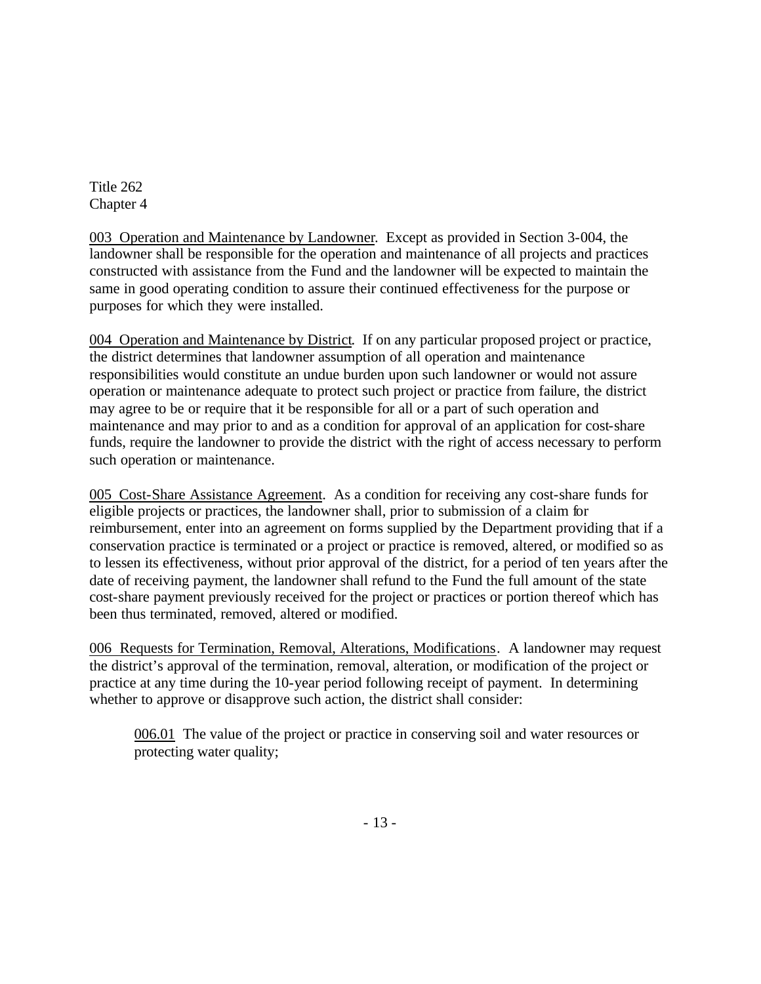003 Operation and Maintenance by Landowner. Except as provided in Section 3-004, the landowner shall be responsible for the operation and maintenance of all projects and practices constructed with assistance from the Fund and the landowner will be expected to maintain the same in good operating condition to assure their continued effectiveness for the purpose or purposes for which they were installed.

004 Operation and Maintenance by District. If on any particular proposed project or practice, the district determines that landowner assumption of all operation and maintenance responsibilities would constitute an undue burden upon such landowner or would not assure operation or maintenance adequate to protect such project or practice from failure, the district may agree to be or require that it be responsible for all or a part of such operation and maintenance and may prior to and as a condition for approval of an application for cost-share funds, require the landowner to provide the district with the right of access necessary to perform such operation or maintenance.

005 Cost-Share Assistance Agreement. As a condition for receiving any cost-share funds for eligible projects or practices, the landowner shall, prior to submission of a claim for reimbursement, enter into an agreement on forms supplied by the Department providing that if a conservation practice is terminated or a project or practice is removed, altered, or modified so as to lessen its effectiveness, without prior approval of the district, for a period of ten years after the date of receiving payment, the landowner shall refund to the Fund the full amount of the state cost-share payment previously received for the project or practices or portion thereof which has been thus terminated, removed, altered or modified.

006 Requests for Termination, Removal, Alterations, Modifications. A landowner may request the district's approval of the termination, removal, alteration, or modification of the project or practice at any time during the 10-year period following receipt of payment. In determining whether to approve or disapprove such action, the district shall consider:

006.01 The value of the project or practice in conserving soil and water resources or protecting water quality;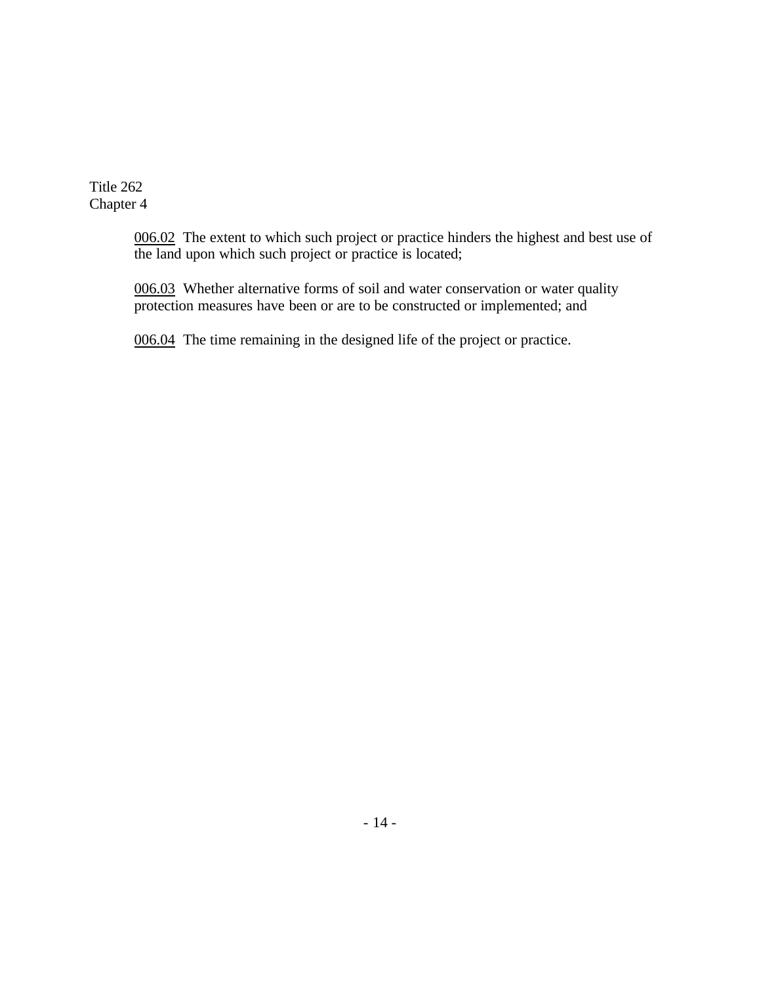> 006.02 The extent to which such project or practice hinders the highest and best use of the land upon which such project or practice is located;

006.03 Whether alternative forms of soil and water conservation or water quality protection measures have been or are to be constructed or implemented; and

006.04 The time remaining in the designed life of the project or practice.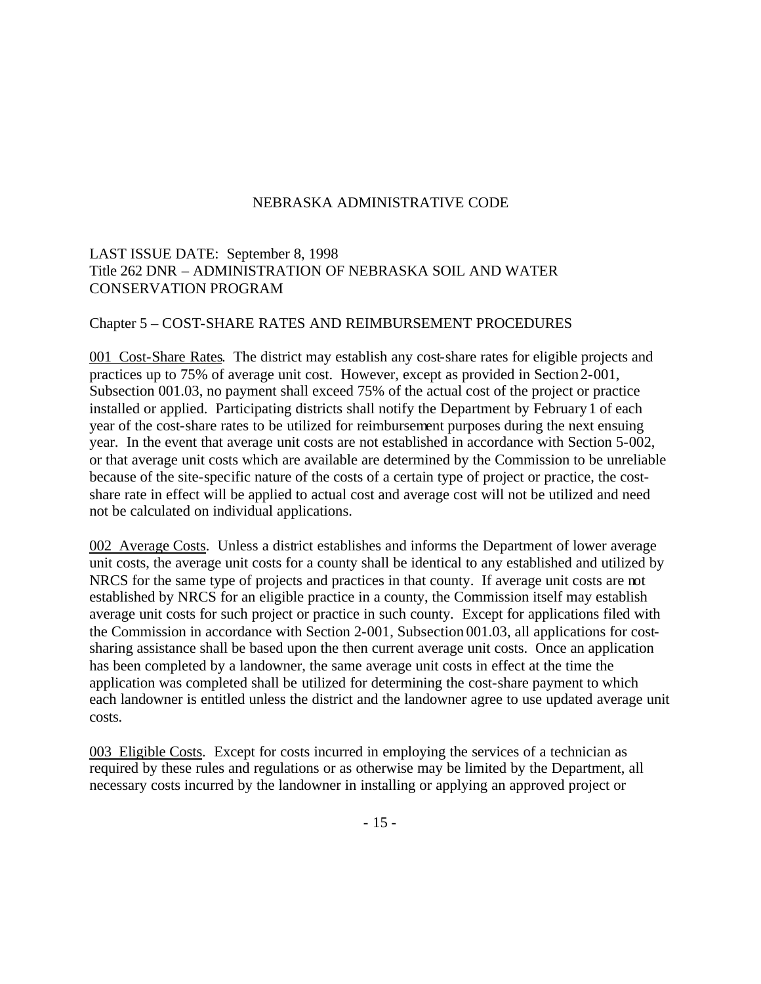# LAST ISSUE DATE: September 8, 1998 Title 262 DNR – ADMINISTRATION OF NEBRASKA SOIL AND WATER CONSERVATION PROGRAM

### Chapter 5 – COST-SHARE RATES AND REIMBURSEMENT PROCEDURES

001 Cost-Share Rates. The district may establish any cost-share rates for eligible projects and practices up to 75% of average unit cost. However, except as provided in Section 2-001, Subsection 001.03, no payment shall exceed 75% of the actual cost of the project or practice installed or applied. Participating districts shall notify the Department by February1 of each year of the cost-share rates to be utilized for reimbursement purposes during the next ensuing year. In the event that average unit costs are not established in accordance with Section 5-002, or that average unit costs which are available are determined by the Commission to be unreliable because of the site-specific nature of the costs of a certain type of project or practice, the costshare rate in effect will be applied to actual cost and average cost will not be utilized and need not be calculated on individual applications.

002 Average Costs. Unless a district establishes and informs the Department of lower average unit costs, the average unit costs for a county shall be identical to any established and utilized by NRCS for the same type of projects and practices in that county. If average unit costs are not established by NRCS for an eligible practice in a county, the Commission itself may establish average unit costs for such project or practice in such county. Except for applications filed with the Commission in accordance with Section 2-001, Subsection 001.03, all applications for costsharing assistance shall be based upon the then current average unit costs. Once an application has been completed by a landowner, the same average unit costs in effect at the time the application was completed shall be utilized for determining the cost-share payment to which each landowner is entitled unless the district and the landowner agree to use updated average unit costs.

003 Eligible Costs. Except for costs incurred in employing the services of a technician as required by these rules and regulations or as otherwise may be limited by the Department, all necessary costs incurred by the landowner in installing or applying an approved project or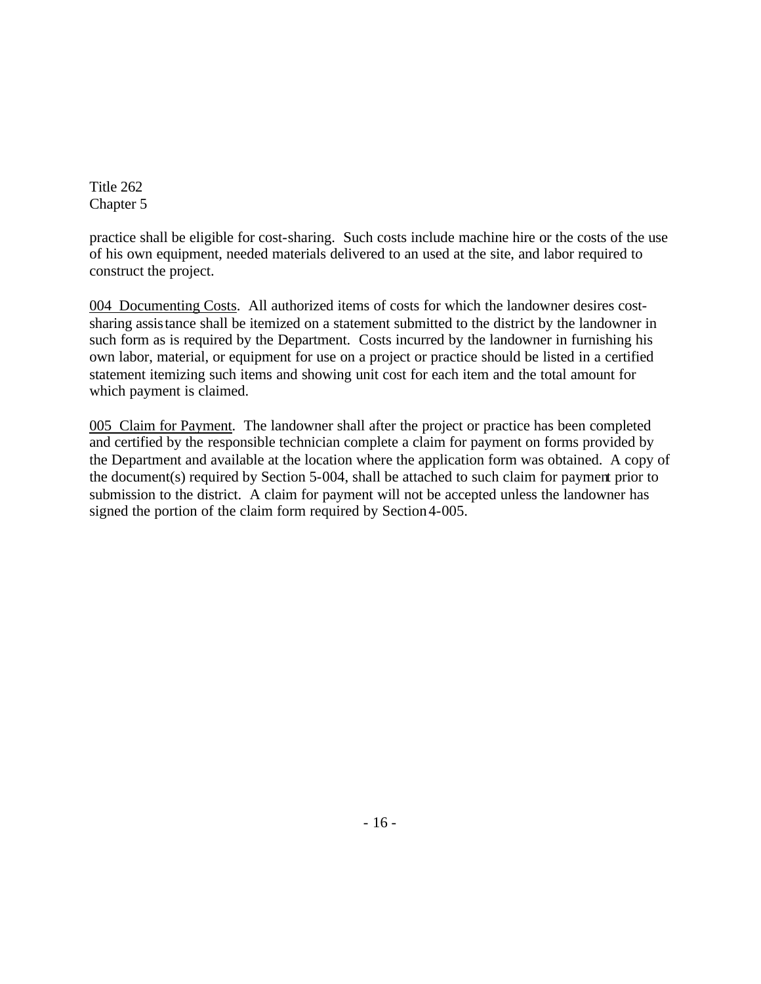practice shall be eligible for cost-sharing. Such costs include machine hire or the costs of the use of his own equipment, needed materials delivered to an used at the site, and labor required to construct the project.

004 Documenting Costs. All authorized items of costs for which the landowner desires costsharing assistance shall be itemized on a statement submitted to the district by the landowner in such form as is required by the Department. Costs incurred by the landowner in furnishing his own labor, material, or equipment for use on a project or practice should be listed in a certified statement itemizing such items and showing unit cost for each item and the total amount for which payment is claimed.

005 Claim for Payment. The landowner shall after the project or practice has been completed and certified by the responsible technician complete a claim for payment on forms provided by the Department and available at the location where the application form was obtained. A copy of the document(s) required by Section 5-004, shall be attached to such claim for payment prior to submission to the district. A claim for payment will not be accepted unless the landowner has signed the portion of the claim form required by Section 4-005.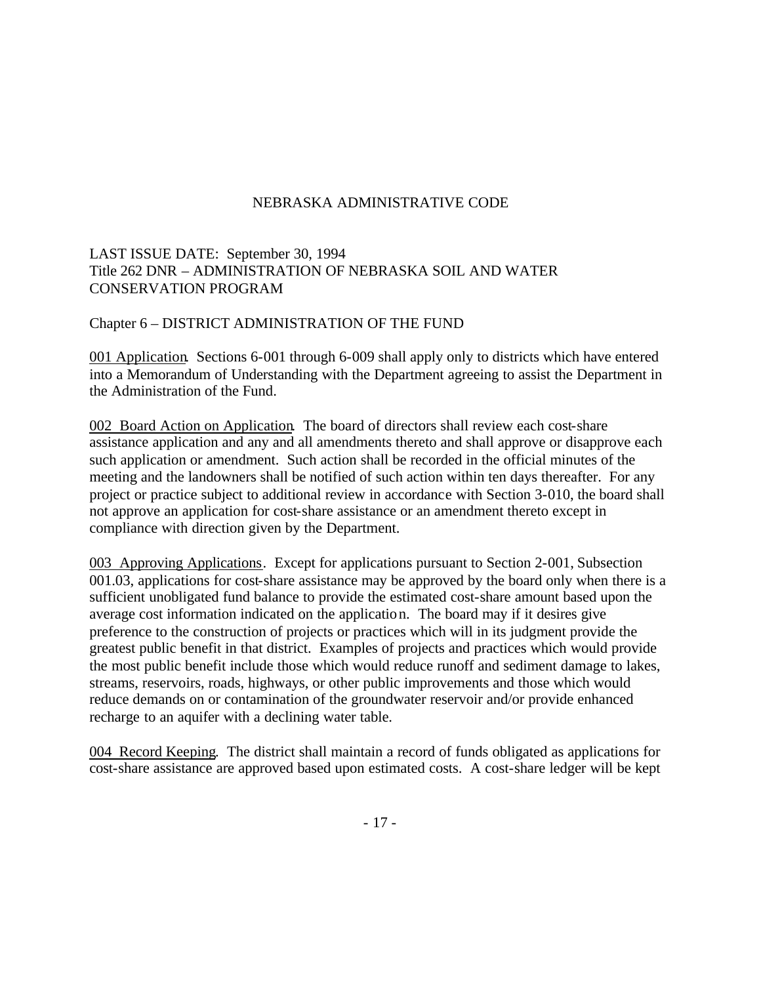# LAST ISSUE DATE: September 30, 1994 Title 262 DNR – ADMINISTRATION OF NEBRASKA SOIL AND WATER CONSERVATION PROGRAM

### Chapter 6 – DISTRICT ADMINISTRATION OF THE FUND

001 Application. Sections 6-001 through 6-009 shall apply only to districts which have entered into a Memorandum of Understanding with the Department agreeing to assist the Department in the Administration of the Fund.

002 Board Action on Application. The board of directors shall review each cost-share assistance application and any and all amendments thereto and shall approve or disapprove each such application or amendment. Such action shall be recorded in the official minutes of the meeting and the landowners shall be notified of such action within ten days thereafter. For any project or practice subject to additional review in accordance with Section 3-010, the board shall not approve an application for cost-share assistance or an amendment thereto except in compliance with direction given by the Department.

003 Approving Applications. Except for applications pursuant to Section 2-001, Subsection 001.03, applications for cost-share assistance may be approved by the board only when there is a sufficient unobligated fund balance to provide the estimated cost-share amount based upon the average cost information indicated on the application. The board may if it desires give preference to the construction of projects or practices which will in its judgment provide the greatest public benefit in that district. Examples of projects and practices which would provide the most public benefit include those which would reduce runoff and sediment damage to lakes, streams, reservoirs, roads, highways, or other public improvements and those which would reduce demands on or contamination of the groundwater reservoir and/or provide enhanced recharge to an aquifer with a declining water table.

004 Record Keeping. The district shall maintain a record of funds obligated as applications for cost-share assistance are approved based upon estimated costs. A cost-share ledger will be kept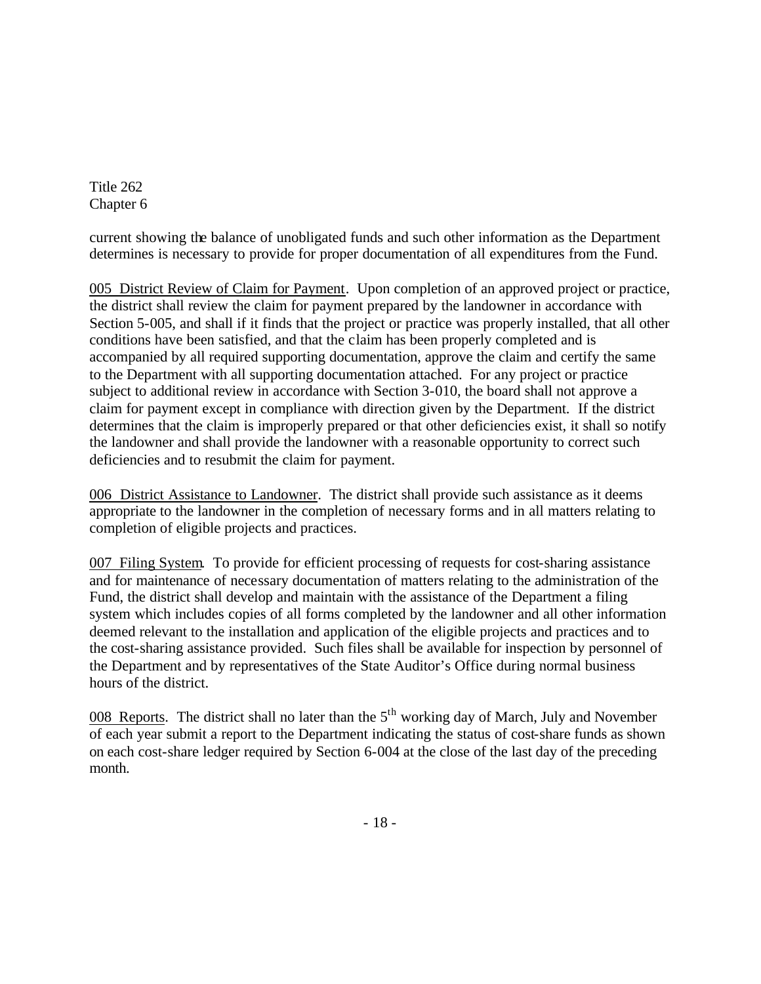current showing the balance of unobligated funds and such other information as the Department determines is necessary to provide for proper documentation of all expenditures from the Fund.

005 District Review of Claim for Payment. Upon completion of an approved project or practice, the district shall review the claim for payment prepared by the landowner in accordance with Section 5-005, and shall if it finds that the project or practice was properly installed, that all other conditions have been satisfied, and that the claim has been properly completed and is accompanied by all required supporting documentation, approve the claim and certify the same to the Department with all supporting documentation attached. For any project or practice subject to additional review in accordance with Section 3-010, the board shall not approve a claim for payment except in compliance with direction given by the Department. If the district determines that the claim is improperly prepared or that other deficiencies exist, it shall so notify the landowner and shall provide the landowner with a reasonable opportunity to correct such deficiencies and to resubmit the claim for payment.

006 District Assistance to Landowner. The district shall provide such assistance as it deems appropriate to the landowner in the completion of necessary forms and in all matters relating to completion of eligible projects and practices.

007 Filing System. To provide for efficient processing of requests for cost-sharing assistance and for maintenance of necessary documentation of matters relating to the administration of the Fund, the district shall develop and maintain with the assistance of the Department a filing system which includes copies of all forms completed by the landowner and all other information deemed relevant to the installation and application of the eligible projects and practices and to the cost-sharing assistance provided. Such files shall be available for inspection by personnel of the Department and by representatives of the State Auditor's Office during normal business hours of the district.

008 Reports. The district shall no later than the  $5<sup>th</sup>$  working day of March, July and November of each year submit a report to the Department indicating the status of cost-share funds as shown on each cost-share ledger required by Section 6-004 at the close of the last day of the preceding month.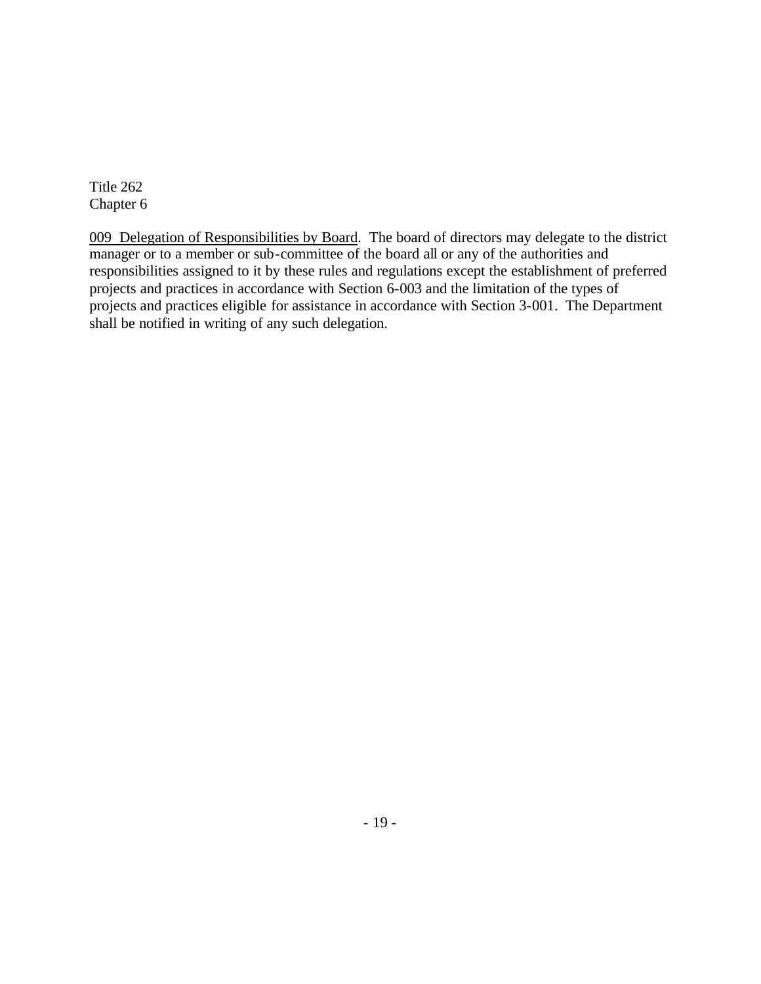009 Delegation of Responsibilities by Board. The board of directors may delegate to the district manager or to a member or sub-committee of the board all or any of the authorities and responsibilities assigned to it by these rules and regulations except the establishment of preferred projects and practices in accordance with Section 6-003 and the limitation of the types of projects and practices eligible for assistance in accordance with Section 3-001. The Department shall be notified in writing of any such delegation.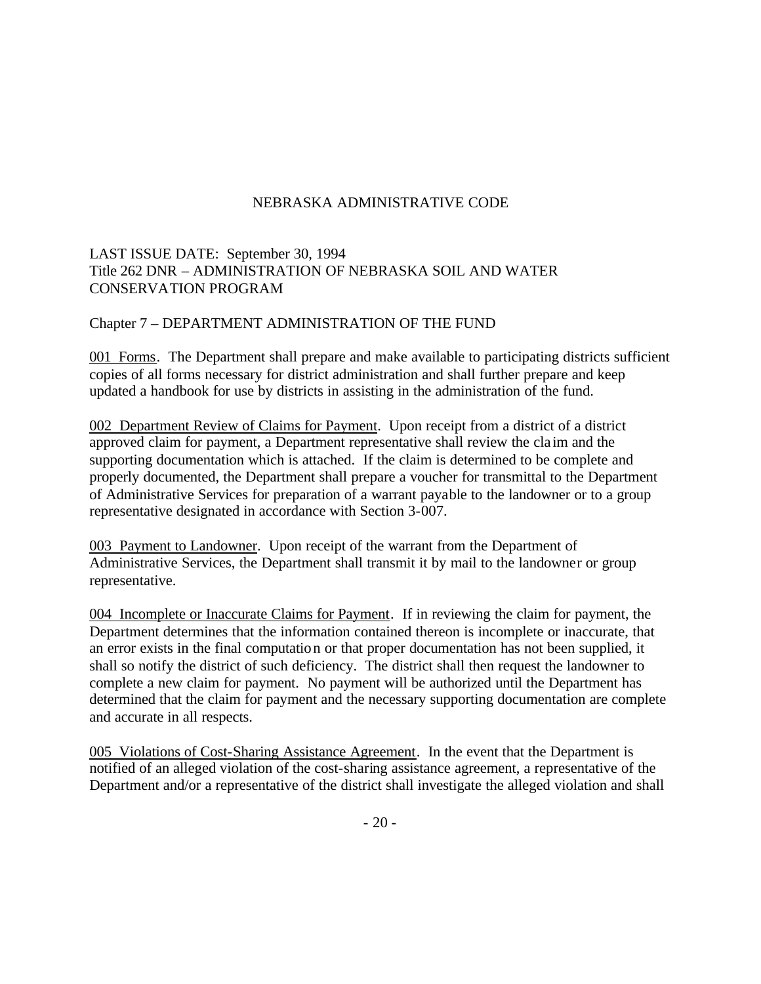# LAST ISSUE DATE: September 30, 1994 Title 262 DNR – ADMINISTRATION OF NEBRASKA SOIL AND WATER CONSERVATION PROGRAM

### Chapter 7 – DEPARTMENT ADMINISTRATION OF THE FUND

001 Forms. The Department shall prepare and make available to participating districts sufficient copies of all forms necessary for district administration and shall further prepare and keep updated a handbook for use by districts in assisting in the administration of the fund.

002 Department Review of Claims for Payment. Upon receipt from a district of a district approved claim for payment, a Department representative shall review the cla im and the supporting documentation which is attached. If the claim is determined to be complete and properly documented, the Department shall prepare a voucher for transmittal to the Department of Administrative Services for preparation of a warrant payable to the landowner or to a group representative designated in accordance with Section 3-007.

003 Payment to Landowner. Upon receipt of the warrant from the Department of Administrative Services, the Department shall transmit it by mail to the landowner or group representative.

004 Incomplete or Inaccurate Claims for Payment. If in reviewing the claim for payment, the Department determines that the information contained thereon is incomplete or inaccurate, that an error exists in the final computation or that proper documentation has not been supplied, it shall so notify the district of such deficiency. The district shall then request the landowner to complete a new claim for payment. No payment will be authorized until the Department has determined that the claim for payment and the necessary supporting documentation are complete and accurate in all respects.

005 Violations of Cost-Sharing Assistance Agreement. In the event that the Department is notified of an alleged violation of the cost-sharing assistance agreement, a representative of the Department and/or a representative of the district shall investigate the alleged violation and shall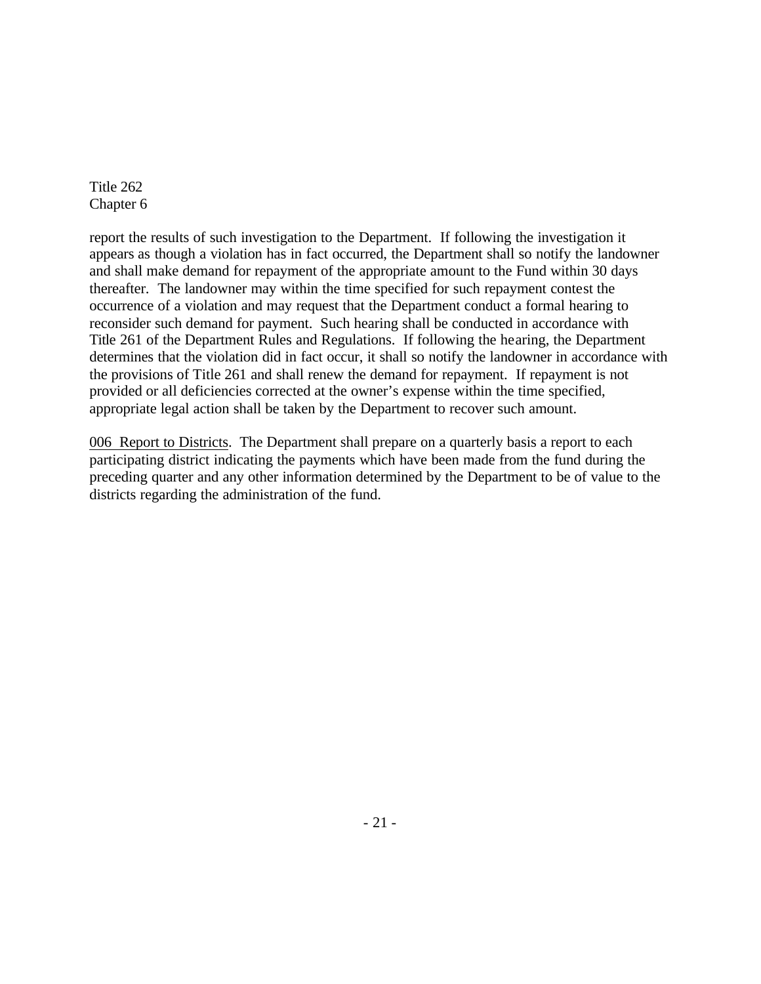report the results of such investigation to the Department. If following the investigation it appears as though a violation has in fact occurred, the Department shall so notify the landowner and shall make demand for repayment of the appropriate amount to the Fund within 30 days thereafter. The landowner may within the time specified for such repayment contest the occurrence of a violation and may request that the Department conduct a formal hearing to reconsider such demand for payment. Such hearing shall be conducted in accordance with Title 261 of the Department Rules and Regulations. If following the hearing, the Department determines that the violation did in fact occur, it shall so notify the landowner in accordance with the provisions of Title 261 and shall renew the demand for repayment. If repayment is not provided or all deficiencies corrected at the owner's expense within the time specified, appropriate legal action shall be taken by the Department to recover such amount.

006 Report to Districts. The Department shall prepare on a quarterly basis a report to each participating district indicating the payments which have been made from the fund during the preceding quarter and any other information determined by the Department to be of value to the districts regarding the administration of the fund.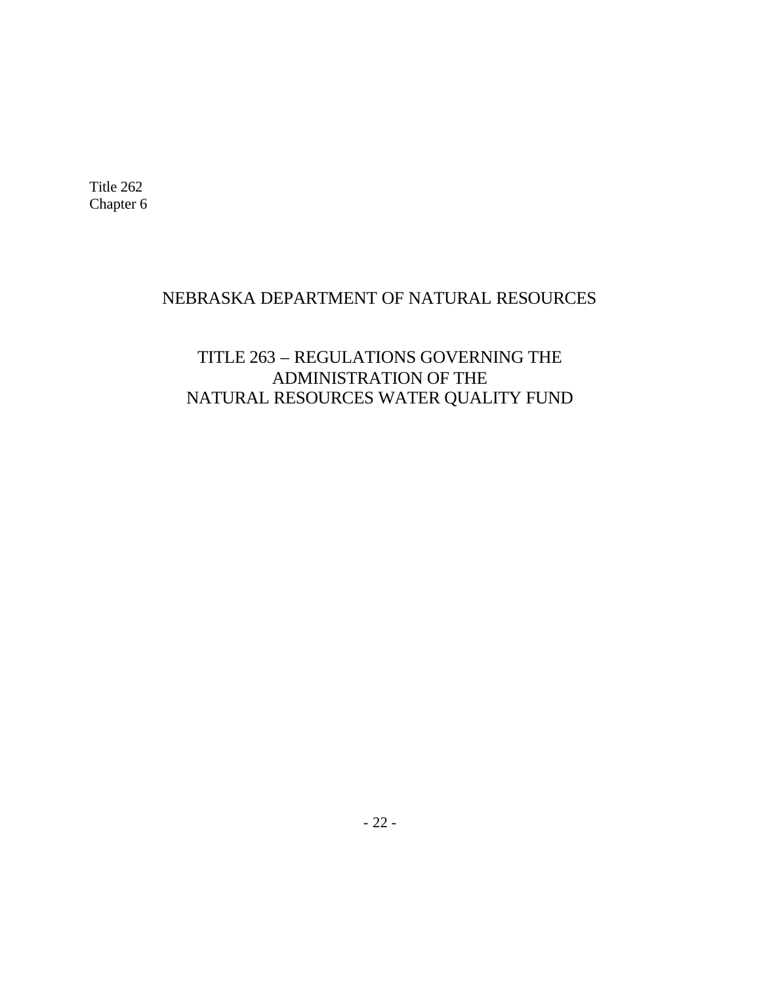# NEBRASKA DEPARTMENT OF NATURAL RESOURCES

# TITLE 263 – REGULATIONS GOVERNING THE ADMINISTRATION OF THE NATURAL RESOURCES WATER QUALITY FUND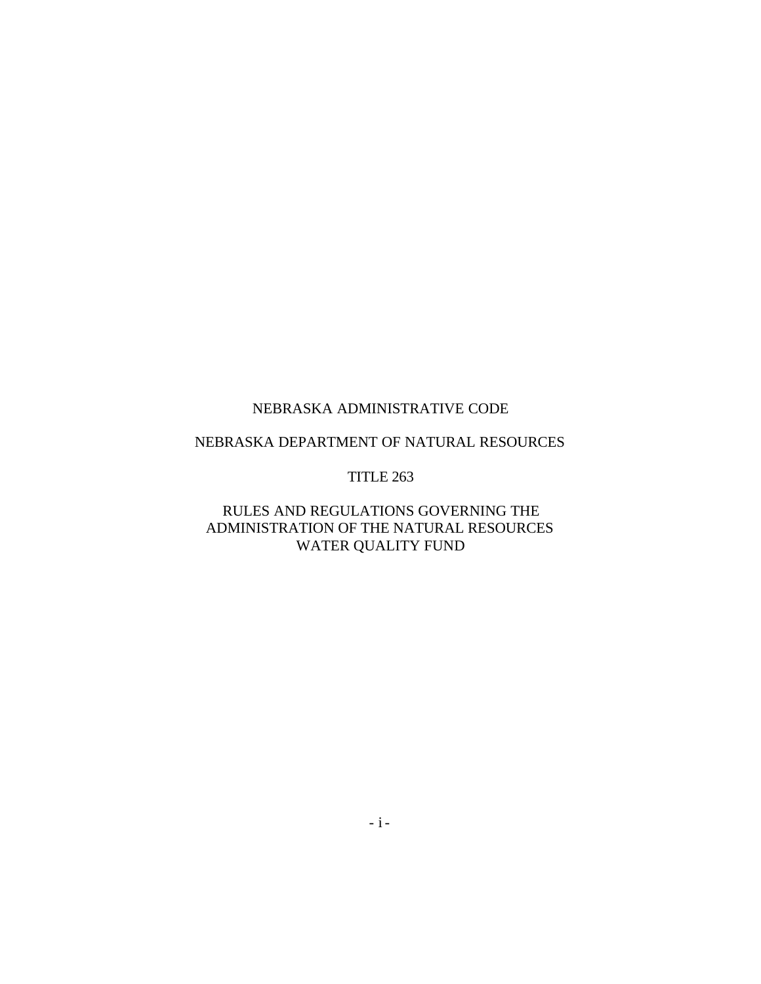# NEBRASKA DEPARTMENT OF NATURAL RESOURCES

#### TITLE 263

# RULES AND REGULATIONS GOVERNING THE ADMINISTRATION OF THE NATURAL RESOURCES WATER QUALITY FUND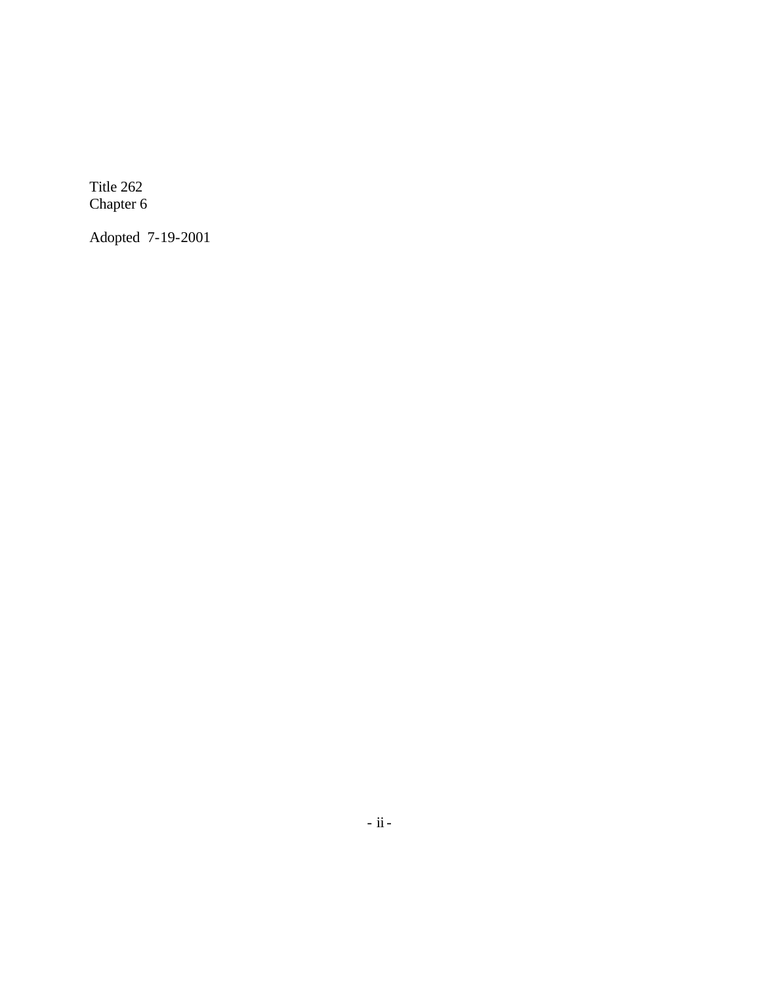Adopted 7-19-2001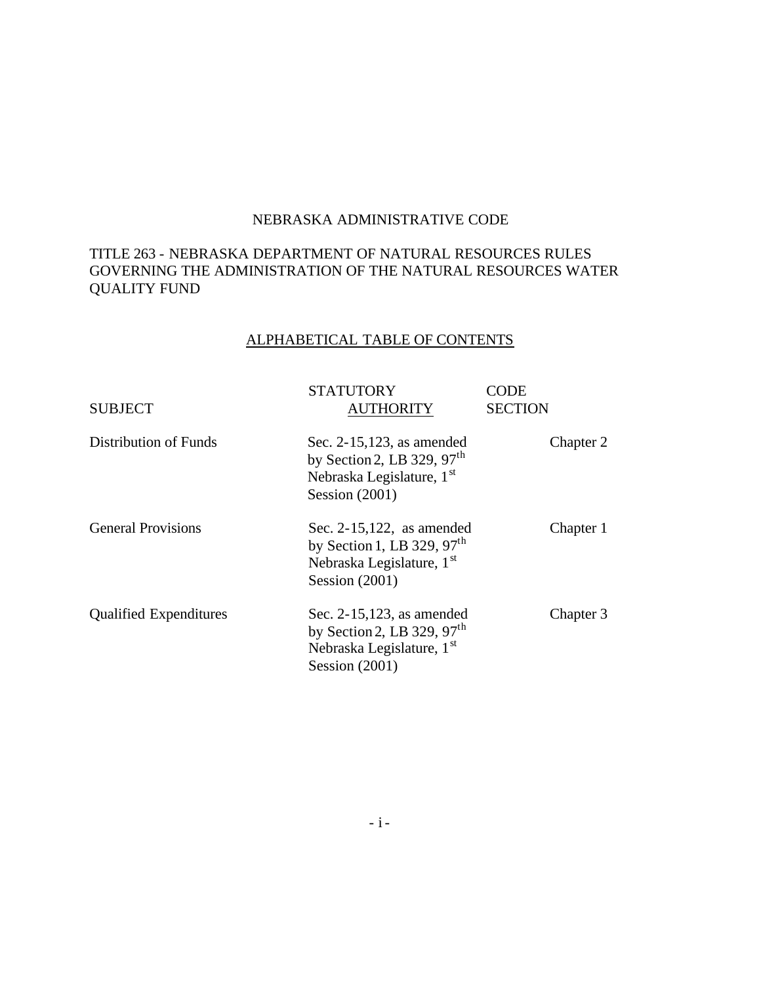### TITLE 263 - NEBRASKA DEPARTMENT OF NATURAL RESOURCES RULES GOVERNING THE ADMINISTRATION OF THE NATURAL RESOURCES WATER QUALITY FUND

# ALPHABETICAL TABLE OF CONTENTS

| <b>SUBJECT</b>                | <b>STATUTORY</b><br><b>AUTHORITY</b>                                                                                      | CODE<br><b>SECTION</b> |
|-------------------------------|---------------------------------------------------------------------------------------------------------------------------|------------------------|
| Distribution of Funds         | Sec. $2-15,123$ , as amended<br>by Section 2, LB 329, $97th$<br>Nebraska Legislature, 1 <sup>st</sup><br>Session $(2001)$ | Chapter 2              |
| <b>General Provisions</b>     | Sec. $2-15,122$ , as amended<br>by Section 1, LB 329, $97th$<br>Nebraska Legislature, 1st<br>Session $(2001)$             | Chapter 1              |
| <b>Qualified Expenditures</b> | Sec. 2-15,123, as amended<br>by Section 2, LB 329, $97th$<br>Nebraska Legislature, 1 <sup>st</sup><br>Session $(2001)$    | Chapter 3              |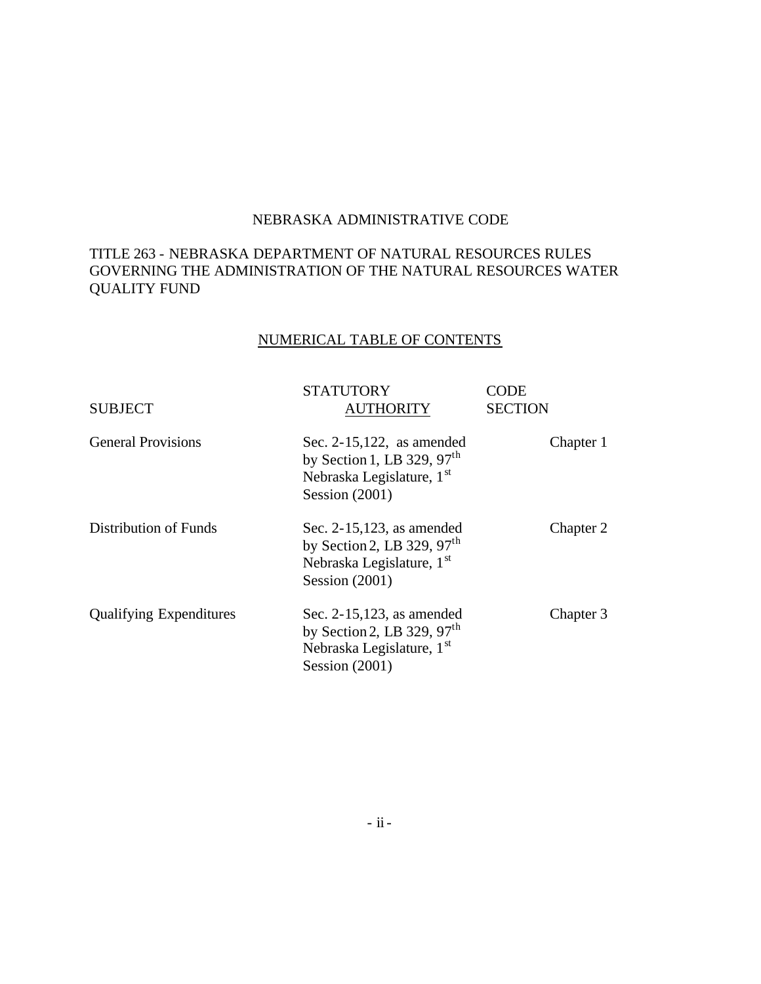## TITLE 263 - NEBRASKA DEPARTMENT OF NATURAL RESOURCES RULES GOVERNING THE ADMINISTRATION OF THE NATURAL RESOURCES WATER QUALITY FUND

# NUMERICAL TABLE OF CONTENTS

| <b>SUBJECT</b>                 | <b>STATUTORY</b><br><b>AUTHORITY</b>                                                                                                | CODE<br><b>SECTION</b> |
|--------------------------------|-------------------------------------------------------------------------------------------------------------------------------------|------------------------|
| <b>General Provisions</b>      | Sec. $2-15,122$ , as amended<br>by Section 1, LB 329, 97 <sup>th</sup><br>Nebraska Legislature, 1 <sup>st</sup><br>Session $(2001)$ | Chapter 1              |
| Distribution of Funds          | Sec. 2-15,123, as amended<br>by Section 2, LB 329, $97th$<br>Nebraska Legislature, 1 <sup>st</sup><br>Session $(2001)$              | Chapter 2              |
| <b>Qualifying Expenditures</b> | Sec. 2-15,123, as amended<br>by Section 2, LB 329, 97 <sup>th</sup><br>Nebraska Legislature, 1st<br>Session $(2001)$                | Chapter 3              |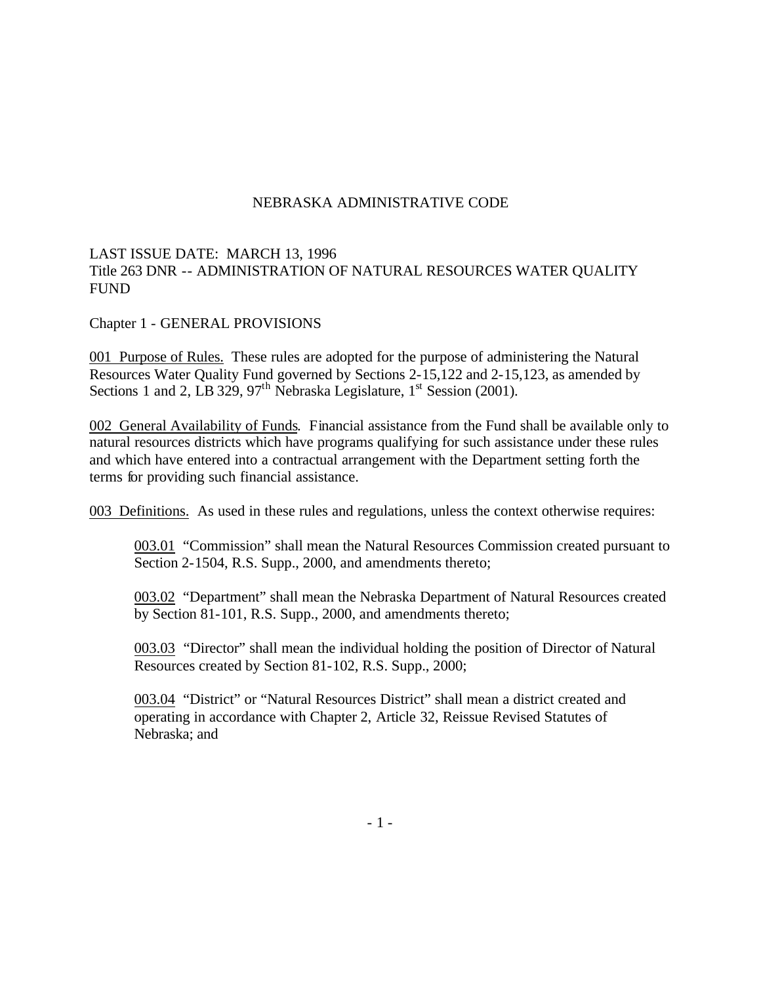### LAST ISSUE DATE: MARCH 13, 1996 Title 263 DNR -- ADMINISTRATION OF NATURAL RESOURCES WATER QUALITY FUND

Chapter 1 - GENERAL PROVISIONS

001 Purpose of Rules. These rules are adopted for the purpose of administering the Natural Resources Water Quality Fund governed by Sections 2-15,122 and 2-15,123, as amended by Sections 1 and 2, LB 329, 97<sup>th</sup> Nebraska Legislature,  $1<sup>st</sup>$  Session (2001).

002 General Availability of Funds. Financial assistance from the Fund shall be available only to natural resources districts which have programs qualifying for such assistance under these rules and which have entered into a contractual arrangement with the Department setting forth the terms for providing such financial assistance.

003 Definitions. As used in these rules and regulations, unless the context otherwise requires:

003.01 "Commission" shall mean the Natural Resources Commission created pursuant to Section 2-1504, R.S. Supp., 2000, and amendments thereto;

003.02 "Department" shall mean the Nebraska Department of Natural Resources created by Section 81-101, R.S. Supp., 2000, and amendments thereto;

003.03 "Director" shall mean the individual holding the position of Director of Natural Resources created by Section 81-102, R.S. Supp., 2000;

003.04 "District" or "Natural Resources District" shall mean a district created and operating in accordance with Chapter 2, Article 32, Reissue Revised Statutes of Nebraska; and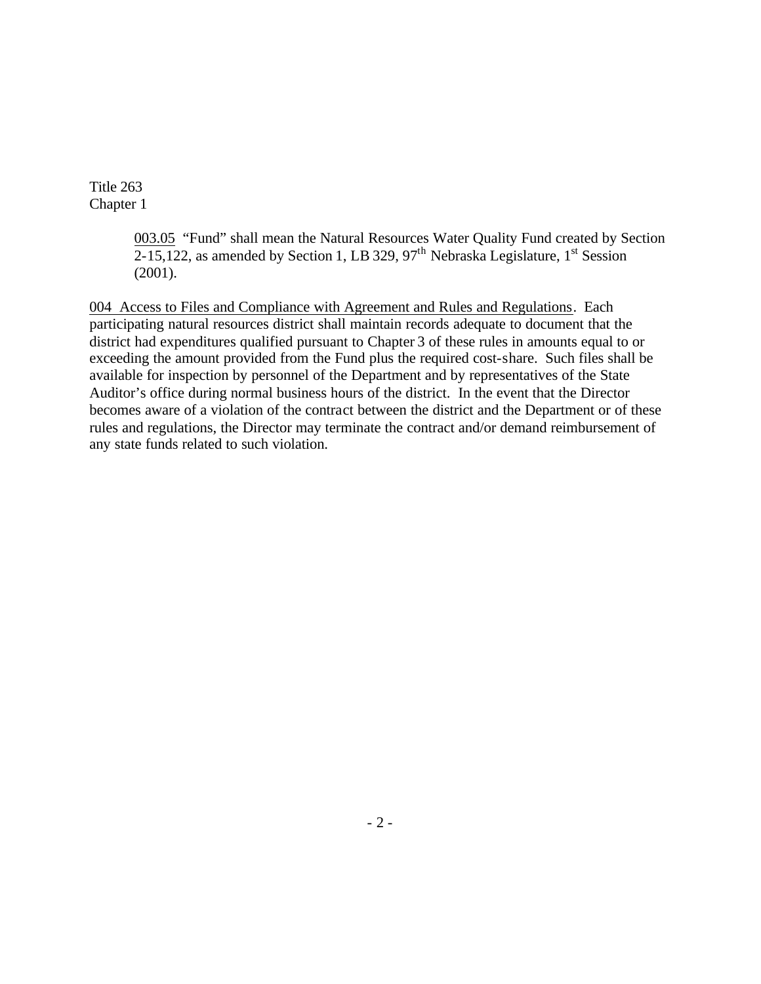> 003.05 "Fund" shall mean the Natural Resources Water Quality Fund created by Section  $2-15,122$ , as amended by Section 1, LB 329, 97<sup>th</sup> Nebraska Legislature, 1<sup>st</sup> Session (2001).

004 Access to Files and Compliance with Agreement and Rules and Regulations. Each participating natural resources district shall maintain records adequate to document that the district had expenditures qualified pursuant to Chapter 3 of these rules in amounts equal to or exceeding the amount provided from the Fund plus the required cost-share. Such files shall be available for inspection by personnel of the Department and by representatives of the State Auditor's office during normal business hours of the district. In the event that the Director becomes aware of a violation of the contract between the district and the Department or of these rules and regulations, the Director may terminate the contract and/or demand reimbursement of any state funds related to such violation.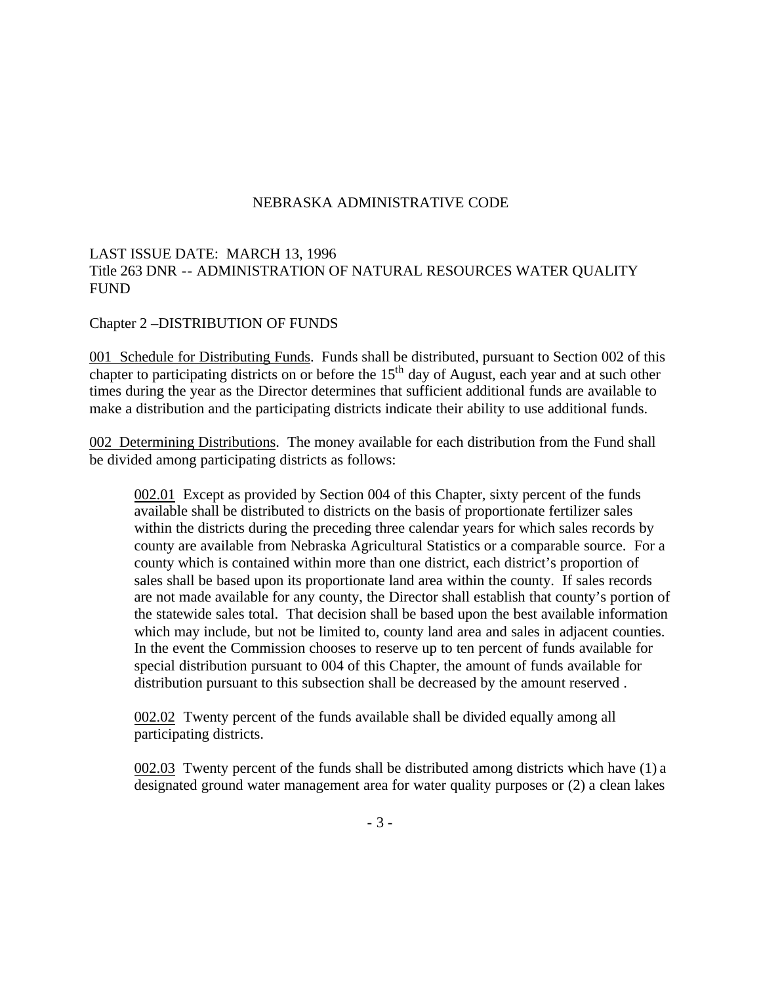### LAST ISSUE DATE: MARCH 13, 1996 Title 263 DNR -- ADMINISTRATION OF NATURAL RESOURCES WATER QUALITY FUND

Chapter 2 –DISTRIBUTION OF FUNDS

001 Schedule for Distributing Funds. Funds shall be distributed, pursuant to Section 002 of this chapter to participating districts on or before the  $15<sup>th</sup>$  day of August, each year and at such other times during the year as the Director determines that sufficient additional funds are available to make a distribution and the participating districts indicate their ability to use additional funds.

002 Determining Distributions. The money available for each distribution from the Fund shall be divided among participating districts as follows:

002.01 Except as provided by Section 004 of this Chapter, sixty percent of the funds available shall be distributed to districts on the basis of proportionate fertilizer sales within the districts during the preceding three calendar years for which sales records by county are available from Nebraska Agricultural Statistics or a comparable source. For a county which is contained within more than one district, each district's proportion of sales shall be based upon its proportionate land area within the county. If sales records are not made available for any county, the Director shall establish that county's portion of the statewide sales total. That decision shall be based upon the best available information which may include, but not be limited to, county land area and sales in adjacent counties. In the event the Commission chooses to reserve up to ten percent of funds available for special distribution pursuant to 004 of this Chapter, the amount of funds available for distribution pursuant to this subsection shall be decreased by the amount reserved .

002.02 Twenty percent of the funds available shall be divided equally among all participating districts.

002.03 Twenty percent of the funds shall be distributed among districts which have (1) a designated ground water management area for water quality purposes or (2) a clean lakes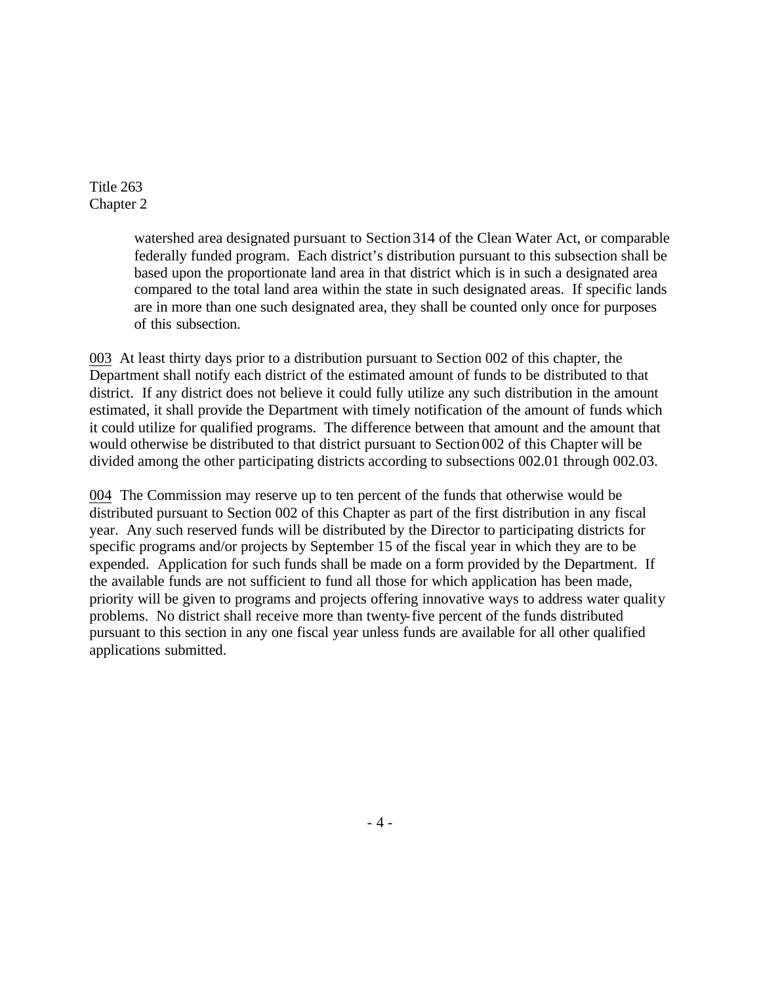> watershed area designated pursuant to Section 314 of the Clean Water Act, or comparable federally funded program. Each district's distribution pursuant to this subsection shall be based upon the proportionate land area in that district which is in such a designated area compared to the total land area within the state in such designated areas. If specific lands are in more than one such designated area, they shall be counted only once for purposes of this subsection.

003 At least thirty days prior to a distribution pursuant to Section 002 of this chapter, the Department shall notify each district of the estimated amount of funds to be distributed to that district. If any district does not believe it could fully utilize any such distribution in the amount estimated, it shall provide the Department with timely notification of the amount of funds which it could utilize for qualified programs. The difference between that amount and the amount that would otherwise be distributed to that district pursuant to Section002 of this Chapter will be divided among the other participating districts according to subsections 002.01 through 002.03.

004 The Commission may reserve up to ten percent of the funds that otherwise would be distributed pursuant to Section 002 of this Chapter as part of the first distribution in any fiscal year. Any such reserved funds will be distributed by the Director to participating districts for specific programs and/or projects by September 15 of the fiscal year in which they are to be expended. Application for such funds shall be made on a form provided by the Department. If the available funds are not sufficient to fund all those for which application has been made, priority will be given to programs and projects offering innovative ways to address water quality problems. No district shall receive more than twenty-five percent of the funds distributed pursuant to this section in any one fiscal year unless funds are available for all other qualified applications submitted.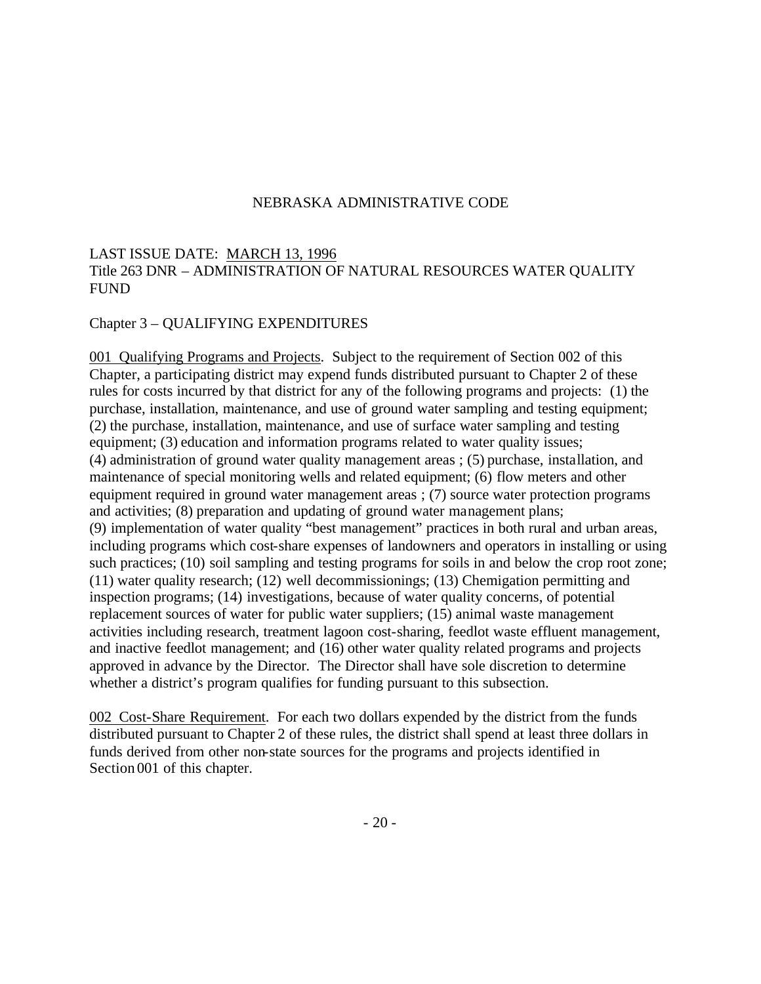# LAST ISSUE DATE: MARCH 13, 1996 Title 263 DNR – ADMINISTRATION OF NATURAL RESOURCES WATER QUALITY FUND

### Chapter 3 – QUALIFYING EXPENDITURES

001 Qualifying Programs and Projects. Subject to the requirement of Section 002 of this Chapter, a participating district may expend funds distributed pursuant to Chapter 2 of these rules for costs incurred by that district for any of the following programs and projects: (1) the purchase, installation, maintenance, and use of ground water sampling and testing equipment; (2) the purchase, installation, maintenance, and use of surface water sampling and testing equipment; (3) education and information programs related to water quality issues; (4) administration of ground water quality management areas ; (5) purchase, installation, and maintenance of special monitoring wells and related equipment; (6) flow meters and other equipment required in ground water management areas ; (7) source water protection programs and activities; (8) preparation and updating of ground water management plans; (9) implementation of water quality "best management" practices in both rural and urban areas, including programs which cost-share expenses of landowners and operators in installing or using such practices; (10) soil sampling and testing programs for soils in and below the crop root zone; (11) water quality research; (12) well decommissionings; (13) Chemigation permitting and inspection programs; (14) investigations, because of water quality concerns, of potential replacement sources of water for public water suppliers; (15) animal waste management activities including research, treatment lagoon cost-sharing, feedlot waste effluent management, and inactive feedlot management; and (16) other water quality related programs and projects approved in advance by the Director. The Director shall have sole discretion to determine whether a district's program qualifies for funding pursuant to this subsection.

002 Cost-Share Requirement. For each two dollars expended by the district from the funds distributed pursuant to Chapter 2 of these rules, the district shall spend at least three dollars in funds derived from other non-state sources for the programs and projects identified in Section 001 of this chapter.